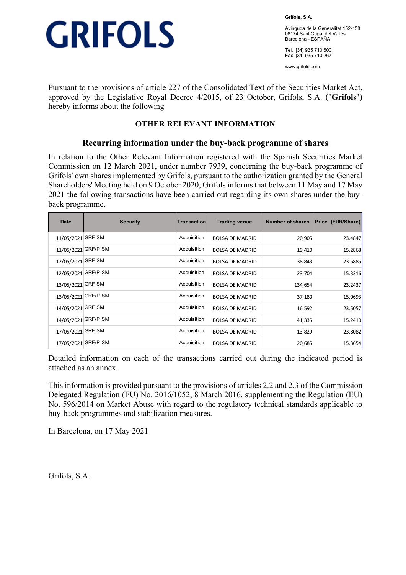

**Grifols, S.A.** 

Avinguda de la Generalitat 152-158 08174 Sant Cugat del Vallès Barcelona - ESPAÑA

Tel. [34] 935 710 500 Fax [34] 935 710 267

www.grifols.com

Pursuant to the provisions of article 227 of the Consolidated Text of the Securities Market Act, approved by the Legislative Royal Decree 4/2015, of 23 October, Grifols, S.A. ("**Grifols**") hereby informs about the following

## **OTHER RELEVANT INFORMATION**

### **Recurring information under the buy-back programme of shares**

In relation to the Other Relevant Information registered with the Spanish Securities Market Commission on 12 March 2021, under number 7939, concerning the buy-back programme of Grifols' own shares implemented by Grifols, pursuant to the authorization granted by the General Shareholders' Meeting held on 9 October 2020, Grifols informs that between 11 May and 17 May 2021 the following transactions have been carried out regarding its own shares under the buyback programme.

| Date                | <b>Security</b> | Transaction | <b>Trading venue</b>   | <b>Number of shares</b> | Price (EUR/Share) |
|---------------------|-----------------|-------------|------------------------|-------------------------|-------------------|
| 11/05/2021          | <b>GRF SM</b>   | Acquisition | <b>BOLSA DE MADRID</b> | 20,905                  | 23.4847           |
| 11/05/2021          | <b>GRF/P SM</b> | Acquisition | <b>BOLSA DE MADRID</b> | 19,410                  | 15.2868           |
| 12/05/2021 GRF SM   |                 | Acquisition | <b>BOLSA DE MADRID</b> | 38,843                  | 23.5885           |
| 12/05/2021 GRF/P SM |                 | Acquisition | <b>BOLSA DE MADRID</b> | 23,704                  | 15.3316           |
| 13/05/2021          | <b>GRF SM</b>   | Acquisition | <b>BOLSA DE MADRID</b> | 134,654                 | 23.2437           |
| 13/05/2021 GRF/P SM |                 | Acquisition | <b>BOLSA DE MADRID</b> | 37,180                  | 15.0693           |
| 14/05/2021 GRF SM   |                 | Acquisition | <b>BOLSA DE MADRID</b> | 16,592                  | 23.5057           |
| 14/05/2021 GRF/P SM |                 | Acquisition | <b>BOLSA DE MADRID</b> | 41,335                  | 15.2410           |
| 17/05/2021          | <b>GRF SM</b>   | Acquisition | <b>BOLSA DE MADRID</b> | 13,829                  | 23.8082           |
| 17/05/2021          | <b>GRF/P SM</b> | Acquisition | <b>BOLSA DE MADRID</b> | 20,685                  | 15.3654           |

Detailed information on each of the transactions carried out during the indicated period is attached as an annex.

This information is provided pursuant to the provisions of articles 2.2 and 2.3 of the Commission Delegated Regulation (EU) No. 2016/1052, 8 March 2016, supplementing the Regulation (EU) No. 596/2014 on Market Abuse with regard to the regulatory technical standards applicable to buy-back programmes and stabilization measures.

In Barcelona, on 17 May 2021

Grifols, S.A.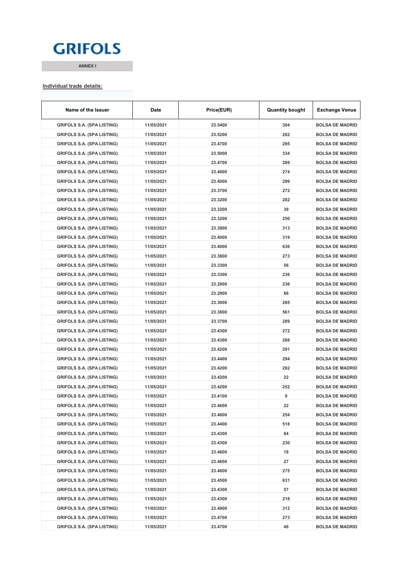## **GRIFOLS**

**ANNEX I**

#### **Individual trade details:**

| Name of the Issuer                | Date       | Price(EUR) | <b>Quantity bought</b> | <b>Exchange Venue</b>  |
|-----------------------------------|------------|------------|------------------------|------------------------|
| <b>GRIFOLS S.A. (SPA LISTING)</b> | 11/05/2021 | 23.5400    | 304                    | <b>BOLSA DE MADRID</b> |
| <b>GRIFOLS S.A. (SPA LISTING)</b> | 11/05/2021 | 23.5200    | 282                    | <b>BOLSA DE MADRID</b> |
| <b>GRIFOLS S.A. (SPA LISTING)</b> | 11/05/2021 | 23.4700    | 295                    | <b>BOLSA DE MADRID</b> |
| <b>GRIFOLS S.A. (SPA LISTING)</b> | 11/05/2021 | 23.5000    | 334                    | <b>BOLSA DE MADRID</b> |
| GRIFOLS S.A. (SPA LISTING)        | 11/05/2021 | 23.4700    | 289                    | <b>BOLSA DE MADRID</b> |
| <b>GRIFOLS S.A. (SPA LISTING)</b> | 11/05/2021 | 23.4000    | 274                    | <b>BOLSA DE MADRID</b> |
| <b>GRIFOLS S.A. (SPA LISTING)</b> | 11/05/2021 | 23.4000    | 299                    | <b>BOLSA DE MADRID</b> |
| <b>GRIFOLS S.A. (SPA LISTING)</b> | 11/05/2021 | 23.3700    | 272                    | <b>BOLSA DE MADRID</b> |
| GRIFOLS S.A. (SPA LISTING)        | 11/05/2021 | 23.3200    | 282                    | <b>BOLSA DE MADRID</b> |
| <b>GRIFOLS S.A. (SPA LISTING)</b> | 11/05/2021 | 23.3200    | 39                     | <b>BOLSA DE MADRID</b> |
| <b>GRIFOLS S.A. (SPA LISTING)</b> | 11/05/2021 | 23.3200    | 250                    | <b>BOLSA DE MADRID</b> |
| <b>GRIFOLS S.A. (SPA LISTING)</b> | 11/05/2021 | 23.3900    | 313                    | <b>BOLSA DE MADRID</b> |
| <b>GRIFOLS S.A. (SPA LISTING)</b> | 11/05/2021 | 23.4000    | 319                    | <b>BOLSA DE MADRID</b> |
| <b>GRIFOLS S.A. (SPA LISTING)</b> | 11/05/2021 | 23.4000    | 636                    | <b>BOLSA DE MADRID</b> |
| <b>GRIFOLS S.A. (SPA LISTING)</b> | 11/05/2021 | 23.3800    | 273                    | <b>BOLSA DE MADRID</b> |
| <b>GRIFOLS S.A. (SPA LISTING)</b> | 11/05/2021 | 23.3300    | 56                     | <b>BOLSA DE MADRID</b> |
| GRIFOLS S.A. (SPA LISTING)        | 11/05/2021 | 23.3300    | 236                    | <b>BOLSA DE MADRID</b> |
| <b>GRIFOLS S.A. (SPA LISTING)</b> | 11/05/2021 | 23.2900    | 236                    | <b>BOLSA DE MADRID</b> |
| GRIFOLS S.A. (SPA LISTING)        | 11/05/2021 | 23.2900    | 66                     | <b>BOLSA DE MADRID</b> |
| <b>GRIFOLS S.A. (SPA LISTING)</b> | 11/05/2021 | 23.3000    | 285                    | <b>BOLSA DE MADRID</b> |
| <b>GRIFOLS S.A. (SPA LISTING)</b> | 11/05/2021 | 23.3800    | 561                    | <b>BOLSA DE MADRID</b> |
| <b>GRIFOLS S.A. (SPA LISTING)</b> | 11/05/2021 | 23.3700    | 289                    | <b>BOLSA DE MADRID</b> |
| GRIFOLS S.A. (SPA LISTING)        | 11/05/2021 | 23.4300    | 272                    | <b>BOLSA DE MADRID</b> |
| <b>GRIFOLS S.A. (SPA LISTING)</b> | 11/05/2021 | 23.4300    | 288                    | <b>BOLSA DE MADRID</b> |
| <b>GRIFOLS S.A. (SPA LISTING)</b> | 11/05/2021 | 23.4200    | 291                    | <b>BOLSA DE MADRID</b> |
| GRIFOLS S.A. (SPA LISTING)        | 11/05/2021 | 23.4400    | 294                    | <b>BOLSA DE MADRID</b> |
| <b>GRIFOLS S.A. (SPA LISTING)</b> | 11/05/2021 | 23.4200    | 282                    | <b>BOLSA DE MADRID</b> |
| <b>GRIFOLS S.A. (SPA LISTING)</b> | 11/05/2021 | 23.4200    | 22                     | <b>BOLSA DE MADRID</b> |
| <b>GRIFOLS S.A. (SPA LISTING)</b> | 11/05/2021 | 23.4200    | 252                    | <b>BOLSA DE MADRID</b> |
| GRIFOLS S.A. (SPA LISTING)        | 11/05/2021 | 23.4100    | 9                      | <b>BOLSA DE MADRID</b> |
| <b>GRIFOLS S.A. (SPA LISTING)</b> | 11/05/2021 | 23.4600    | 22                     | <b>BOLSA DE MADRID</b> |
| <b>GRIFOLS S.A. (SPA LISTING)</b> | 11/05/2021 | 23.4600    | 254                    | <b>BOLSA DE MADRID</b> |
| <b>GRIFOLS S.A. (SPA LISTING)</b> | 11/05/2021 | 23.4400    | 518                    | <b>BOLSA DE MADRID</b> |
| <b>GRIFOLS S.A. (SPA LISTING)</b> | 11/05/2021 | 23.4300    | 84                     | <b>BOLSA DE MADRID</b> |
| <b>GRIFOLS S.A. (SPA LISTING)</b> | 11/05/2021 | 23.4300    | 230                    | <b>BOLSA DE MADRID</b> |
| <b>GRIFOLS S.A. (SPA LISTING)</b> | 11/05/2021 | 23.4600    | 18                     | <b>BOLSA DE MADRID</b> |
| <b>GRIFOLS S.A. (SPA LISTING)</b> | 11/05/2021 | 23.4600    | 27                     | <b>BOLSA DE MADRID</b> |
| <b>GRIFOLS S.A. (SPA LISTING)</b> | 11/05/2021 | 23.4600    | 275                    | <b>BOLSA DE MADRID</b> |
| <b>GRIFOLS S.A. (SPA LISTING)</b> | 11/05/2021 | 23.4500    | 631                    | <b>BOLSA DE MADRID</b> |
| <b>GRIFOLS S.A. (SPA LISTING)</b> | 11/05/2021 | 23.4300    | 57                     | <b>BOLSA DE MADRID</b> |
| <b>GRIFOLS S.A. (SPA LISTING)</b> | 11/05/2021 | 23.4300    | 218                    | <b>BOLSA DE MADRID</b> |
| <b>GRIFOLS S.A. (SPA LISTING)</b> | 11/05/2021 | 23.4900    | 312                    | <b>BOLSA DE MADRID</b> |
| <b>GRIFOLS S.A. (SPA LISTING)</b> | 11/05/2021 | 23.4700    | 273                    | <b>BOLSA DE MADRID</b> |
| <b>GRIFOLS S.A. (SPA LISTING)</b> | 11/05/2021 | 23.4700    | 48                     | <b>BOLSA DE MADRID</b> |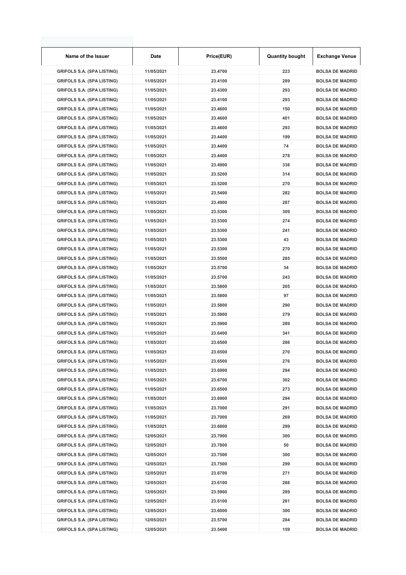| Name of the Issuer                | Date       | Price(EUR) | <b>Quantity bought</b> | <b>Exchange Venue</b>  |
|-----------------------------------|------------|------------|------------------------|------------------------|
| <b>GRIFOLS S.A. (SPA LISTING)</b> | 11/05/2021 | 23.4700    | 223                    | <b>BOLSA DE MADRID</b> |
| <b>GRIFOLS S.A. (SPA LISTING)</b> | 11/05/2021 | 23.4100    | 289                    | <b>BOLSA DE MADRID</b> |
| <b>GRIFOLS S.A. (SPA LISTING)</b> | 11/05/2021 | 23.4300    | 293                    | <b>BOLSA DE MADRID</b> |
| <b>GRIFOLS S.A. (SPA LISTING)</b> | 11/05/2021 | 23.4100    | 293                    | <b>BOLSA DE MADRID</b> |
| <b>GRIFOLS S.A. (SPA LISTING)</b> | 11/05/2021 | 23.4600    | 150                    | <b>BOLSA DE MADRID</b> |
| <b>GRIFOLS S.A. (SPA LISTING)</b> | 11/05/2021 | 23.4600    | 401                    | <b>BOLSA DE MADRID</b> |
| <b>GRIFOLS S.A. (SPA LISTING)</b> | 11/05/2021 | 23.4600    | 293                    | <b>BOLSA DE MADRID</b> |
| <b>GRIFOLS S.A. (SPA LISTING)</b> | 11/05/2021 | 23.4400    | 199                    | <b>BOLSA DE MADRID</b> |
| <b>GRIFOLS S.A. (SPA LISTING)</b> | 11/05/2021 | 23.4400    | 74                     | <b>BOLSA DE MADRID</b> |
| <b>GRIFOLS S.A. (SPA LISTING)</b> | 11/05/2021 | 23.4400    | 278                    | <b>BOLSA DE MADRID</b> |
| <b>GRIFOLS S.A. (SPA LISTING)</b> | 11/05/2021 | 23.4900    | 338                    | <b>BOLSA DE MADRID</b> |
| <b>GRIFOLS S.A. (SPA LISTING)</b> | 11/05/2021 | 23.5200    | 314                    | <b>BOLSA DE MADRID</b> |
| <b>GRIFOLS S.A. (SPA LISTING)</b> | 11/05/2021 | 23.5200    | 270                    | <b>BOLSA DE MADRID</b> |
| <b>GRIFOLS S.A. (SPA LISTING)</b> | 11/05/2021 | 23.5400    | 282                    | <b>BOLSA DE MADRID</b> |
| <b>GRIFOLS S.A. (SPA LISTING)</b> | 11/05/2021 | 23.4900    | 287                    | <b>BOLSA DE MADRID</b> |
| <b>GRIFOLS S.A. (SPA LISTING)</b> | 11/05/2021 | 23.5300    | 309                    | <b>BOLSA DE MADRID</b> |
| <b>GRIFOLS S.A. (SPA LISTING)</b> | 11/05/2021 | 23.5300    | 274                    | <b>BOLSA DE MADRID</b> |
| <b>GRIFOLS S.A. (SPA LISTING)</b> | 11/05/2021 | 23.5300    | 241                    | <b>BOLSA DE MADRID</b> |
| <b>GRIFOLS S.A. (SPA LISTING)</b> | 11/05/2021 | 23.5300    | 43                     | <b>BOLSA DE MADRID</b> |
| <b>GRIFOLS S.A. (SPA LISTING)</b> | 11/05/2021 | 23.5300    | 270                    | <b>BOLSA DE MADRID</b> |
| <b>GRIFOLS S.A. (SPA LISTING)</b> | 11/05/2021 | 23.5500    | 285                    | <b>BOLSA DE MADRID</b> |
| <b>GRIFOLS S.A. (SPA LISTING)</b> | 11/05/2021 | 23.5700    | 34                     | <b>BOLSA DE MADRID</b> |
| <b>GRIFOLS S.A. (SPA LISTING)</b> | 11/05/2021 | 23.5700    | 243                    | <b>BOLSA DE MADRID</b> |
| <b>GRIFOLS S.A. (SPA LISTING)</b> | 11/05/2021 | 23.5800    | 205                    | <b>BOLSA DE MADRID</b> |
| <b>GRIFOLS S.A. (SPA LISTING)</b> | 11/05/2021 | 23.5800    | 97                     | <b>BOLSA DE MADRID</b> |
| <b>GRIFOLS S.A. (SPA LISTING)</b> | 11/05/2021 | 23.5800    | 290                    | <b>BOLSA DE MADRID</b> |
| <b>GRIFOLS S.A. (SPA LISTING)</b> | 11/05/2021 | 23.5900    | 279                    | <b>BOLSA DE MADRID</b> |
| <b>GRIFOLS S.A. (SPA LISTING)</b> | 11/05/2021 | 23.5900    | 289                    | <b>BOLSA DE MADRID</b> |
| <b>GRIFOLS S.A. (SPA LISTING)</b> | 11/05/2021 | 23.6400    | 341                    | <b>BOLSA DE MADRID</b> |
| <b>GRIFOLS S.A. (SPA LISTING)</b> | 11/05/2021 | 23.6500    | 286                    | <b>BOLSA DE MADRID</b> |
| <b>GRIFOLS S.A. (SPA LISTING)</b> | 11/05/2021 | 23.6500    | 270                    | <b>BOLSA DE MADRID</b> |
| <b>GRIFOLS S.A. (SPA LISTING)</b> | 11/05/2021 | 23.6500    | 276                    | <b>BOLSA DE MADRID</b> |
| <b>GRIFOLS S.A. (SPA LISTING)</b> | 11/05/2021 | 23.6900    | 294                    | <b>BOLSA DE MADRID</b> |
| <b>GRIFOLS S.A. (SPA LISTING)</b> | 11/05/2021 | 23.6700    | 302                    | <b>BOLSA DE MADRID</b> |
| <b>GRIFOLS S.A. (SPA LISTING)</b> | 11/05/2021 | 23.6500    | 273                    | <b>BOLSA DE MADRID</b> |
| <b>GRIFOLS S.A. (SPA LISTING)</b> | 11/05/2021 | 23.6900    | 294                    | <b>BOLSA DE MADRID</b> |
| <b>GRIFOLS S.A. (SPA LISTING)</b> | 11/05/2021 | 23.7000    | 291                    | <b>BOLSA DE MADRID</b> |
| <b>GRIFOLS S.A. (SPA LISTING)</b> | 11/05/2021 | 23.7000    | 269                    | <b>BOLSA DE MADRID</b> |
| <b>GRIFOLS S.A. (SPA LISTING)</b> | 11/05/2021 | 23.6800    | 299                    | <b>BOLSA DE MADRID</b> |
| <b>GRIFOLS S.A. (SPA LISTING)</b> | 12/05/2021 | 23.7900    | 300                    | <b>BOLSA DE MADRID</b> |
| <b>GRIFOLS S.A. (SPA LISTING)</b> | 12/05/2021 | 23.7800    | 50                     | <b>BOLSA DE MADRID</b> |
| <b>GRIFOLS S.A. (SPA LISTING)</b> | 12/05/2021 | 23.7500    | 300                    | <b>BOLSA DE MADRID</b> |
| <b>GRIFOLS S.A. (SPA LISTING)</b> | 12/05/2021 | 23.7500    | 299                    | <b>BOLSA DE MADRID</b> |
| <b>GRIFOLS S.A. (SPA LISTING)</b> | 12/05/2021 | 23.6700    | 271                    | <b>BOLSA DE MADRID</b> |
| <b>GRIFOLS S.A. (SPA LISTING)</b> | 12/05/2021 | 23.6100    | 288                    | <b>BOLSA DE MADRID</b> |
| <b>GRIFOLS S.A. (SPA LISTING)</b> | 12/05/2021 | 23.5900    | 289                    | <b>BOLSA DE MADRID</b> |
| <b>GRIFOLS S.A. (SPA LISTING)</b> | 12/05/2021 | 23.6100    | 281                    | <b>BOLSA DE MADRID</b> |
| <b>GRIFOLS S.A. (SPA LISTING)</b> | 12/05/2021 | 23.6000    | 300                    | <b>BOLSA DE MADRID</b> |
| <b>GRIFOLS S.A. (SPA LISTING)</b> | 12/05/2021 | 23.5700    | 284                    | <b>BOLSA DE MADRID</b> |
| <b>GRIFOLS S.A. (SPA LISTING)</b> | 12/05/2021 | 23.5400    | 159                    | <b>BOLSA DE MADRID</b> |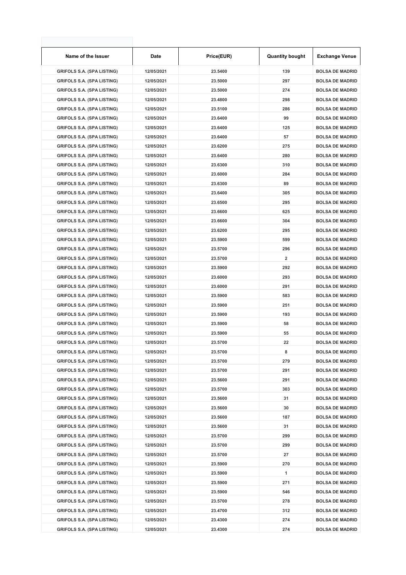| Name of the Issuer                                                     | Date                     | Price(EUR)         | <b>Quantity bought</b> | <b>Exchange Venue</b>                            |
|------------------------------------------------------------------------|--------------------------|--------------------|------------------------|--------------------------------------------------|
| <b>GRIFOLS S.A. (SPA LISTING)</b>                                      | 12/05/2021               | 23.5400            | 139                    | <b>BOLSA DE MADRID</b>                           |
| <b>GRIFOLS S.A. (SPA LISTING)</b>                                      | 12/05/2021               | 23.5000            | 297                    | <b>BOLSA DE MADRID</b>                           |
| <b>GRIFOLS S.A. (SPA LISTING)</b>                                      | 12/05/2021               | 23.5000            | 274                    | <b>BOLSA DE MADRID</b>                           |
| <b>GRIFOLS S.A. (SPA LISTING)</b>                                      | 12/05/2021               | 23.4800            | 298                    | <b>BOLSA DE MADRID</b>                           |
| <b>GRIFOLS S.A. (SPA LISTING)</b>                                      | 12/05/2021               | 23.5100            | 286                    | <b>BOLSA DE MADRID</b>                           |
| <b>GRIFOLS S.A. (SPA LISTING)</b>                                      | 12/05/2021               | 23.6400            | 99                     | <b>BOLSA DE MADRID</b>                           |
| <b>GRIFOLS S.A. (SPA LISTING)</b>                                      | 12/05/2021               | 23.6400            | 125                    | <b>BOLSA DE MADRID</b>                           |
| <b>GRIFOLS S.A. (SPA LISTING)</b>                                      | 12/05/2021               | 23.6400            | 57                     | <b>BOLSA DE MADRID</b>                           |
| <b>GRIFOLS S.A. (SPA LISTING)</b>                                      | 12/05/2021               | 23.6200            | 275                    | <b>BOLSA DE MADRID</b>                           |
| <b>GRIFOLS S.A. (SPA LISTING)</b>                                      | 12/05/2021               | 23.6400            | 280                    | <b>BOLSA DE MADRID</b>                           |
| <b>GRIFOLS S.A. (SPA LISTING)</b>                                      | 12/05/2021               | 23.6300            | 310                    | <b>BOLSA DE MADRID</b>                           |
| <b>GRIFOLS S.A. (SPA LISTING)</b>                                      | 12/05/2021               | 23.6000            | 284                    | <b>BOLSA DE MADRID</b>                           |
| <b>GRIFOLS S.A. (SPA LISTING)</b>                                      | 12/05/2021               | 23.6300            | 89                     | <b>BOLSA DE MADRID</b>                           |
| <b>GRIFOLS S.A. (SPA LISTING)</b>                                      | 12/05/2021               | 23.6400            | 305                    | <b>BOLSA DE MADRID</b>                           |
| <b>GRIFOLS S.A. (SPA LISTING)</b>                                      | 12/05/2021               | 23.6500            | 295                    | <b>BOLSA DE MADRID</b>                           |
| <b>GRIFOLS S.A. (SPA LISTING)</b>                                      | 12/05/2021               | 23.6600            | 625                    | <b>BOLSA DE MADRID</b>                           |
| <b>GRIFOLS S.A. (SPA LISTING)</b>                                      | 12/05/2021               | 23.6600            | 304                    | <b>BOLSA DE MADRID</b>                           |
| <b>GRIFOLS S.A. (SPA LISTING)</b>                                      | 12/05/2021               | 23.6200            | 295                    | <b>BOLSA DE MADRID</b>                           |
| <b>GRIFOLS S.A. (SPA LISTING)</b>                                      | 12/05/2021               | 23.5900            | 599                    | <b>BOLSA DE MADRID</b>                           |
| <b>GRIFOLS S.A. (SPA LISTING)</b>                                      | 12/05/2021               | 23.5700            | 296                    | <b>BOLSA DE MADRID</b>                           |
| <b>GRIFOLS S.A. (SPA LISTING)</b>                                      | 12/05/2021               | 23.5700            | 2                      | <b>BOLSA DE MADRID</b>                           |
| <b>GRIFOLS S.A. (SPA LISTING)</b>                                      | 12/05/2021               | 23.5900            | 292                    | <b>BOLSA DE MADRID</b>                           |
| <b>GRIFOLS S.A. (SPA LISTING)</b>                                      | 12/05/2021               | 23.6000            | 293                    | <b>BOLSA DE MADRID</b>                           |
| <b>GRIFOLS S.A. (SPA LISTING)</b>                                      | 12/05/2021               | 23.6000            | 291                    | <b>BOLSA DE MADRID</b>                           |
| <b>GRIFOLS S.A. (SPA LISTING)</b>                                      | 12/05/2021               | 23.5900            | 583                    | <b>BOLSA DE MADRID</b>                           |
| <b>GRIFOLS S.A. (SPA LISTING)</b>                                      | 12/05/2021               | 23.5900            | 251                    | <b>BOLSA DE MADRID</b>                           |
| <b>GRIFOLS S.A. (SPA LISTING)</b>                                      | 12/05/2021               | 23.5900            | 193                    | <b>BOLSA DE MADRID</b>                           |
| <b>GRIFOLS S.A. (SPA LISTING)</b>                                      | 12/05/2021               | 23.5900            | 58                     | <b>BOLSA DE MADRID</b>                           |
| <b>GRIFOLS S.A. (SPA LISTING)</b>                                      | 12/05/2021               | 23.5900            | 55                     | <b>BOLSA DE MADRID</b>                           |
| <b>GRIFOLS S.A. (SPA LISTING)</b>                                      | 12/05/2021               | 23.5700            | 22                     | <b>BOLSA DE MADRID</b>                           |
|                                                                        |                          |                    |                        |                                                  |
| <b>GRIFOLS S.A. (SPA LISTING)</b><br><b>GRIFOLS S.A. (SPA LISTING)</b> | 12/05/2021<br>12/05/2021 | 23.5700<br>23.5700 | 8<br>279               | <b>BOLSA DE MADRID</b><br><b>BOLSA DE MADRID</b> |
| <b>GRIFOLS S.A. (SPA LISTING)</b>                                      | 12/05/2021               | 23.5700            | 291                    | <b>BOLSA DE MADRID</b>                           |
|                                                                        |                          |                    | 291                    | <b>BOLSA DE MADRID</b>                           |
| <b>GRIFOLS S.A. (SPA LISTING)</b><br><b>GRIFOLS S.A. (SPA LISTING)</b> | 12/05/2021               | 23.5600            |                        | <b>BOLSA DE MADRID</b>                           |
|                                                                        | 12/05/2021               | 23.5700            | 303                    |                                                  |
| <b>GRIFOLS S.A. (SPA LISTING)</b>                                      | 12/05/2021               | 23.5600            | 31                     | <b>BOLSA DE MADRID</b>                           |
| <b>GRIFOLS S.A. (SPA LISTING)</b>                                      | 12/05/2021               | 23.5600            | 30                     | <b>BOLSA DE MADRID</b>                           |
| <b>GRIFOLS S.A. (SPA LISTING)</b>                                      | 12/05/2021               | 23.5600            | 187                    | <b>BOLSA DE MADRID</b>                           |
| <b>GRIFOLS S.A. (SPA LISTING)</b>                                      | 12/05/2021               | 23.5600            | 31                     | <b>BOLSA DE MADRID</b>                           |
| <b>GRIFOLS S.A. (SPA LISTING)</b>                                      | 12/05/2021               | 23.5700            | 299                    | <b>BOLSA DE MADRID</b>                           |
| <b>GRIFOLS S.A. (SPA LISTING)</b>                                      | 12/05/2021               | 23.5700            | 299                    | <b>BOLSA DE MADRID</b>                           |
| <b>GRIFOLS S.A. (SPA LISTING)</b>                                      | 12/05/2021               | 23.5700            | 27                     | <b>BOLSA DE MADRID</b>                           |
| <b>GRIFOLS S.A. (SPA LISTING)</b>                                      | 12/05/2021               | 23.5900            | 270                    | <b>BOLSA DE MADRID</b>                           |
| <b>GRIFOLS S.A. (SPA LISTING)</b>                                      | 12/05/2021               | 23.5900            | 1                      | <b>BOLSA DE MADRID</b>                           |
| <b>GRIFOLS S.A. (SPA LISTING)</b>                                      | 12/05/2021               | 23.5900            | 271                    | <b>BOLSA DE MADRID</b>                           |
| <b>GRIFOLS S.A. (SPA LISTING)</b>                                      | 12/05/2021               | 23.5900            | 546                    | <b>BOLSA DE MADRID</b>                           |
| <b>GRIFOLS S.A. (SPA LISTING)</b>                                      | 12/05/2021               | 23.5700            | 278                    | <b>BOLSA DE MADRID</b>                           |
| <b>GRIFOLS S.A. (SPA LISTING)</b>                                      | 12/05/2021               | 23.4700            | 312                    | <b>BOLSA DE MADRID</b>                           |
| <b>GRIFOLS S.A. (SPA LISTING)</b>                                      | 12/05/2021               | 23.4300            | 274                    | <b>BOLSA DE MADRID</b>                           |
| <b>GRIFOLS S.A. (SPA LISTING)</b>                                      | 12/05/2021               | 23.4300            | 274                    | <b>BOLSA DE MADRID</b>                           |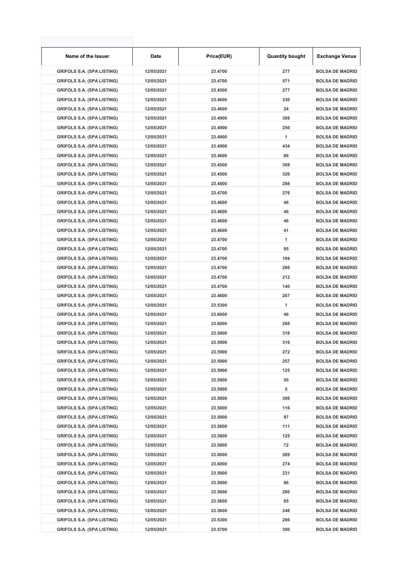| Name of the Issuer                | Date       | Price(EUR) | <b>Quantity bought</b> | <b>Exchange Venue</b>  |
|-----------------------------------|------------|------------|------------------------|------------------------|
| <b>GRIFOLS S.A. (SPA LISTING)</b> | 12/05/2021 | 23.4700    | 277                    | <b>BOLSA DE MADRID</b> |
| <b>GRIFOLS S.A. (SPA LISTING)</b> | 12/05/2021 | 23.4700    | 571                    | <b>BOLSA DE MADRID</b> |
| <b>GRIFOLS S.A. (SPA LISTING)</b> | 12/05/2021 | 23.4500    | 277                    | <b>BOLSA DE MADRID</b> |
| <b>GRIFOLS S.A. (SPA LISTING)</b> | 12/05/2021 | 23.4600    | 230                    | <b>BOLSA DE MADRID</b> |
| <b>GRIFOLS S.A. (SPA LISTING)</b> | 12/05/2021 | 23.4600    | 24                     | <b>BOLSA DE MADRID</b> |
| <b>GRIFOLS S.A. (SPA LISTING)</b> | 12/05/2021 | 23.4900    | 308                    | <b>BOLSA DE MADRID</b> |
| <b>GRIFOLS S.A. (SPA LISTING)</b> | 12/05/2021 | 23.4900    | 250                    | <b>BOLSA DE MADRID</b> |
| <b>GRIFOLS S.A. (SPA LISTING)</b> | 12/05/2021 | 23.4900    | 1                      | <b>BOLSA DE MADRID</b> |
| <b>GRIFOLS S.A. (SPA LISTING)</b> | 12/05/2021 | 23.4900    | 434                    | <b>BOLSA DE MADRID</b> |
| <b>GRIFOLS S.A. (SPA LISTING)</b> | 12/05/2021 | 23.4600    | 86                     | <b>BOLSA DE MADRID</b> |
| <b>GRIFOLS S.A. (SPA LISTING)</b> | 12/05/2021 | 23.4500    | 309                    | <b>BOLSA DE MADRID</b> |
| <b>GRIFOLS S.A. (SPA LISTING)</b> | 12/05/2021 | 23.4500    | 320                    | <b>BOLSA DE MADRID</b> |
| <b>GRIFOLS S.A. (SPA LISTING)</b> | 12/05/2021 | 23.4800    | 298                    | <b>BOLSA DE MADRID</b> |
| <b>GRIFOLS S.A. (SPA LISTING)</b> | 12/05/2021 | 23.4700    | 276                    | <b>BOLSA DE MADRID</b> |
| <b>GRIFOLS S.A. (SPA LISTING)</b> | 12/05/2021 | 23.4600    | 46                     | <b>BOLSA DE MADRID</b> |
| <b>GRIFOLS S.A. (SPA LISTING)</b> | 12/05/2021 | 23.4600    | 46                     | <b>BOLSA DE MADRID</b> |
| <b>GRIFOLS S.A. (SPA LISTING)</b> | 12/05/2021 | 23.4600    | 46                     | <b>BOLSA DE MADRID</b> |
| <b>GRIFOLS S.A. (SPA LISTING)</b> | 12/05/2021 | 23.4600    | 41                     | <b>BOLSA DE MADRID</b> |
| <b>GRIFOLS S.A. (SPA LISTING)</b> | 12/05/2021 | 23.4700    | 1                      | <b>BOLSA DE MADRID</b> |
| <b>GRIFOLS S.A. (SPA LISTING)</b> | 12/05/2021 | 23.4700    | 95                     | <b>BOLSA DE MADRID</b> |
| <b>GRIFOLS S.A. (SPA LISTING)</b> | 12/05/2021 | 23.4700    | 194                    | <b>BOLSA DE MADRID</b> |
| <b>GRIFOLS S.A. (SPA LISTING)</b> | 12/05/2021 | 23.4700    | 286                    | <b>BOLSA DE MADRID</b> |
| <b>GRIFOLS S.A. (SPA LISTING)</b> | 12/05/2021 | 23.4700    | 212                    | <b>BOLSA DE MADRID</b> |
| <b>GRIFOLS S.A. (SPA LISTING)</b> | 12/05/2021 | 23.4700    | 140                    | <b>BOLSA DE MADRID</b> |
| <b>GRIFOLS S.A. (SPA LISTING)</b> | 12/05/2021 | 23.4600    | 267                    | <b>BOLSA DE MADRID</b> |
| <b>GRIFOLS S.A. (SPA LISTING)</b> | 12/05/2021 | 23.5300    | 1                      | <b>BOLSA DE MADRID</b> |
| <b>GRIFOLS S.A. (SPA LISTING)</b> | 12/05/2021 | 23.6000    | 46                     | <b>BOLSA DE MADRID</b> |
| <b>GRIFOLS S.A. (SPA LISTING)</b> | 12/05/2021 | 23.6000    | 288                    | <b>BOLSA DE MADRID</b> |
| <b>GRIFOLS S.A. (SPA LISTING)</b> | 12/05/2021 | 23.5900    | 316                    | <b>BOLSA DE MADRID</b> |
| <b>GRIFOLS S.A. (SPA LISTING)</b> | 12/05/2021 | 23.5900    | 316                    | <b>BOLSA DE MADRID</b> |
| <b>GRIFOLS S.A. (SPA LISTING)</b> | 12/05/2021 | 23.5900    | 272                    | <b>BOLSA DE MADRID</b> |
| <b>GRIFOLS S.A. (SPA LISTING)</b> | 12/05/2021 | 23.5900    | 257                    | <b>BOLSA DE MADRID</b> |
| <b>GRIFOLS S.A. (SPA LISTING)</b> | 12/05/2021 | 23.5900    | 125                    | <b>BOLSA DE MADRID</b> |
| <b>GRIFOLS S.A. (SPA LISTING)</b> | 12/05/2021 | 23.5900    | 50                     | <b>BOLSA DE MADRID</b> |
| <b>GRIFOLS S.A. (SPA LISTING)</b> | 12/05/2021 | 23.5900    | 5                      | <b>BOLSA DE MADRID</b> |
| <b>GRIFOLS S.A. (SPA LISTING)</b> | 12/05/2021 | 23.5800    | 306                    | <b>BOLSA DE MADRID</b> |
| <b>GRIFOLS S.A. (SPA LISTING)</b> | 12/05/2021 | 23.5800    | 116                    | <b>BOLSA DE MADRID</b> |
| <b>GRIFOLS S.A. (SPA LISTING)</b> | 12/05/2021 | 23.5800    | 97                     | <b>BOLSA DE MADRID</b> |
| <b>GRIFOLS S.A. (SPA LISTING)</b> | 12/05/2021 | 23.5800    | 111                    | <b>BOLSA DE MADRID</b> |
| <b>GRIFOLS S.A. (SPA LISTING)</b> | 12/05/2021 | 23.5800    | 125                    | <b>BOLSA DE MADRID</b> |
| <b>GRIFOLS S.A. (SPA LISTING)</b> | 12/05/2021 | 23.5800    | 72                     | <b>BOLSA DE MADRID</b> |
| <b>GRIFOLS S.A. (SPA LISTING)</b> | 12/05/2021 | 23.6000    | 589                    | <b>BOLSA DE MADRID</b> |
| <b>GRIFOLS S.A. (SPA LISTING)</b> | 12/05/2021 | 23.6000    | 274                    | <b>BOLSA DE MADRID</b> |
| <b>GRIFOLS S.A. (SPA LISTING)</b> | 12/05/2021 | 23.5800    | 231                    | <b>BOLSA DE MADRID</b> |
| <b>GRIFOLS S.A. (SPA LISTING)</b> | 12/05/2021 | 23.5800    | 86                     | <b>BOLSA DE MADRID</b> |
| <b>GRIFOLS S.A. (SPA LISTING)</b> | 12/05/2021 | 23.5800    | 280                    | <b>BOLSA DE MADRID</b> |
| <b>GRIFOLS S.A. (SPA LISTING)</b> | 12/05/2021 | 23.5600    | 85                     | <b>BOLSA DE MADRID</b> |
| <b>GRIFOLS S.A. (SPA LISTING)</b> | 12/05/2021 | 23.5600    | 246                    | <b>BOLSA DE MADRID</b> |
| <b>GRIFOLS S.A. (SPA LISTING)</b> | 12/05/2021 | 23.5300    | 286                    | <b>BOLSA DE MADRID</b> |
| <b>GRIFOLS S.A. (SPA LISTING)</b> | 12/05/2021 | 23.5700    | 300                    | <b>BOLSA DE MADRID</b> |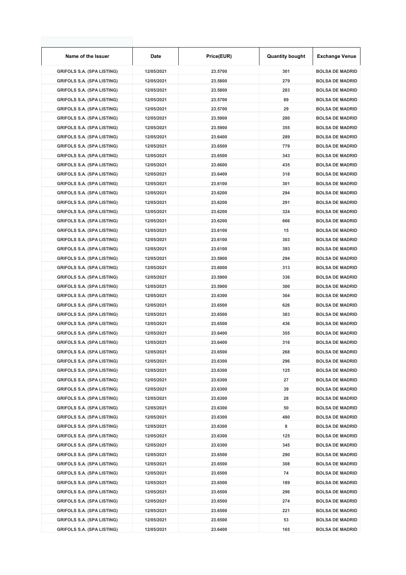| Name of the Issuer                | Date       | Price(EUR) | <b>Quantity bought</b> | <b>Exchange Venue</b>  |
|-----------------------------------|------------|------------|------------------------|------------------------|
| <b>GRIFOLS S.A. (SPA LISTING)</b> | 12/05/2021 | 23.5700    | 301                    | <b>BOLSA DE MADRID</b> |
| <b>GRIFOLS S.A. (SPA LISTING)</b> | 12/05/2021 | 23.5800    | 279                    | <b>BOLSA DE MADRID</b> |
| <b>GRIFOLS S.A. (SPA LISTING)</b> | 12/05/2021 | 23.5800    | 283                    | <b>BOLSA DE MADRID</b> |
| <b>GRIFOLS S.A. (SPA LISTING)</b> | 12/05/2021 | 23.5700    | 89                     | <b>BOLSA DE MADRID</b> |
| <b>GRIFOLS S.A. (SPA LISTING)</b> | 12/05/2021 | 23.5700    | 29                     | <b>BOLSA DE MADRID</b> |
| <b>GRIFOLS S.A. (SPA LISTING)</b> | 12/05/2021 | 23.5900    | 280                    | <b>BOLSA DE MADRID</b> |
| <b>GRIFOLS S.A. (SPA LISTING)</b> | 12/05/2021 | 23.5900    | 355                    | <b>BOLSA DE MADRID</b> |
| <b>GRIFOLS S.A. (SPA LISTING)</b> | 12/05/2021 | 23.6400    | 289                    | <b>BOLSA DE MADRID</b> |
| <b>GRIFOLS S.A. (SPA LISTING)</b> | 12/05/2021 | 23.6500    | 779                    | <b>BOLSA DE MADRID</b> |
| <b>GRIFOLS S.A. (SPA LISTING)</b> | 12/05/2021 | 23.6500    | 343                    | <b>BOLSA DE MADRID</b> |
| <b>GRIFOLS S.A. (SPA LISTING)</b> | 12/05/2021 | 23.6600    | 435                    | <b>BOLSA DE MADRID</b> |
| <b>GRIFOLS S.A. (SPA LISTING)</b> | 12/05/2021 | 23.6400    | 318                    | <b>BOLSA DE MADRID</b> |
| <b>GRIFOLS S.A. (SPA LISTING)</b> | 12/05/2021 | 23.6100    | 301                    | <b>BOLSA DE MADRID</b> |
| <b>GRIFOLS S.A. (SPA LISTING)</b> | 12/05/2021 | 23.6200    | 294                    | <b>BOLSA DE MADRID</b> |
| <b>GRIFOLS S.A. (SPA LISTING)</b> | 12/05/2021 | 23.6200    | 291                    | <b>BOLSA DE MADRID</b> |
| <b>GRIFOLS S.A. (SPA LISTING)</b> | 12/05/2021 | 23.6200    | 324                    | <b>BOLSA DE MADRID</b> |
| <b>GRIFOLS S.A. (SPA LISTING)</b> | 12/05/2021 | 23.6200    | 666                    | <b>BOLSA DE MADRID</b> |
| <b>GRIFOLS S.A. (SPA LISTING)</b> | 12/05/2021 | 23.6100    | 15                     | <b>BOLSA DE MADRID</b> |
| <b>GRIFOLS S.A. (SPA LISTING)</b> | 12/05/2021 | 23.6100    | 303                    | <b>BOLSA DE MADRID</b> |
| <b>GRIFOLS S.A. (SPA LISTING)</b> | 12/05/2021 | 23.6100    | 393                    | <b>BOLSA DE MADRID</b> |
| <b>GRIFOLS S.A. (SPA LISTING)</b> | 12/05/2021 | 23.5900    | 294                    | <b>BOLSA DE MADRID</b> |
| <b>GRIFOLS S.A. (SPA LISTING)</b> | 12/05/2021 | 23.6000    | 313                    | <b>BOLSA DE MADRID</b> |
| <b>GRIFOLS S.A. (SPA LISTING)</b> | 12/05/2021 | 23.5900    | 336                    | <b>BOLSA DE MADRID</b> |
| <b>GRIFOLS S.A. (SPA LISTING)</b> | 12/05/2021 | 23.5900    | 300                    | <b>BOLSA DE MADRID</b> |
| <b>GRIFOLS S.A. (SPA LISTING)</b> | 12/05/2021 | 23.6300    | 304                    | <b>BOLSA DE MADRID</b> |
| <b>GRIFOLS S.A. (SPA LISTING)</b> | 12/05/2021 | 23.6500    | 626                    | <b>BOLSA DE MADRID</b> |
| <b>GRIFOLS S.A. (SPA LISTING)</b> | 12/05/2021 | 23.6500    | 383                    | <b>BOLSA DE MADRID</b> |
| <b>GRIFOLS S.A. (SPA LISTING)</b> | 12/05/2021 | 23.6500    | 436                    | <b>BOLSA DE MADRID</b> |
| <b>GRIFOLS S.A. (SPA LISTING)</b> | 12/05/2021 | 23.6400    | 355                    | <b>BOLSA DE MADRID</b> |
| <b>GRIFOLS S.A. (SPA LISTING)</b> | 12/05/2021 | 23.6400    | 316                    | <b>BOLSA DE MADRID</b> |
| <b>GRIFOLS S.A. (SPA LISTING)</b> | 12/05/2021 | 23.6500    | 268                    | <b>BOLSA DE MADRID</b> |
| <b>GRIFOLS S.A. (SPA LISTING)</b> | 12/05/2021 | 23.6300    | 296                    | <b>BOLSA DE MADRID</b> |
| <b>GRIFOLS S.A. (SPA LISTING)</b> | 12/05/2021 | 23.6300    | 125                    | <b>BOLSA DE MADRID</b> |
| <b>GRIFOLS S.A. (SPA LISTING)</b> | 12/05/2021 | 23.6300    | 27                     | <b>BOLSA DE MADRID</b> |
| <b>GRIFOLS S.A. (SPA LISTING)</b> | 12/05/2021 | 23.6300    | 39                     | <b>BOLSA DE MADRID</b> |
| <b>GRIFOLS S.A. (SPA LISTING)</b> | 12/05/2021 | 23.6300    | 28                     | <b>BOLSA DE MADRID</b> |
| <b>GRIFOLS S.A. (SPA LISTING)</b> | 12/05/2021 | 23.6300    | 50                     | <b>BOLSA DE MADRID</b> |
| <b>GRIFOLS S.A. (SPA LISTING)</b> | 12/05/2021 | 23.6300    | 480                    | <b>BOLSA DE MADRID</b> |
| <b>GRIFOLS S.A. (SPA LISTING)</b> | 12/05/2021 | 23.6300    | 8                      | <b>BOLSA DE MADRID</b> |
| <b>GRIFOLS S.A. (SPA LISTING)</b> | 12/05/2021 | 23.6300    | 125                    | <b>BOLSA DE MADRID</b> |
| <b>GRIFOLS S.A. (SPA LISTING)</b> | 12/05/2021 | 23.6300    | 345                    | <b>BOLSA DE MADRID</b> |
| <b>GRIFOLS S.A. (SPA LISTING)</b> | 12/05/2021 | 23.6500    | 290                    | <b>BOLSA DE MADRID</b> |
| <b>GRIFOLS S.A. (SPA LISTING)</b> | 12/05/2021 | 23.6500    | 308                    | <b>BOLSA DE MADRID</b> |
| <b>GRIFOLS S.A. (SPA LISTING)</b> | 12/05/2021 | 23.6500    | 74                     | <b>BOLSA DE MADRID</b> |
| <b>GRIFOLS S.A. (SPA LISTING)</b> | 12/05/2021 | 23.6500    | 189                    | <b>BOLSA DE MADRID</b> |
| <b>GRIFOLS S.A. (SPA LISTING)</b> | 12/05/2021 | 23.6500    | 296                    | <b>BOLSA DE MADRID</b> |
| <b>GRIFOLS S.A. (SPA LISTING)</b> | 12/05/2021 | 23.6500    | 274                    | <b>BOLSA DE MADRID</b> |
| <b>GRIFOLS S.A. (SPA LISTING)</b> | 12/05/2021 | 23.6500    | 221                    | <b>BOLSA DE MADRID</b> |
| <b>GRIFOLS S.A. (SPA LISTING)</b> | 12/05/2021 | 23.6500    | 53                     | <b>BOLSA DE MADRID</b> |
| <b>GRIFOLS S.A. (SPA LISTING)</b> | 12/05/2021 | 23.6400    | 165                    | <b>BOLSA DE MADRID</b> |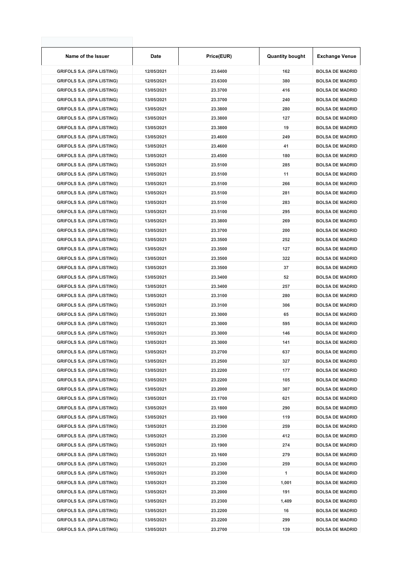| Name of the Issuer                | Date       | Price(EUR) | <b>Quantity bought</b> | <b>Exchange Venue</b>  |
|-----------------------------------|------------|------------|------------------------|------------------------|
| <b>GRIFOLS S.A. (SPA LISTING)</b> | 12/05/2021 | 23.6400    | 162                    | <b>BOLSA DE MADRID</b> |
| <b>GRIFOLS S.A. (SPA LISTING)</b> | 12/05/2021 | 23.6300    | 380                    | <b>BOLSA DE MADRID</b> |
| <b>GRIFOLS S.A. (SPA LISTING)</b> | 13/05/2021 | 23.3700    | 416                    | <b>BOLSA DE MADRID</b> |
| <b>GRIFOLS S.A. (SPA LISTING)</b> | 13/05/2021 | 23.3700    | 240                    | <b>BOLSA DE MADRID</b> |
| <b>GRIFOLS S.A. (SPA LISTING)</b> | 13/05/2021 | 23.3800    | 280                    | <b>BOLSA DE MADRID</b> |
| <b>GRIFOLS S.A. (SPA LISTING)</b> | 13/05/2021 | 23.3800    | 127                    | <b>BOLSA DE MADRID</b> |
| <b>GRIFOLS S.A. (SPA LISTING)</b> | 13/05/2021 | 23.3800    | 19                     | <b>BOLSA DE MADRID</b> |
| <b>GRIFOLS S.A. (SPA LISTING)</b> | 13/05/2021 | 23.4600    | 249                    | <b>BOLSA DE MADRID</b> |
| <b>GRIFOLS S.A. (SPA LISTING)</b> | 13/05/2021 | 23.4600    | 41                     | <b>BOLSA DE MADRID</b> |
| <b>GRIFOLS S.A. (SPA LISTING)</b> | 13/05/2021 | 23.4500    | 180                    | <b>BOLSA DE MADRID</b> |
| <b>GRIFOLS S.A. (SPA LISTING)</b> | 13/05/2021 | 23.5100    | 285                    | <b>BOLSA DE MADRID</b> |
| <b>GRIFOLS S.A. (SPA LISTING)</b> | 13/05/2021 | 23.5100    | 11                     | <b>BOLSA DE MADRID</b> |
| <b>GRIFOLS S.A. (SPA LISTING)</b> | 13/05/2021 | 23.5100    | 266                    | <b>BOLSA DE MADRID</b> |
| <b>GRIFOLS S.A. (SPA LISTING)</b> | 13/05/2021 | 23.5100    | 281                    | <b>BOLSA DE MADRID</b> |
| <b>GRIFOLS S.A. (SPA LISTING)</b> | 13/05/2021 | 23.5100    | 283                    | <b>BOLSA DE MADRID</b> |
| <b>GRIFOLS S.A. (SPA LISTING)</b> | 13/05/2021 | 23.5100    | 295                    | <b>BOLSA DE MADRID</b> |
| <b>GRIFOLS S.A. (SPA LISTING)</b> | 13/05/2021 | 23.3800    | 269                    | <b>BOLSA DE MADRID</b> |
| <b>GRIFOLS S.A. (SPA LISTING)</b> | 13/05/2021 | 23.3700    | 200                    | <b>BOLSA DE MADRID</b> |
| <b>GRIFOLS S.A. (SPA LISTING)</b> | 13/05/2021 | 23.3500    | 252                    | <b>BOLSA DE MADRID</b> |
| <b>GRIFOLS S.A. (SPA LISTING)</b> | 13/05/2021 | 23.3500    | 127                    | <b>BOLSA DE MADRID</b> |
| <b>GRIFOLS S.A. (SPA LISTING)</b> | 13/05/2021 | 23.3500    | 322                    | <b>BOLSA DE MADRID</b> |
| <b>GRIFOLS S.A. (SPA LISTING)</b> | 13/05/2021 | 23.3500    | 37                     | <b>BOLSA DE MADRID</b> |
| <b>GRIFOLS S.A. (SPA LISTING)</b> | 13/05/2021 | 23.3400    | 52                     | <b>BOLSA DE MADRID</b> |
| <b>GRIFOLS S.A. (SPA LISTING)</b> | 13/05/2021 | 23.3400    | 257                    | <b>BOLSA DE MADRID</b> |
| <b>GRIFOLS S.A. (SPA LISTING)</b> | 13/05/2021 | 23.3100    | 280                    | <b>BOLSA DE MADRID</b> |
| <b>GRIFOLS S.A. (SPA LISTING)</b> | 13/05/2021 | 23.3100    | 306                    | <b>BOLSA DE MADRID</b> |
| <b>GRIFOLS S.A. (SPA LISTING)</b> | 13/05/2021 | 23.3000    | 65                     | <b>BOLSA DE MADRID</b> |
| <b>GRIFOLS S.A. (SPA LISTING)</b> | 13/05/2021 | 23.3000    | 595                    | <b>BOLSA DE MADRID</b> |
| <b>GRIFOLS S.A. (SPA LISTING)</b> | 13/05/2021 | 23.3000    | 146                    | <b>BOLSA DE MADRID</b> |
| <b>GRIFOLS S.A. (SPA LISTING)</b> | 13/05/2021 | 23.3000    | 141                    | <b>BOLSA DE MADRID</b> |
| <b>GRIFOLS S.A. (SPA LISTING)</b> | 13/05/2021 | 23.2700    | 637                    | <b>BOLSA DE MADRID</b> |
| <b>GRIFOLS S.A. (SPA LISTING)</b> | 13/05/2021 | 23.2500    | 327                    | <b>BOLSA DE MADRID</b> |
| <b>GRIFOLS S.A. (SPA LISTING)</b> | 13/05/2021 | 23.2200    | 177                    | <b>BOLSA DE MADRID</b> |
| <b>GRIFOLS S.A. (SPA LISTING)</b> | 13/05/2021 | 23.2200    | 105                    | <b>BOLSA DE MADRID</b> |
| <b>GRIFOLS S.A. (SPA LISTING)</b> | 13/05/2021 | 23.2000    | 307                    | <b>BOLSA DE MADRID</b> |
| <b>GRIFOLS S.A. (SPA LISTING)</b> | 13/05/2021 | 23.1700    | 621                    | <b>BOLSA DE MADRID</b> |
| <b>GRIFOLS S.A. (SPA LISTING)</b> | 13/05/2021 | 23.1800    | 290                    | <b>BOLSA DE MADRID</b> |
| <b>GRIFOLS S.A. (SPA LISTING)</b> | 13/05/2021 | 23.1900    | 119                    | <b>BOLSA DE MADRID</b> |
| <b>GRIFOLS S.A. (SPA LISTING)</b> | 13/05/2021 | 23.2300    | 259                    | <b>BOLSA DE MADRID</b> |
| <b>GRIFOLS S.A. (SPA LISTING)</b> | 13/05/2021 | 23.2300    | 412                    | <b>BOLSA DE MADRID</b> |
| <b>GRIFOLS S.A. (SPA LISTING)</b> | 13/05/2021 | 23.1900    | 274                    | <b>BOLSA DE MADRID</b> |
| <b>GRIFOLS S.A. (SPA LISTING)</b> | 13/05/2021 | 23.1600    | 279                    | <b>BOLSA DE MADRID</b> |
| <b>GRIFOLS S.A. (SPA LISTING)</b> | 13/05/2021 | 23.2300    | 259                    | <b>BOLSA DE MADRID</b> |
| <b>GRIFOLS S.A. (SPA LISTING)</b> | 13/05/2021 | 23.2300    | 1                      | <b>BOLSA DE MADRID</b> |
| <b>GRIFOLS S.A. (SPA LISTING)</b> | 13/05/2021 | 23.2300    | 1,001                  | <b>BOLSA DE MADRID</b> |
| <b>GRIFOLS S.A. (SPA LISTING)</b> | 13/05/2021 | 23.2000    | 191                    | <b>BOLSA DE MADRID</b> |
| <b>GRIFOLS S.A. (SPA LISTING)</b> | 13/05/2021 | 23.2300    | 1,409                  | <b>BOLSA DE MADRID</b> |
| <b>GRIFOLS S.A. (SPA LISTING)</b> | 13/05/2021 | 23.2200    | 16                     | <b>BOLSA DE MADRID</b> |
| <b>GRIFOLS S.A. (SPA LISTING)</b> | 13/05/2021 | 23.2200    | 299                    | <b>BOLSA DE MADRID</b> |
| <b>GRIFOLS S.A. (SPA LISTING)</b> | 13/05/2021 | 23.2700    | 139                    | <b>BOLSA DE MADRID</b> |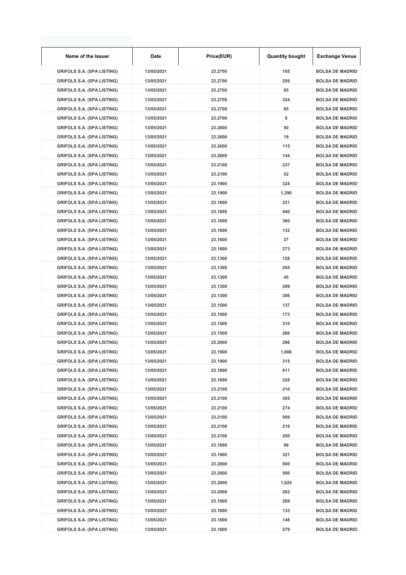| Name of the Issuer                | Date       | Price(EUR) | <b>Quantity bought</b> | <b>Exchange Venue</b>  |
|-----------------------------------|------------|------------|------------------------|------------------------|
| <b>GRIFOLS S.A. (SPA LISTING)</b> | 13/05/2021 | 23.2700    | 105                    | <b>BOLSA DE MADRID</b> |
| <b>GRIFOLS S.A. (SPA LISTING)</b> | 13/05/2021 | 23.2700    | 259                    | <b>BOLSA DE MADRID</b> |
| <b>GRIFOLS S.A. (SPA LISTING)</b> | 13/05/2021 | 23.2700    | 65                     | <b>BOLSA DE MADRID</b> |
| <b>GRIFOLS S.A. (SPA LISTING)</b> | 13/05/2021 | 23.2700    | 324                    | <b>BOLSA DE MADRID</b> |
| <b>GRIFOLS S.A. (SPA LISTING)</b> | 13/05/2021 | 23.2700    | 65                     | <b>BOLSA DE MADRID</b> |
| <b>GRIFOLS S.A. (SPA LISTING)</b> | 13/05/2021 | 23.2700    | 9                      | <b>BOLSA DE MADRID</b> |
| <b>GRIFOLS S.A. (SPA LISTING)</b> | 13/05/2021 | 23.2600    | 50                     | <b>BOLSA DE MADRID</b> |
| <b>GRIFOLS S.A. (SPA LISTING)</b> | 13/05/2021 | 23.2600    | 19                     | <b>BOLSA DE MADRID</b> |
| <b>GRIFOLS S.A. (SPA LISTING)</b> | 13/05/2021 | 23.2600    | 115                    | <b>BOLSA DE MADRID</b> |
| <b>GRIFOLS S.A. (SPA LISTING)</b> | 13/05/2021 | 23.2600    | 144                    | <b>BOLSA DE MADRID</b> |
| <b>GRIFOLS S.A. (SPA LISTING)</b> | 13/05/2021 | 23.2100    | 237                    | <b>BOLSA DE MADRID</b> |
| <b>GRIFOLS S.A. (SPA LISTING)</b> | 13/05/2021 | 23.2100    | 52                     | <b>BOLSA DE MADRID</b> |
| <b>GRIFOLS S.A. (SPA LISTING)</b> | 13/05/2021 | 23.1900    | 324                    | <b>BOLSA DE MADRID</b> |
| <b>GRIFOLS S.A. (SPA LISTING)</b> | 13/05/2021 | 23.1900    | 1,290                  | <b>BOLSA DE MADRID</b> |
| <b>GRIFOLS S.A. (SPA LISTING)</b> | 13/05/2021 | 23.1800    | 221                    | <b>BOLSA DE MADRID</b> |
| <b>GRIFOLS S.A. (SPA LISTING)</b> | 13/05/2021 | 23.1800    | 440                    | <b>BOLSA DE MADRID</b> |
| <b>GRIFOLS S.A. (SPA LISTING)</b> | 13/05/2021 | 23.1800    | 360                    | <b>BOLSA DE MADRID</b> |
| <b>GRIFOLS S.A. (SPA LISTING)</b> | 13/05/2021 | 23.1800    | 132                    | <b>BOLSA DE MADRID</b> |
| <b>GRIFOLS S.A. (SPA LISTING)</b> | 13/05/2021 | 23.1800    | 27                     | <b>BOLSA DE MADRID</b> |
| <b>GRIFOLS S.A. (SPA LISTING)</b> | 13/05/2021 | 23.1800    | 273                    | <b>BOLSA DE MADRID</b> |
| <b>GRIFOLS S.A. (SPA LISTING)</b> | 13/05/2021 | 23.1300    | 128                    | <b>BOLSA DE MADRID</b> |
| <b>GRIFOLS S.A. (SPA LISTING)</b> | 13/05/2021 | 23.1300    | 205                    | <b>BOLSA DE MADRID</b> |
| <b>GRIFOLS S.A. (SPA LISTING)</b> | 13/05/2021 | 23.1300    | 45                     | <b>BOLSA DE MADRID</b> |
| <b>GRIFOLS S.A. (SPA LISTING)</b> | 13/05/2021 | 23.1300    | 299                    | <b>BOLSA DE MADRID</b> |
| <b>GRIFOLS S.A. (SPA LISTING)</b> | 13/05/2021 | 23.1300    | 306                    | <b>BOLSA DE MADRID</b> |
| <b>GRIFOLS S.A. (SPA LISTING)</b> | 13/05/2021 | 23.1500    | 137                    | <b>BOLSA DE MADRID</b> |
| <b>GRIFOLS S.A. (SPA LISTING)</b> | 13/05/2021 | 23.1500    | 173                    | <b>BOLSA DE MADRID</b> |
| <b>GRIFOLS S.A. (SPA LISTING)</b> | 13/05/2021 | 23.1500    | 310                    | <b>BOLSA DE MADRID</b> |
| <b>GRIFOLS S.A. (SPA LISTING)</b> | 13/05/2021 | 23.1500    | 266                    | <b>BOLSA DE MADRID</b> |
| <b>GRIFOLS S.A. (SPA LISTING)</b> | 13/05/2021 | 23.2000    | 296                    | <b>BOLSA DE MADRID</b> |
| <b>GRIFOLS S.A. (SPA LISTING)</b> | 13/05/2021 | 23.1900    | 1,088                  | <b>BOLSA DE MADRID</b> |
| <b>GRIFOLS S.A. (SPA LISTING)</b> | 13/05/2021 | 23.1900    | 315                    | <b>BOLSA DE MADRID</b> |
| <b>GRIFOLS S.A. (SPA LISTING)</b> | 13/05/2021 | 23.1800    | 611                    | <b>BOLSA DE MADRID</b> |
| <b>GRIFOLS S.A. (SPA LISTING)</b> | 13/05/2021 | 23.1800    | 228                    | <b>BOLSA DE MADRID</b> |
| <b>GRIFOLS S.A. (SPA LISTING)</b> | 13/05/2021 | 23.2100    | 210                    | <b>BOLSA DE MADRID</b> |
| <b>GRIFOLS S.A. (SPA LISTING)</b> | 13/05/2021 | 23.2100    | 305                    | <b>BOLSA DE MADRID</b> |
| <b>GRIFOLS S.A. (SPA LISTING)</b> | 13/05/2021 | 23.2100    | 274                    | <b>BOLSA DE MADRID</b> |
| <b>GRIFOLS S.A. (SPA LISTING)</b> | 13/05/2021 | 23.2100    | 509                    | <b>BOLSA DE MADRID</b> |
| <b>GRIFOLS S.A. (SPA LISTING)</b> | 13/05/2021 | 23.2100    | 219                    | <b>BOLSA DE MADRID</b> |
| <b>GRIFOLS S.A. (SPA LISTING)</b> | 13/05/2021 | 23.2100    | 250                    | <b>BOLSA DE MADRID</b> |
| <b>GRIFOLS S.A. (SPA LISTING)</b> | 13/05/2021 | 23.1800    | 99                     | <b>BOLSA DE MADRID</b> |
| <b>GRIFOLS S.A. (SPA LISTING)</b> | 13/05/2021 | 23.1900    | 321                    | <b>BOLSA DE MADRID</b> |
| <b>GRIFOLS S.A. (SPA LISTING)</b> | 13/05/2021 | 23.2000    | 500                    | <b>BOLSA DE MADRID</b> |
| <b>GRIFOLS S.A. (SPA LISTING)</b> | 13/05/2021 | 23.2000    | 500                    | <b>BOLSA DE MADRID</b> |
| <b>GRIFOLS S.A. (SPA LISTING)</b> | 13/05/2021 | 23.2000    | 1,625                  | <b>BOLSA DE MADRID</b> |
| <b>GRIFOLS S.A. (SPA LISTING)</b> | 13/05/2021 | 23.2000    | 282                    | <b>BOLSA DE MADRID</b> |
| <b>GRIFOLS S.A. (SPA LISTING)</b> | 13/05/2021 | 23.1900    | 269                    | <b>BOLSA DE MADRID</b> |
| <b>GRIFOLS S.A. (SPA LISTING)</b> | 13/05/2021 | 23.1800    | 133                    | <b>BOLSA DE MADRID</b> |
| <b>GRIFOLS S.A. (SPA LISTING)</b> | 13/05/2021 | 23.1800    | 148                    | <b>BOLSA DE MADRID</b> |
| <b>GRIFOLS S.A. (SPA LISTING)</b> | 13/05/2021 | 23.1800    | 279                    | <b>BOLSA DE MADRID</b> |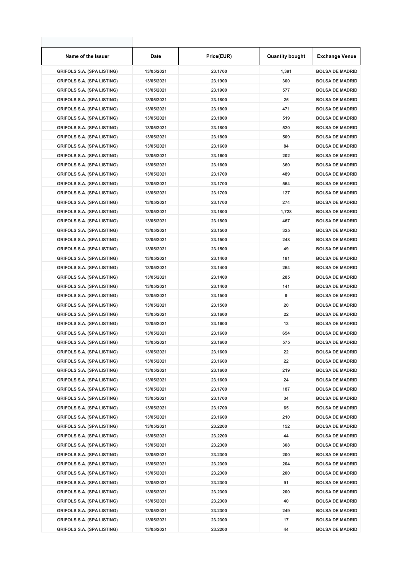| Name of the Issuer                | Date       | Price(EUR) | <b>Quantity bought</b> | <b>Exchange Venue</b>  |
|-----------------------------------|------------|------------|------------------------|------------------------|
| <b>GRIFOLS S.A. (SPA LISTING)</b> | 13/05/2021 | 23.1700    | 1,391                  | <b>BOLSA DE MADRID</b> |
| <b>GRIFOLS S.A. (SPA LISTING)</b> | 13/05/2021 | 23.1900    | 300                    | <b>BOLSA DE MADRID</b> |
| <b>GRIFOLS S.A. (SPA LISTING)</b> | 13/05/2021 | 23.1900    | 577                    | <b>BOLSA DE MADRID</b> |
| <b>GRIFOLS S.A. (SPA LISTING)</b> | 13/05/2021 | 23.1800    | 25                     | <b>BOLSA DE MADRID</b> |
| <b>GRIFOLS S.A. (SPA LISTING)</b> | 13/05/2021 | 23.1800    | 471                    | <b>BOLSA DE MADRID</b> |
| <b>GRIFOLS S.A. (SPA LISTING)</b> | 13/05/2021 | 23.1800    | 519                    | <b>BOLSA DE MADRID</b> |
| <b>GRIFOLS S.A. (SPA LISTING)</b> | 13/05/2021 | 23.1800    | 520                    | <b>BOLSA DE MADRID</b> |
| <b>GRIFOLS S.A. (SPA LISTING)</b> | 13/05/2021 | 23.1800    | 509                    | <b>BOLSA DE MADRID</b> |
| <b>GRIFOLS S.A. (SPA LISTING)</b> | 13/05/2021 | 23.1600    | 84                     | <b>BOLSA DE MADRID</b> |
| <b>GRIFOLS S.A. (SPA LISTING)</b> | 13/05/2021 | 23.1600    | 202                    | <b>BOLSA DE MADRID</b> |
| <b>GRIFOLS S.A. (SPA LISTING)</b> | 13/05/2021 | 23.1600    | 360                    | <b>BOLSA DE MADRID</b> |
| <b>GRIFOLS S.A. (SPA LISTING)</b> | 13/05/2021 | 23.1700    | 489                    | <b>BOLSA DE MADRID</b> |
| <b>GRIFOLS S.A. (SPA LISTING)</b> | 13/05/2021 | 23.1700    | 564                    | <b>BOLSA DE MADRID</b> |
| <b>GRIFOLS S.A. (SPA LISTING)</b> | 13/05/2021 | 23.1700    | 127                    | <b>BOLSA DE MADRID</b> |
| <b>GRIFOLS S.A. (SPA LISTING)</b> | 13/05/2021 | 23.1700    | 274                    | <b>BOLSA DE MADRID</b> |
| <b>GRIFOLS S.A. (SPA LISTING)</b> | 13/05/2021 | 23.1800    | 1,728                  | <b>BOLSA DE MADRID</b> |
| <b>GRIFOLS S.A. (SPA LISTING)</b> | 13/05/2021 | 23.1800    | 467                    | <b>BOLSA DE MADRID</b> |
| <b>GRIFOLS S.A. (SPA LISTING)</b> | 13/05/2021 | 23.1500    | 325                    | <b>BOLSA DE MADRID</b> |
| <b>GRIFOLS S.A. (SPA LISTING)</b> | 13/05/2021 | 23.1500    | 248                    | <b>BOLSA DE MADRID</b> |
| <b>GRIFOLS S.A. (SPA LISTING)</b> | 13/05/2021 | 23.1500    | 49                     | <b>BOLSA DE MADRID</b> |
| <b>GRIFOLS S.A. (SPA LISTING)</b> | 13/05/2021 | 23.1400    | 181                    | <b>BOLSA DE MADRID</b> |
| <b>GRIFOLS S.A. (SPA LISTING)</b> | 13/05/2021 | 23.1400    | 264                    | <b>BOLSA DE MADRID</b> |
| <b>GRIFOLS S.A. (SPA LISTING)</b> | 13/05/2021 | 23.1400    | 285                    | <b>BOLSA DE MADRID</b> |
| <b>GRIFOLS S.A. (SPA LISTING)</b> | 13/05/2021 | 23.1400    | 141                    | <b>BOLSA DE MADRID</b> |
| <b>GRIFOLS S.A. (SPA LISTING)</b> | 13/05/2021 | 23.1500    | 9                      | <b>BOLSA DE MADRID</b> |
| <b>GRIFOLS S.A. (SPA LISTING)</b> | 13/05/2021 | 23.1500    | 20                     | <b>BOLSA DE MADRID</b> |
| <b>GRIFOLS S.A. (SPA LISTING)</b> | 13/05/2021 | 23.1600    | 22                     | <b>BOLSA DE MADRID</b> |
| <b>GRIFOLS S.A. (SPA LISTING)</b> | 13/05/2021 | 23.1600    | 13                     | <b>BOLSA DE MADRID</b> |
| <b>GRIFOLS S.A. (SPA LISTING)</b> | 13/05/2021 | 23.1600    | 654                    | <b>BOLSA DE MADRID</b> |
| <b>GRIFOLS S.A. (SPA LISTING)</b> | 13/05/2021 | 23.1600    | 575                    | <b>BOLSA DE MADRID</b> |
| <b>GRIFOLS S.A. (SPA LISTING)</b> | 13/05/2021 | 23.1600    | 22                     | <b>BOLSA DE MADRID</b> |
| <b>GRIFOLS S.A. (SPA LISTING)</b> | 13/05/2021 | 23.1600    | 22                     | <b>BOLSA DE MADRID</b> |
| <b>GRIFOLS S.A. (SPA LISTING)</b> | 13/05/2021 | 23.1600    | 219                    | <b>BOLSA DE MADRID</b> |
| <b>GRIFOLS S.A. (SPA LISTING)</b> | 13/05/2021 | 23.1600    | 24                     | <b>BOLSA DE MADRID</b> |
| <b>GRIFOLS S.A. (SPA LISTING)</b> | 13/05/2021 | 23.1700    | 187                    | <b>BOLSA DE MADRID</b> |
| <b>GRIFOLS S.A. (SPA LISTING)</b> | 13/05/2021 | 23.1700    | 34                     | <b>BOLSA DE MADRID</b> |
| <b>GRIFOLS S.A. (SPA LISTING)</b> | 13/05/2021 | 23.1700    | 65                     | <b>BOLSA DE MADRID</b> |
| <b>GRIFOLS S.A. (SPA LISTING)</b> | 13/05/2021 | 23.1600    | 210                    | <b>BOLSA DE MADRID</b> |
| <b>GRIFOLS S.A. (SPA LISTING)</b> | 13/05/2021 | 23.2200    | 152                    | <b>BOLSA DE MADRID</b> |
| <b>GRIFOLS S.A. (SPA LISTING)</b> | 13/05/2021 | 23.2200    | 44                     | <b>BOLSA DE MADRID</b> |
| <b>GRIFOLS S.A. (SPA LISTING)</b> | 13/05/2021 | 23.2300    | 308                    | <b>BOLSA DE MADRID</b> |
| <b>GRIFOLS S.A. (SPA LISTING)</b> | 13/05/2021 | 23.2300    | 200                    | <b>BOLSA DE MADRID</b> |
| <b>GRIFOLS S.A. (SPA LISTING)</b> | 13/05/2021 | 23.2300    | 204                    | <b>BOLSA DE MADRID</b> |
| <b>GRIFOLS S.A. (SPA LISTING)</b> | 13/05/2021 | 23.2300    | 200                    | <b>BOLSA DE MADRID</b> |
| <b>GRIFOLS S.A. (SPA LISTING)</b> | 13/05/2021 | 23.2300    | 91                     | <b>BOLSA DE MADRID</b> |
| <b>GRIFOLS S.A. (SPA LISTING)</b> | 13/05/2021 | 23.2300    | 200                    | <b>BOLSA DE MADRID</b> |
| <b>GRIFOLS S.A. (SPA LISTING)</b> | 13/05/2021 | 23.2300    | 40                     | <b>BOLSA DE MADRID</b> |
| <b>GRIFOLS S.A. (SPA LISTING)</b> | 13/05/2021 | 23.2300    | 249                    | <b>BOLSA DE MADRID</b> |
| <b>GRIFOLS S.A. (SPA LISTING)</b> | 13/05/2021 | 23.2300    | 17                     | <b>BOLSA DE MADRID</b> |
| <b>GRIFOLS S.A. (SPA LISTING)</b> | 13/05/2021 | 23.2200    | 44                     | <b>BOLSA DE MADRID</b> |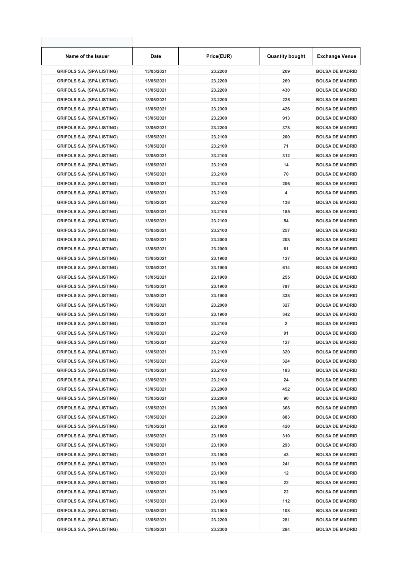| Name of the Issuer                                                     | Date                     | Price(EUR)         | <b>Quantity bought</b>  | <b>Exchange Venue</b>                            |
|------------------------------------------------------------------------|--------------------------|--------------------|-------------------------|--------------------------------------------------|
| <b>GRIFOLS S.A. (SPA LISTING)</b>                                      | 13/05/2021               | 23.2200            | 269                     | <b>BOLSA DE MADRID</b>                           |
| <b>GRIFOLS S.A. (SPA LISTING)</b>                                      | 13/05/2021               | 23.2200            | 269                     | <b>BOLSA DE MADRID</b>                           |
| <b>GRIFOLS S.A. (SPA LISTING)</b>                                      | 13/05/2021               | 23.2200            | 430                     | <b>BOLSA DE MADRID</b>                           |
| <b>GRIFOLS S.A. (SPA LISTING)</b>                                      | 13/05/2021               | 23.2200            | 225                     | <b>BOLSA DE MADRID</b>                           |
| <b>GRIFOLS S.A. (SPA LISTING)</b>                                      | 13/05/2021               | 23.2300            | 426                     | <b>BOLSA DE MADRID</b>                           |
| <b>GRIFOLS S.A. (SPA LISTING)</b>                                      | 13/05/2021               | 23.2300            | 913                     | <b>BOLSA DE MADRID</b>                           |
| <b>GRIFOLS S.A. (SPA LISTING)</b>                                      | 13/05/2021               | 23.2200            | 378                     | <b>BOLSA DE MADRID</b>                           |
| <b>GRIFOLS S.A. (SPA LISTING)</b>                                      | 13/05/2021               | 23.2100            | 200                     | <b>BOLSA DE MADRID</b>                           |
| <b>GRIFOLS S.A. (SPA LISTING)</b>                                      | 13/05/2021               | 23.2100            | 71                      | <b>BOLSA DE MADRID</b>                           |
| <b>GRIFOLS S.A. (SPA LISTING)</b>                                      | 13/05/2021               | 23.2100            | 312                     | <b>BOLSA DE MADRID</b>                           |
| <b>GRIFOLS S.A. (SPA LISTING)</b>                                      | 13/05/2021               | 23.2100            | 14                      | <b>BOLSA DE MADRID</b>                           |
| <b>GRIFOLS S.A. (SPA LISTING)</b>                                      | 13/05/2021               | 23.2100            | 70                      | <b>BOLSA DE MADRID</b>                           |
| <b>GRIFOLS S.A. (SPA LISTING)</b>                                      | 13/05/2021               | 23.2100            | 206                     | <b>BOLSA DE MADRID</b>                           |
| <b>GRIFOLS S.A. (SPA LISTING)</b>                                      | 13/05/2021               | 23.2100            | 4                       | <b>BOLSA DE MADRID</b>                           |
| <b>GRIFOLS S.A. (SPA LISTING)</b>                                      | 13/05/2021               | 23.2100            | 138                     | <b>BOLSA DE MADRID</b>                           |
| <b>GRIFOLS S.A. (SPA LISTING)</b>                                      | 13/05/2021               | 23.2100            | 185                     | <b>BOLSA DE MADRID</b>                           |
| <b>GRIFOLS S.A. (SPA LISTING)</b>                                      | 13/05/2021               | 23.2100            | 54                      | <b>BOLSA DE MADRID</b>                           |
| <b>GRIFOLS S.A. (SPA LISTING)</b>                                      | 13/05/2021               | 23.2100            | 257                     | <b>BOLSA DE MADRID</b>                           |
| <b>GRIFOLS S.A. (SPA LISTING)</b>                                      | 13/05/2021               | 23.2000            | 208                     | <b>BOLSA DE MADRID</b>                           |
| <b>GRIFOLS S.A. (SPA LISTING)</b>                                      | 13/05/2021               | 23.2000            | 61                      | <b>BOLSA DE MADRID</b>                           |
| <b>GRIFOLS S.A. (SPA LISTING)</b>                                      | 13/05/2021               | 23.1900            | 127                     | <b>BOLSA DE MADRID</b>                           |
| <b>GRIFOLS S.A. (SPA LISTING)</b>                                      | 13/05/2021               | 23.1900            | 614                     | <b>BOLSA DE MADRID</b>                           |
| <b>GRIFOLS S.A. (SPA LISTING)</b>                                      | 13/05/2021               | 23.1900            | 255                     | <b>BOLSA DE MADRID</b>                           |
| <b>GRIFOLS S.A. (SPA LISTING)</b>                                      | 13/05/2021               | 23.1900            | 797                     | <b>BOLSA DE MADRID</b>                           |
| <b>GRIFOLS S.A. (SPA LISTING)</b>                                      | 13/05/2021               | 23.1900            | 338                     | <b>BOLSA DE MADRID</b>                           |
| <b>GRIFOLS S.A. (SPA LISTING)</b>                                      | 13/05/2021               | 23.2000            | 327                     | <b>BOLSA DE MADRID</b>                           |
| <b>GRIFOLS S.A. (SPA LISTING)</b>                                      | 13/05/2021               | 23.1900            | 342                     | <b>BOLSA DE MADRID</b>                           |
| <b>GRIFOLS S.A. (SPA LISTING)</b>                                      | 13/05/2021               | 23.2100            | $\overline{\mathbf{2}}$ | <b>BOLSA DE MADRID</b>                           |
| <b>GRIFOLS S.A. (SPA LISTING)</b>                                      | 13/05/2021               | 23.2100            | 91                      | <b>BOLSA DE MADRID</b>                           |
| <b>GRIFOLS S.A. (SPA LISTING)</b>                                      | 13/05/2021               | 23.2100            | 127                     | <b>BOLSA DE MADRID</b>                           |
|                                                                        |                          |                    |                         | <b>BOLSA DE MADRID</b>                           |
| <b>GRIFOLS S.A. (SPA LISTING)</b><br><b>GRIFOLS S.A. (SPA LISTING)</b> | 13/05/2021<br>13/05/2021 | 23.2100<br>23.2100 | 320<br>324              | <b>BOLSA DE MADRID</b>                           |
| <b>GRIFOLS S.A. (SPA LISTING)</b>                                      | 13/05/2021               | 23.2100            | 183                     | <b>BOLSA DE MADRID</b>                           |
|                                                                        | 13/05/2021               | 23.2100            | 24                      | <b>BOLSA DE MADRID</b>                           |
| <b>GRIFOLS S.A. (SPA LISTING)</b>                                      |                          |                    |                         |                                                  |
| <b>GRIFOLS S.A. (SPA LISTING)</b>                                      | 13/05/2021               | 23.2000            | 452<br>90               | <b>BOLSA DE MADRID</b><br><b>BOLSA DE MADRID</b> |
| <b>GRIFOLS S.A. (SPA LISTING)</b>                                      | 13/05/2021               | 23.2000            |                         |                                                  |
| <b>GRIFOLS S.A. (SPA LISTING)</b>                                      | 13/05/2021               | 23.2000            | 368                     | <b>BOLSA DE MADRID</b>                           |
| <b>GRIFOLS S.A. (SPA LISTING)</b>                                      | 13/05/2021               | 23.2000            | 883                     | <b>BOLSA DE MADRID</b>                           |
| <b>GRIFOLS S.A. (SPA LISTING)</b>                                      | 13/05/2021               | 23.1900            | 420                     | <b>BOLSA DE MADRID</b>                           |
| <b>GRIFOLS S.A. (SPA LISTING)</b>                                      | 13/05/2021               | 23.1800            | 310                     | <b>BOLSA DE MADRID</b>                           |
| <b>GRIFOLS S.A. (SPA LISTING)</b>                                      | 13/05/2021               | 23.1900            | 293                     | <b>BOLSA DE MADRID</b>                           |
| <b>GRIFOLS S.A. (SPA LISTING)</b>                                      | 13/05/2021               | 23.1900            | 43                      | <b>BOLSA DE MADRID</b>                           |
| <b>GRIFOLS S.A. (SPA LISTING)</b>                                      | 13/05/2021               | 23.1900            | 241                     | <b>BOLSA DE MADRID</b>                           |
| <b>GRIFOLS S.A. (SPA LISTING)</b>                                      | 13/05/2021               | 23.1900            | 12                      | <b>BOLSA DE MADRID</b>                           |
| <b>GRIFOLS S.A. (SPA LISTING)</b>                                      | 13/05/2021               | 23.1900            | 22                      | <b>BOLSA DE MADRID</b>                           |
| <b>GRIFOLS S.A. (SPA LISTING)</b>                                      | 13/05/2021               | 23.1900            | 22                      | <b>BOLSA DE MADRID</b>                           |
| <b>GRIFOLS S.A. (SPA LISTING)</b>                                      | 13/05/2021               | 23.1900            | 112                     | <b>BOLSA DE MADRID</b>                           |
| <b>GRIFOLS S.A. (SPA LISTING)</b>                                      | 13/05/2021               | 23.1900            | 108                     | <b>BOLSA DE MADRID</b>                           |
| <b>GRIFOLS S.A. (SPA LISTING)</b>                                      | 13/05/2021               | 23.2200            | 281                     | <b>BOLSA DE MADRID</b>                           |
| <b>GRIFOLS S.A. (SPA LISTING)</b>                                      | 13/05/2021               | 23.2300            | 284                     | <b>BOLSA DE MADRID</b>                           |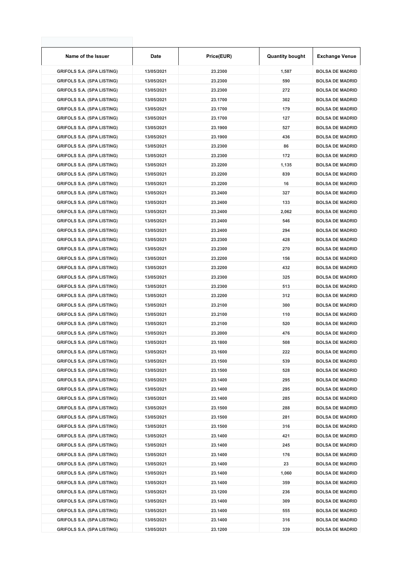| Name of the Issuer                | Date       | Price(EUR) | <b>Quantity bought</b> | <b>Exchange Venue</b>  |
|-----------------------------------|------------|------------|------------------------|------------------------|
| <b>GRIFOLS S.A. (SPA LISTING)</b> | 13/05/2021 | 23.2300    | 1,587                  | <b>BOLSA DE MADRID</b> |
| <b>GRIFOLS S.A. (SPA LISTING)</b> | 13/05/2021 | 23.2300    | 590                    | <b>BOLSA DE MADRID</b> |
| <b>GRIFOLS S.A. (SPA LISTING)</b> | 13/05/2021 | 23.2300    | 272                    | <b>BOLSA DE MADRID</b> |
| <b>GRIFOLS S.A. (SPA LISTING)</b> | 13/05/2021 | 23.1700    | 302                    | <b>BOLSA DE MADRID</b> |
| <b>GRIFOLS S.A. (SPA LISTING)</b> | 13/05/2021 | 23.1700    | 179                    | <b>BOLSA DE MADRID</b> |
| <b>GRIFOLS S.A. (SPA LISTING)</b> | 13/05/2021 | 23.1700    | 127                    | <b>BOLSA DE MADRID</b> |
| <b>GRIFOLS S.A. (SPA LISTING)</b> | 13/05/2021 | 23.1900    | 527                    | <b>BOLSA DE MADRID</b> |
| <b>GRIFOLS S.A. (SPA LISTING)</b> | 13/05/2021 | 23.1900    | 436                    | <b>BOLSA DE MADRID</b> |
| <b>GRIFOLS S.A. (SPA LISTING)</b> | 13/05/2021 | 23.2300    | 86                     | <b>BOLSA DE MADRID</b> |
| <b>GRIFOLS S.A. (SPA LISTING)</b> | 13/05/2021 | 23.2300    | 172                    | <b>BOLSA DE MADRID</b> |
| <b>GRIFOLS S.A. (SPA LISTING)</b> | 13/05/2021 | 23.2200    | 1,135                  | <b>BOLSA DE MADRID</b> |
| <b>GRIFOLS S.A. (SPA LISTING)</b> | 13/05/2021 | 23.2200    | 839                    | <b>BOLSA DE MADRID</b> |
| <b>GRIFOLS S.A. (SPA LISTING)</b> | 13/05/2021 | 23.2200    | 16                     | <b>BOLSA DE MADRID</b> |
| <b>GRIFOLS S.A. (SPA LISTING)</b> | 13/05/2021 | 23.2400    | 327                    | <b>BOLSA DE MADRID</b> |
| <b>GRIFOLS S.A. (SPA LISTING)</b> | 13/05/2021 | 23.2400    | 133                    | <b>BOLSA DE MADRID</b> |
| <b>GRIFOLS S.A. (SPA LISTING)</b> | 13/05/2021 | 23.2400    | 2,062                  | <b>BOLSA DE MADRID</b> |
| <b>GRIFOLS S.A. (SPA LISTING)</b> | 13/05/2021 | 23.2400    | 546                    | <b>BOLSA DE MADRID</b> |
| <b>GRIFOLS S.A. (SPA LISTING)</b> | 13/05/2021 | 23.2400    | 294                    | <b>BOLSA DE MADRID</b> |
| <b>GRIFOLS S.A. (SPA LISTING)</b> | 13/05/2021 | 23.2300    | 428                    | <b>BOLSA DE MADRID</b> |
| <b>GRIFOLS S.A. (SPA LISTING)</b> | 13/05/2021 | 23.2300    | 270                    | <b>BOLSA DE MADRID</b> |
| <b>GRIFOLS S.A. (SPA LISTING)</b> | 13/05/2021 | 23.2200    | 156                    | <b>BOLSA DE MADRID</b> |
| <b>GRIFOLS S.A. (SPA LISTING)</b> | 13/05/2021 | 23.2200    | 432                    | <b>BOLSA DE MADRID</b> |
| <b>GRIFOLS S.A. (SPA LISTING)</b> | 13/05/2021 | 23.2300    | 325                    | <b>BOLSA DE MADRID</b> |
| <b>GRIFOLS S.A. (SPA LISTING)</b> | 13/05/2021 | 23.2300    | 513                    | <b>BOLSA DE MADRID</b> |
| <b>GRIFOLS S.A. (SPA LISTING)</b> | 13/05/2021 | 23.2200    | 312                    | <b>BOLSA DE MADRID</b> |
| <b>GRIFOLS S.A. (SPA LISTING)</b> | 13/05/2021 | 23.2100    | 300                    | <b>BOLSA DE MADRID</b> |
| <b>GRIFOLS S.A. (SPA LISTING)</b> | 13/05/2021 | 23.2100    | 110                    | <b>BOLSA DE MADRID</b> |
| <b>GRIFOLS S.A. (SPA LISTING)</b> | 13/05/2021 | 23.2100    | 520                    | <b>BOLSA DE MADRID</b> |
| <b>GRIFOLS S.A. (SPA LISTING)</b> | 13/05/2021 | 23.2000    | 476                    | <b>BOLSA DE MADRID</b> |
| <b>GRIFOLS S.A. (SPA LISTING)</b> | 13/05/2021 | 23.1800    | 508                    | <b>BOLSA DE MADRID</b> |
| <b>GRIFOLS S.A. (SPA LISTING)</b> | 13/05/2021 | 23.1600    | 222                    | <b>BOLSA DE MADRID</b> |
| <b>GRIFOLS S.A. (SPA LISTING)</b> | 13/05/2021 | 23.1500    | 539                    | <b>BOLSA DE MADRID</b> |
| <b>GRIFOLS S.A. (SPA LISTING)</b> | 13/05/2021 | 23.1500    | 528                    | <b>BOLSA DE MADRID</b> |
| <b>GRIFOLS S.A. (SPA LISTING)</b> | 13/05/2021 | 23.1400    | 295                    | <b>BOLSA DE MADRID</b> |
| <b>GRIFOLS S.A. (SPA LISTING)</b> | 13/05/2021 | 23.1400    | 295                    | <b>BOLSA DE MADRID</b> |
| <b>GRIFOLS S.A. (SPA LISTING)</b> | 13/05/2021 | 23.1400    | 285                    | <b>BOLSA DE MADRID</b> |
| <b>GRIFOLS S.A. (SPA LISTING)</b> | 13/05/2021 | 23.1500    | 288                    | <b>BOLSA DE MADRID</b> |
| <b>GRIFOLS S.A. (SPA LISTING)</b> | 13/05/2021 | 23.1500    | 281                    | <b>BOLSA DE MADRID</b> |
| <b>GRIFOLS S.A. (SPA LISTING)</b> | 13/05/2021 | 23.1500    | 316                    | <b>BOLSA DE MADRID</b> |
| <b>GRIFOLS S.A. (SPA LISTING)</b> | 13/05/2021 | 23.1400    | 421                    | <b>BOLSA DE MADRID</b> |
| <b>GRIFOLS S.A. (SPA LISTING)</b> | 13/05/2021 | 23.1400    | 245                    | <b>BOLSA DE MADRID</b> |
| <b>GRIFOLS S.A. (SPA LISTING)</b> | 13/05/2021 | 23.1400    | 176                    | <b>BOLSA DE MADRID</b> |
| <b>GRIFOLS S.A. (SPA LISTING)</b> | 13/05/2021 | 23.1400    | 23                     | <b>BOLSA DE MADRID</b> |
| <b>GRIFOLS S.A. (SPA LISTING)</b> | 13/05/2021 | 23.1400    | 1,060                  | <b>BOLSA DE MADRID</b> |
| <b>GRIFOLS S.A. (SPA LISTING)</b> | 13/05/2021 | 23.1400    | 359                    | <b>BOLSA DE MADRID</b> |
| <b>GRIFOLS S.A. (SPA LISTING)</b> | 13/05/2021 | 23.1200    | 236                    | <b>BOLSA DE MADRID</b> |
| <b>GRIFOLS S.A. (SPA LISTING)</b> | 13/05/2021 | 23.1400    | 309                    | <b>BOLSA DE MADRID</b> |
| <b>GRIFOLS S.A. (SPA LISTING)</b> | 13/05/2021 | 23.1400    | 555                    | <b>BOLSA DE MADRID</b> |
| <b>GRIFOLS S.A. (SPA LISTING)</b> | 13/05/2021 | 23.1400    | 316                    | <b>BOLSA DE MADRID</b> |
| <b>GRIFOLS S.A. (SPA LISTING)</b> | 13/05/2021 | 23.1200    | 339                    | <b>BOLSA DE MADRID</b> |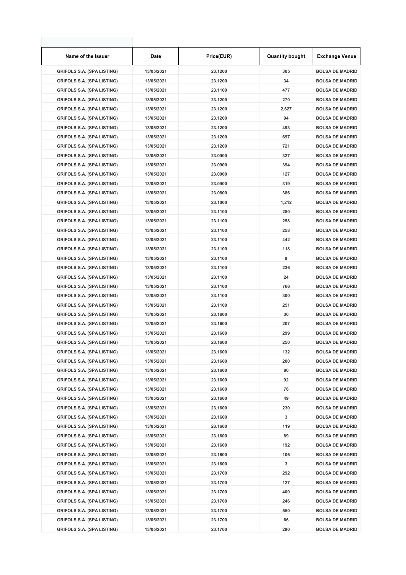| Name of the Issuer                | <b>Date</b> | Price(EUR) | <b>Quantity bought</b> | Exchange Venue         |
|-----------------------------------|-------------|------------|------------------------|------------------------|
| <b>GRIFOLS S.A. (SPA LISTING)</b> | 13/05/2021  | 23.1200    | 305                    | <b>BOLSA DE MADRID</b> |
| <b>GRIFOLS S.A. (SPA LISTING)</b> | 13/05/2021  | 23.1200    | 34                     | <b>BOLSA DE MADRID</b> |
| <b>GRIFOLS S.A. (SPA LISTING)</b> | 13/05/2021  | 23.1100    | 477                    | <b>BOLSA DE MADRID</b> |
| <b>GRIFOLS S.A. (SPA LISTING)</b> | 13/05/2021  | 23.1200    | 270                    | <b>BOLSA DE MADRID</b> |
| <b>GRIFOLS S.A. (SPA LISTING)</b> | 13/05/2021  | 23.1200    | 2,627                  | <b>BOLSA DE MADRID</b> |
| <b>GRIFOLS S.A. (SPA LISTING)</b> | 13/05/2021  | 23.1200    | 94                     | <b>BOLSA DE MADRID</b> |
| <b>GRIFOLS S.A. (SPA LISTING)</b> | 13/05/2021  | 23.1200    | 493                    | <b>BOLSA DE MADRID</b> |
| <b>GRIFOLS S.A. (SPA LISTING)</b> | 13/05/2021  | 23.1200    | 697                    | <b>BOLSA DE MADRID</b> |
| <b>GRIFOLS S.A. (SPA LISTING)</b> | 13/05/2021  | 23.1200    | 721                    | <b>BOLSA DE MADRID</b> |
| <b>GRIFOLS S.A. (SPA LISTING)</b> | 13/05/2021  | 23.0900    | 327                    | <b>BOLSA DE MADRID</b> |
| <b>GRIFOLS S.A. (SPA LISTING)</b> | 13/05/2021  | 23.0900    | 394                    | <b>BOLSA DE MADRID</b> |
| <b>GRIFOLS S.A. (SPA LISTING)</b> | 13/05/2021  | 23.0900    | 127                    | <b>BOLSA DE MADRID</b> |
| <b>GRIFOLS S.A. (SPA LISTING)</b> | 13/05/2021  | 23.0900    | 319                    | <b>BOLSA DE MADRID</b> |
| <b>GRIFOLS S.A. (SPA LISTING)</b> | 13/05/2021  | 23.0800    | 386                    | <b>BOLSA DE MADRID</b> |
| <b>GRIFOLS S.A. (SPA LISTING)</b> | 13/05/2021  | 23.1000    | 1,212                  | <b>BOLSA DE MADRID</b> |
| <b>GRIFOLS S.A. (SPA LISTING)</b> | 13/05/2021  | 23.1100    | 280                    | <b>BOLSA DE MADRID</b> |
| <b>GRIFOLS S.A. (SPA LISTING)</b> | 13/05/2021  | 23.1100    | 258                    | <b>BOLSA DE MADRID</b> |
| <b>GRIFOLS S.A. (SPA LISTING)</b> | 13/05/2021  | 23.1100    | 258                    | <b>BOLSA DE MADRID</b> |
| <b>GRIFOLS S.A. (SPA LISTING)</b> | 13/05/2021  | 23.1100    | 442                    | <b>BOLSA DE MADRID</b> |
| <b>GRIFOLS S.A. (SPA LISTING)</b> | 13/05/2021  | 23.1100    | 118                    | <b>BOLSA DE MADRID</b> |
| <b>GRIFOLS S.A. (SPA LISTING)</b> | 13/05/2021  | 23.1100    | 9                      | <b>BOLSA DE MADRID</b> |
| <b>GRIFOLS S.A. (SPA LISTING)</b> | 13/05/2021  | 23.1100    | 236                    | <b>BOLSA DE MADRID</b> |
| <b>GRIFOLS S.A. (SPA LISTING)</b> | 13/05/2021  | 23.1100    | 24                     | <b>BOLSA DE MADRID</b> |
| <b>GRIFOLS S.A. (SPA LISTING)</b> | 13/05/2021  | 23.1100    | 766                    | <b>BOLSA DE MADRID</b> |
| <b>GRIFOLS S.A. (SPA LISTING)</b> | 13/05/2021  | 23.1100    | 300                    | <b>BOLSA DE MADRID</b> |
| <b>GRIFOLS S.A. (SPA LISTING)</b> | 13/05/2021  | 23.1100    | 251                    | <b>BOLSA DE MADRID</b> |
| <b>GRIFOLS S.A. (SPA LISTING)</b> | 13/05/2021  | 23.1600    | 36                     | <b>BOLSA DE MADRID</b> |
| <b>GRIFOLS S.A. (SPA LISTING)</b> | 13/05/2021  | 23.1600    | 207                    | <b>BOLSA DE MADRID</b> |
| <b>GRIFOLS S.A. (SPA LISTING)</b> | 13/05/2021  | 23.1600    | 299                    | <b>BOLSA DE MADRID</b> |
| <b>GRIFOLS S.A. (SPA LISTING)</b> | 13/05/2021  | 23.1600    | 250                    | <b>BOLSA DE MADRID</b> |
| <b>GRIFOLS S.A. (SPA LISTING)</b> | 13/05/2021  | 23.1600    | 132                    | <b>BOLSA DE MADRID</b> |
| <b>GRIFOLS S.A. (SPA LISTING)</b> | 13/05/2021  | 23.1600    | 200                    | <b>BOLSA DE MADRID</b> |
| <b>GRIFOLS S.A. (SPA LISTING)</b> | 13/05/2021  | 23.1600    | 86                     | <b>BOLSA DE MADRID</b> |
| <b>GRIFOLS S.A. (SPA LISTING)</b> | 13/05/2021  | 23.1600    | 92                     | <b>BOLSA DE MADRID</b> |
| <b>GRIFOLS S.A. (SPA LISTING)</b> | 13/05/2021  | 23.1600    | 76                     | <b>BOLSA DE MADRID</b> |
| <b>GRIFOLS S.A. (SPA LISTING)</b> | 13/05/2021  | 23.1600    | 49                     | <b>BOLSA DE MADRID</b> |
| <b>GRIFOLS S.A. (SPA LISTING)</b> | 13/05/2021  | 23.1600    | 230                    | <b>BOLSA DE MADRID</b> |
| <b>GRIFOLS S.A. (SPA LISTING)</b> | 13/05/2021  | 23.1600    | 3                      | <b>BOLSA DE MADRID</b> |
| <b>GRIFOLS S.A. (SPA LISTING)</b> | 13/05/2021  | 23.1600    | 119                    | <b>BOLSA DE MADRID</b> |
| <b>GRIFOLS S.A. (SPA LISTING)</b> | 13/05/2021  | 23.1600    | 89                     | <b>BOLSA DE MADRID</b> |
| <b>GRIFOLS S.A. (SPA LISTING)</b> | 13/05/2021  | 23.1600    | 192                    | <b>BOLSA DE MADRID</b> |
| <b>GRIFOLS S.A. (SPA LISTING)</b> | 13/05/2021  | 23.1600    | 106                    | <b>BOLSA DE MADRID</b> |
| <b>GRIFOLS S.A. (SPA LISTING)</b> | 13/05/2021  | 23.1600    | 3                      | <b>BOLSA DE MADRID</b> |
| <b>GRIFOLS S.A. (SPA LISTING)</b> | 13/05/2021  | 23.1700    | 292                    | <b>BOLSA DE MADRID</b> |
| <b>GRIFOLS S.A. (SPA LISTING)</b> | 13/05/2021  | 23.1700    | 127                    | <b>BOLSA DE MADRID</b> |
| <b>GRIFOLS S.A. (SPA LISTING)</b> | 13/05/2021  | 23.1700    | 400                    | <b>BOLSA DE MADRID</b> |
| <b>GRIFOLS S.A. (SPA LISTING)</b> | 13/05/2021  | 23.1700    | 246                    | <b>BOLSA DE MADRID</b> |
| <b>GRIFOLS S.A. (SPA LISTING)</b> | 13/05/2021  | 23.1700    | 550                    | <b>BOLSA DE MADRID</b> |
| <b>GRIFOLS S.A. (SPA LISTING)</b> | 13/05/2021  | 23.1700    | 66                     | <b>BOLSA DE MADRID</b> |
| <b>GRIFOLS S.A. (SPA LISTING)</b> | 13/05/2021  | 23.1700    | 290                    | <b>BOLSA DE MADRID</b> |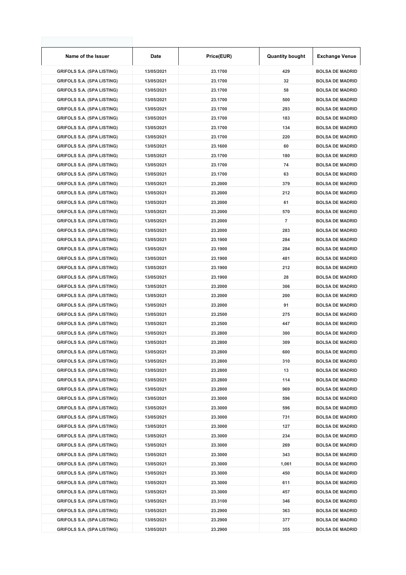| Name of the Issuer                                                     | Date       | Price(EUR) | <b>Quantity bought</b> | <b>Exchange Venue</b>  |
|------------------------------------------------------------------------|------------|------------|------------------------|------------------------|
| <b>GRIFOLS S.A. (SPA LISTING)</b>                                      | 13/05/2021 | 23.1700    | 429                    | <b>BOLSA DE MADRID</b> |
| <b>GRIFOLS S.A. (SPA LISTING)</b>                                      | 13/05/2021 | 23.1700    | 32                     | <b>BOLSA DE MADRID</b> |
| <b>GRIFOLS S.A. (SPA LISTING)</b>                                      | 13/05/2021 | 23.1700    | 58                     | <b>BOLSA DE MADRID</b> |
| <b>GRIFOLS S.A. (SPA LISTING)</b>                                      | 13/05/2021 | 23.1700    | 500                    | <b>BOLSA DE MADRID</b> |
| <b>GRIFOLS S.A. (SPA LISTING)</b>                                      | 13/05/2021 | 23.1700    | 293                    | <b>BOLSA DE MADRID</b> |
| <b>GRIFOLS S.A. (SPA LISTING)</b>                                      | 13/05/2021 | 23.1700    | 183                    | <b>BOLSA DE MADRID</b> |
| <b>GRIFOLS S.A. (SPA LISTING)</b>                                      | 13/05/2021 | 23.1700    | 134                    | <b>BOLSA DE MADRID</b> |
| <b>GRIFOLS S.A. (SPA LISTING)</b>                                      | 13/05/2021 | 23.1700    | 220                    | <b>BOLSA DE MADRID</b> |
| <b>GRIFOLS S.A. (SPA LISTING)</b>                                      | 13/05/2021 | 23.1600    | 60                     | <b>BOLSA DE MADRID</b> |
| <b>GRIFOLS S.A. (SPA LISTING)</b>                                      | 13/05/2021 | 23.1700    | 180                    | <b>BOLSA DE MADRID</b> |
| <b>GRIFOLS S.A. (SPA LISTING)</b>                                      | 13/05/2021 | 23.1700    | 74                     | <b>BOLSA DE MADRID</b> |
| <b>GRIFOLS S.A. (SPA LISTING)</b>                                      | 13/05/2021 | 23.1700    | 63                     | <b>BOLSA DE MADRID</b> |
| <b>GRIFOLS S.A. (SPA LISTING)</b>                                      | 13/05/2021 | 23.2000    | 379                    | <b>BOLSA DE MADRID</b> |
| <b>GRIFOLS S.A. (SPA LISTING)</b>                                      | 13/05/2021 | 23.2000    | 212                    | <b>BOLSA DE MADRID</b> |
| <b>GRIFOLS S.A. (SPA LISTING)</b>                                      | 13/05/2021 | 23.2000    | 61                     | <b>BOLSA DE MADRID</b> |
| <b>GRIFOLS S.A. (SPA LISTING)</b>                                      | 13/05/2021 | 23.2000    | 570                    | <b>BOLSA DE MADRID</b> |
| <b>GRIFOLS S.A. (SPA LISTING)</b>                                      | 13/05/2021 | 23.2000    | 7                      | <b>BOLSA DE MADRID</b> |
| <b>GRIFOLS S.A. (SPA LISTING)</b>                                      | 13/05/2021 | 23.2000    | 283                    | <b>BOLSA DE MADRID</b> |
| <b>GRIFOLS S.A. (SPA LISTING)</b>                                      | 13/05/2021 | 23.1900    | 284                    | <b>BOLSA DE MADRID</b> |
| <b>GRIFOLS S.A. (SPA LISTING)</b>                                      | 13/05/2021 | 23.1900    | 284                    | <b>BOLSA DE MADRID</b> |
| <b>GRIFOLS S.A. (SPA LISTING)</b>                                      | 13/05/2021 | 23.1900    | 481                    | <b>BOLSA DE MADRID</b> |
| <b>GRIFOLS S.A. (SPA LISTING)</b>                                      | 13/05/2021 | 23.1900    | 212                    | <b>BOLSA DE MADRID</b> |
| <b>GRIFOLS S.A. (SPA LISTING)</b>                                      | 13/05/2021 | 23.1900    | 28                     | <b>BOLSA DE MADRID</b> |
| <b>GRIFOLS S.A. (SPA LISTING)</b>                                      | 13/05/2021 | 23.2000    | 306                    | <b>BOLSA DE MADRID</b> |
| <b>GRIFOLS S.A. (SPA LISTING)</b>                                      | 13/05/2021 | 23.2000    | 200                    | <b>BOLSA DE MADRID</b> |
| <b>GRIFOLS S.A. (SPA LISTING)</b>                                      | 13/05/2021 | 23.2000    | 91                     | <b>BOLSA DE MADRID</b> |
| <b>GRIFOLS S.A. (SPA LISTING)</b>                                      | 13/05/2021 | 23.2500    | 275                    | <b>BOLSA DE MADRID</b> |
| <b>GRIFOLS S.A. (SPA LISTING)</b>                                      | 13/05/2021 | 23.2500    | 447                    | <b>BOLSA DE MADRID</b> |
| <b>GRIFOLS S.A. (SPA LISTING)</b>                                      | 13/05/2021 | 23.2800    | 300                    | <b>BOLSA DE MADRID</b> |
| <b>GRIFOLS S.A. (SPA LISTING)</b>                                      | 13/05/2021 | 23.2800    | 309                    | <b>BOLSA DE MADRID</b> |
| <b>GRIFOLS S.A. (SPA LISTING)</b>                                      | 13/05/2021 | 23.2800    | 600                    | <b>BOLSA DE MADRID</b> |
| <b>GRIFOLS S.A. (SPA LISTING)</b>                                      | 13/05/2021 | 23.2800    | 310                    | <b>BOLSA DE MADRID</b> |
| <b>GRIFOLS S.A. (SPA LISTING)</b>                                      | 13/05/2021 | 23.2800    | 13                     | <b>BOLSA DE MADRID</b> |
| <b>GRIFOLS S.A. (SPA LISTING)</b>                                      | 13/05/2021 | 23.2800    | 114                    | <b>BOLSA DE MADRID</b> |
| <b>GRIFOLS S.A. (SPA LISTING)</b>                                      | 13/05/2021 | 23.2800    | 969                    | <b>BOLSA DE MADRID</b> |
| <b>GRIFOLS S.A. (SPA LISTING)</b>                                      | 13/05/2021 | 23.3000    | 596                    | <b>BOLSA DE MADRID</b> |
| <b>GRIFOLS S.A. (SPA LISTING)</b>                                      |            | 23.3000    | 596                    | <b>BOLSA DE MADRID</b> |
|                                                                        | 13/05/2021 |            |                        |                        |
| <b>GRIFOLS S.A. (SPA LISTING)</b>                                      | 13/05/2021 | 23.3000    | 731                    | <b>BOLSA DE MADRID</b> |
| <b>GRIFOLS S.A. (SPA LISTING)</b><br><b>GRIFOLS S.A. (SPA LISTING)</b> | 13/05/2021 | 23.3000    | 127                    | <b>BOLSA DE MADRID</b> |
|                                                                        | 13/05/2021 | 23.3000    | 234                    | <b>BOLSA DE MADRID</b> |
| <b>GRIFOLS S.A. (SPA LISTING)</b>                                      | 13/05/2021 | 23.3000    | 269                    | <b>BOLSA DE MADRID</b> |
| <b>GRIFOLS S.A. (SPA LISTING)</b>                                      | 13/05/2021 | 23.3000    | 343                    | <b>BOLSA DE MADRID</b> |
| <b>GRIFOLS S.A. (SPA LISTING)</b>                                      | 13/05/2021 | 23.3000    | 1,061                  | <b>BOLSA DE MADRID</b> |
| <b>GRIFOLS S.A. (SPA LISTING)</b>                                      | 13/05/2021 | 23.3000    | 450                    | <b>BOLSA DE MADRID</b> |
| <b>GRIFOLS S.A. (SPA LISTING)</b>                                      | 13/05/2021 | 23.3000    | 611                    | <b>BOLSA DE MADRID</b> |
| <b>GRIFOLS S.A. (SPA LISTING)</b>                                      | 13/05/2021 | 23.3000    | 457                    | <b>BOLSA DE MADRID</b> |
| <b>GRIFOLS S.A. (SPA LISTING)</b>                                      | 13/05/2021 | 23.3100    | 346                    | <b>BOLSA DE MADRID</b> |
| <b>GRIFOLS S.A. (SPA LISTING)</b>                                      | 13/05/2021 | 23.2900    | 363                    | <b>BOLSA DE MADRID</b> |
| <b>GRIFOLS S.A. (SPA LISTING)</b>                                      | 13/05/2021 | 23.2900    | 377                    | <b>BOLSA DE MADRID</b> |
| <b>GRIFOLS S.A. (SPA LISTING)</b>                                      | 13/05/2021 | 23.2900    | 355                    | <b>BOLSA DE MADRID</b> |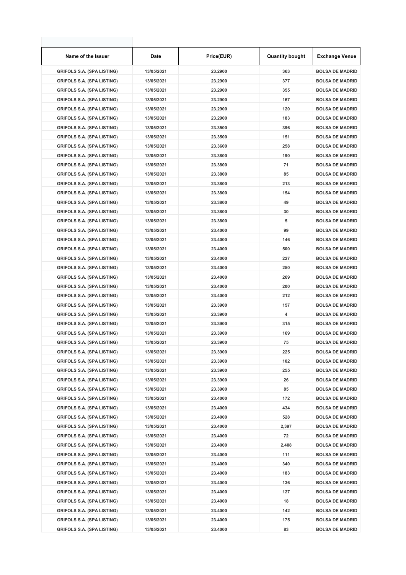| Name of the Issuer                | Date       | Price(EUR) | <b>Quantity bought</b> | <b>Exchange Venue</b>  |
|-----------------------------------|------------|------------|------------------------|------------------------|
| <b>GRIFOLS S.A. (SPA LISTING)</b> | 13/05/2021 | 23.2900    | 363                    | <b>BOLSA DE MADRID</b> |
| <b>GRIFOLS S.A. (SPA LISTING)</b> | 13/05/2021 | 23.2900    | 377                    | <b>BOLSA DE MADRID</b> |
| <b>GRIFOLS S.A. (SPA LISTING)</b> | 13/05/2021 | 23.2900    | 355                    | <b>BOLSA DE MADRID</b> |
| <b>GRIFOLS S.A. (SPA LISTING)</b> | 13/05/2021 | 23.2900    | 167                    | <b>BOLSA DE MADRID</b> |
| <b>GRIFOLS S.A. (SPA LISTING)</b> | 13/05/2021 | 23.2900    | 120                    | <b>BOLSA DE MADRID</b> |
| <b>GRIFOLS S.A. (SPA LISTING)</b> | 13/05/2021 | 23.2900    | 183                    | <b>BOLSA DE MADRID</b> |
| <b>GRIFOLS S.A. (SPA LISTING)</b> | 13/05/2021 | 23.3500    | 396                    | <b>BOLSA DE MADRID</b> |
| <b>GRIFOLS S.A. (SPA LISTING)</b> | 13/05/2021 | 23.3500    | 151                    | <b>BOLSA DE MADRID</b> |
| <b>GRIFOLS S.A. (SPA LISTING)</b> | 13/05/2021 | 23.3600    | 258                    | <b>BOLSA DE MADRID</b> |
| <b>GRIFOLS S.A. (SPA LISTING)</b> | 13/05/2021 | 23.3800    | 190                    | <b>BOLSA DE MADRID</b> |
| <b>GRIFOLS S.A. (SPA LISTING)</b> | 13/05/2021 | 23.3800    | 71                     | <b>BOLSA DE MADRID</b> |
| <b>GRIFOLS S.A. (SPA LISTING)</b> | 13/05/2021 | 23.3800    | 85                     | <b>BOLSA DE MADRID</b> |
| <b>GRIFOLS S.A. (SPA LISTING)</b> | 13/05/2021 | 23.3800    | 213                    | <b>BOLSA DE MADRID</b> |
| <b>GRIFOLS S.A. (SPA LISTING)</b> | 13/05/2021 | 23.3800    | 154                    | <b>BOLSA DE MADRID</b> |
| <b>GRIFOLS S.A. (SPA LISTING)</b> | 13/05/2021 | 23.3800    | 49                     | <b>BOLSA DE MADRID</b> |
| <b>GRIFOLS S.A. (SPA LISTING)</b> | 13/05/2021 | 23.3800    | 30                     | <b>BOLSA DE MADRID</b> |
| <b>GRIFOLS S.A. (SPA LISTING)</b> | 13/05/2021 | 23.3800    | 5                      | <b>BOLSA DE MADRID</b> |
| <b>GRIFOLS S.A. (SPA LISTING)</b> | 13/05/2021 | 23.4000    | 99                     | <b>BOLSA DE MADRID</b> |
| <b>GRIFOLS S.A. (SPA LISTING)</b> | 13/05/2021 | 23.4000    | 146                    | <b>BOLSA DE MADRID</b> |
| <b>GRIFOLS S.A. (SPA LISTING)</b> | 13/05/2021 | 23.4000    | 500                    | <b>BOLSA DE MADRID</b> |
| <b>GRIFOLS S.A. (SPA LISTING)</b> | 13/05/2021 | 23.4000    | 227                    | <b>BOLSA DE MADRID</b> |
| <b>GRIFOLS S.A. (SPA LISTING)</b> | 13/05/2021 | 23.4000    | 250                    | <b>BOLSA DE MADRID</b> |
| <b>GRIFOLS S.A. (SPA LISTING)</b> | 13/05/2021 | 23.4000    | 269                    | <b>BOLSA DE MADRID</b> |
| <b>GRIFOLS S.A. (SPA LISTING)</b> | 13/05/2021 | 23.4000    | 200                    | <b>BOLSA DE MADRID</b> |
| <b>GRIFOLS S.A. (SPA LISTING)</b> | 13/05/2021 | 23.4000    | 212                    | <b>BOLSA DE MADRID</b> |
| <b>GRIFOLS S.A. (SPA LISTING)</b> | 13/05/2021 | 23.3900    | 157                    | <b>BOLSA DE MADRID</b> |
| <b>GRIFOLS S.A. (SPA LISTING)</b> | 13/05/2021 | 23.3900    | 4                      | <b>BOLSA DE MADRID</b> |
| <b>GRIFOLS S.A. (SPA LISTING)</b> | 13/05/2021 | 23.3900    | 315                    | <b>BOLSA DE MADRID</b> |
| <b>GRIFOLS S.A. (SPA LISTING)</b> | 13/05/2021 | 23.3900    | 169                    | <b>BOLSA DE MADRID</b> |
| <b>GRIFOLS S.A. (SPA LISTING)</b> | 13/05/2021 | 23.3900    | 75                     | <b>BOLSA DE MADRID</b> |
| <b>GRIFOLS S.A. (SPA LISTING)</b> | 13/05/2021 | 23.3900    | 225                    | <b>BOLSA DE MADRID</b> |
| <b>GRIFOLS S.A. (SPA LISTING)</b> | 13/05/2021 | 23.3900    | 102                    | <b>BOLSA DE MADRID</b> |
| <b>GRIFOLS S.A. (SPA LISTING)</b> | 13/05/2021 | 23.3900    | 255                    | <b>BOLSA DE MADRID</b> |
| <b>GRIFOLS S.A. (SPA LISTING)</b> | 13/05/2021 | 23.3900    | 26                     | <b>BOLSA DE MADRID</b> |
| <b>GRIFOLS S.A. (SPA LISTING)</b> | 13/05/2021 | 23.3900    | 85                     | <b>BOLSA DE MADRID</b> |
| <b>GRIFOLS S.A. (SPA LISTING)</b> | 13/05/2021 | 23.4000    | 172                    | <b>BOLSA DE MADRID</b> |
| <b>GRIFOLS S.A. (SPA LISTING)</b> | 13/05/2021 | 23.4000    | 434                    | <b>BOLSA DE MADRID</b> |
| <b>GRIFOLS S.A. (SPA LISTING)</b> | 13/05/2021 | 23.4000    | 528                    | <b>BOLSA DE MADRID</b> |
| <b>GRIFOLS S.A. (SPA LISTING)</b> | 13/05/2021 | 23.4000    | 2,397                  | <b>BOLSA DE MADRID</b> |
| <b>GRIFOLS S.A. (SPA LISTING)</b> | 13/05/2021 | 23.4000    | 72                     | <b>BOLSA DE MADRID</b> |
| <b>GRIFOLS S.A. (SPA LISTING)</b> | 13/05/2021 | 23.4000    | 2,408                  | <b>BOLSA DE MADRID</b> |
| <b>GRIFOLS S.A. (SPA LISTING)</b> | 13/05/2021 | 23.4000    | 111                    | <b>BOLSA DE MADRID</b> |
| <b>GRIFOLS S.A. (SPA LISTING)</b> | 13/05/2021 | 23.4000    | 340                    | <b>BOLSA DE MADRID</b> |
| <b>GRIFOLS S.A. (SPA LISTING)</b> | 13/05/2021 | 23.4000    | 183                    | <b>BOLSA DE MADRID</b> |
| <b>GRIFOLS S.A. (SPA LISTING)</b> | 13/05/2021 | 23.4000    | 136                    | <b>BOLSA DE MADRID</b> |
| <b>GRIFOLS S.A. (SPA LISTING)</b> | 13/05/2021 | 23.4000    | 127                    | <b>BOLSA DE MADRID</b> |
| <b>GRIFOLS S.A. (SPA LISTING)</b> | 13/05/2021 | 23.4000    | 18                     | <b>BOLSA DE MADRID</b> |
| <b>GRIFOLS S.A. (SPA LISTING)</b> | 13/05/2021 | 23.4000    | 142                    | <b>BOLSA DE MADRID</b> |
| <b>GRIFOLS S.A. (SPA LISTING)</b> | 13/05/2021 | 23.4000    | 175                    | <b>BOLSA DE MADRID</b> |
| <b>GRIFOLS S.A. (SPA LISTING)</b> | 13/05/2021 | 23.4000    | 83                     | <b>BOLSA DE MADRID</b> |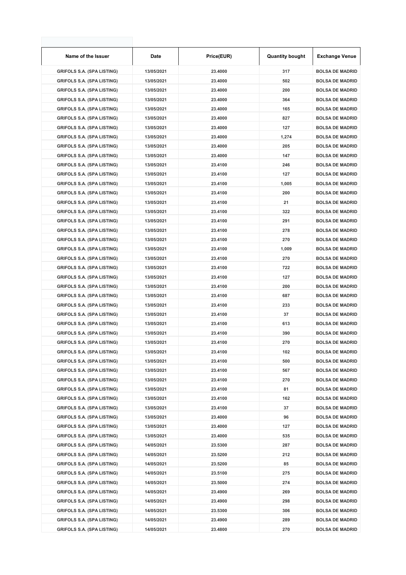| Name of the Issuer                | Date       | Price(EUR) | <b>Quantity bought</b> | <b>Exchange Venue</b>  |
|-----------------------------------|------------|------------|------------------------|------------------------|
| <b>GRIFOLS S.A. (SPA LISTING)</b> | 13/05/2021 | 23.4000    | 317                    | <b>BOLSA DE MADRID</b> |
| <b>GRIFOLS S.A. (SPA LISTING)</b> | 13/05/2021 | 23.4000    | 502                    | <b>BOLSA DE MADRID</b> |
| <b>GRIFOLS S.A. (SPA LISTING)</b> | 13/05/2021 | 23.4000    | 200                    | <b>BOLSA DE MADRID</b> |
| <b>GRIFOLS S.A. (SPA LISTING)</b> | 13/05/2021 | 23.4000    | 364                    | <b>BOLSA DE MADRID</b> |
| <b>GRIFOLS S.A. (SPA LISTING)</b> | 13/05/2021 | 23.4000    | 165                    | <b>BOLSA DE MADRID</b> |
| <b>GRIFOLS S.A. (SPA LISTING)</b> | 13/05/2021 | 23.4000    | 827                    | <b>BOLSA DE MADRID</b> |
| <b>GRIFOLS S.A. (SPA LISTING)</b> | 13/05/2021 | 23.4000    | 127                    | <b>BOLSA DE MADRID</b> |
| <b>GRIFOLS S.A. (SPA LISTING)</b> | 13/05/2021 | 23.4000    | 1,274                  | <b>BOLSA DE MADRID</b> |
| <b>GRIFOLS S.A. (SPA LISTING)</b> | 13/05/2021 | 23.4000    | 205                    | <b>BOLSA DE MADRID</b> |
| <b>GRIFOLS S.A. (SPA LISTING)</b> | 13/05/2021 | 23.4000    | 147                    | <b>BOLSA DE MADRID</b> |
| <b>GRIFOLS S.A. (SPA LISTING)</b> | 13/05/2021 | 23.4100    | 246                    | <b>BOLSA DE MADRID</b> |
| <b>GRIFOLS S.A. (SPA LISTING)</b> | 13/05/2021 | 23.4100    | 127                    | <b>BOLSA DE MADRID</b> |
| <b>GRIFOLS S.A. (SPA LISTING)</b> | 13/05/2021 | 23.4100    | 1,005                  | <b>BOLSA DE MADRID</b> |
| <b>GRIFOLS S.A. (SPA LISTING)</b> | 13/05/2021 | 23.4100    | 200                    | <b>BOLSA DE MADRID</b> |
| <b>GRIFOLS S.A. (SPA LISTING)</b> | 13/05/2021 | 23.4100    | 21                     | <b>BOLSA DE MADRID</b> |
| <b>GRIFOLS S.A. (SPA LISTING)</b> | 13/05/2021 | 23.4100    | 322                    | <b>BOLSA DE MADRID</b> |
| <b>GRIFOLS S.A. (SPA LISTING)</b> | 13/05/2021 | 23.4100    | 291                    | <b>BOLSA DE MADRID</b> |
| <b>GRIFOLS S.A. (SPA LISTING)</b> | 13/05/2021 | 23.4100    | 278                    | <b>BOLSA DE MADRID</b> |
| <b>GRIFOLS S.A. (SPA LISTING)</b> | 13/05/2021 | 23.4100    | 270                    | <b>BOLSA DE MADRID</b> |
| <b>GRIFOLS S.A. (SPA LISTING)</b> | 13/05/2021 | 23.4100    | 1,009                  | <b>BOLSA DE MADRID</b> |
| <b>GRIFOLS S.A. (SPA LISTING)</b> | 13/05/2021 | 23.4100    | 270                    | <b>BOLSA DE MADRID</b> |
| <b>GRIFOLS S.A. (SPA LISTING)</b> | 13/05/2021 | 23.4100    | 722                    | <b>BOLSA DE MADRID</b> |
| <b>GRIFOLS S.A. (SPA LISTING)</b> | 13/05/2021 | 23.4100    | 127                    | <b>BOLSA DE MADRID</b> |
| <b>GRIFOLS S.A. (SPA LISTING)</b> | 13/05/2021 | 23.4100    | 200                    | <b>BOLSA DE MADRID</b> |
| <b>GRIFOLS S.A. (SPA LISTING)</b> | 13/05/2021 | 23.4100    | 687                    | <b>BOLSA DE MADRID</b> |
| <b>GRIFOLS S.A. (SPA LISTING)</b> | 13/05/2021 | 23.4100    | 233                    | <b>BOLSA DE MADRID</b> |
| <b>GRIFOLS S.A. (SPA LISTING)</b> | 13/05/2021 | 23.4100    | 37                     | <b>BOLSA DE MADRID</b> |
| <b>GRIFOLS S.A. (SPA LISTING)</b> | 13/05/2021 | 23.4100    | 613                    | <b>BOLSA DE MADRID</b> |
| <b>GRIFOLS S.A. (SPA LISTING)</b> | 13/05/2021 | 23.4100    | 390                    | <b>BOLSA DE MADRID</b> |
| <b>GRIFOLS S.A. (SPA LISTING)</b> | 13/05/2021 | 23.4100    | 270                    | <b>BOLSA DE MADRID</b> |
| <b>GRIFOLS S.A. (SPA LISTING)</b> | 13/05/2021 | 23.4100    | 102                    | <b>BOLSA DE MADRID</b> |
| <b>GRIFOLS S.A. (SPA LISTING)</b> | 13/05/2021 | 23.4100    | 500                    | <b>BOLSA DE MADRID</b> |
| <b>GRIFOLS S.A. (SPA LISTING)</b> | 13/05/2021 | 23.4100    | 567                    | <b>BOLSA DE MADRID</b> |
| <b>GRIFOLS S.A. (SPA LISTING)</b> | 13/05/2021 | 23.4100    | 270                    | <b>BOLSA DE MADRID</b> |
| <b>GRIFOLS S.A. (SPA LISTING)</b> | 13/05/2021 | 23.4100    | 81                     | <b>BOLSA DE MADRID</b> |
| <b>GRIFOLS S.A. (SPA LISTING)</b> | 13/05/2021 | 23.4100    | 162                    | <b>BOLSA DE MADRID</b> |
| <b>GRIFOLS S.A. (SPA LISTING)</b> | 13/05/2021 | 23.4100    | 37                     | <b>BOLSA DE MADRID</b> |
| <b>GRIFOLS S.A. (SPA LISTING)</b> | 13/05/2021 | 23.4000    | 96                     | <b>BOLSA DE MADRID</b> |
| <b>GRIFOLS S.A. (SPA LISTING)</b> | 13/05/2021 | 23.4000    | 127                    | <b>BOLSA DE MADRID</b> |
| <b>GRIFOLS S.A. (SPA LISTING)</b> | 13/05/2021 | 23.4000    | 535                    | <b>BOLSA DE MADRID</b> |
| <b>GRIFOLS S.A. (SPA LISTING)</b> | 14/05/2021 | 23.5300    | 287                    | <b>BOLSA DE MADRID</b> |
| <b>GRIFOLS S.A. (SPA LISTING)</b> | 14/05/2021 | 23.5200    | 212                    | <b>BOLSA DE MADRID</b> |
| <b>GRIFOLS S.A. (SPA LISTING)</b> | 14/05/2021 | 23.5200    | 85                     | <b>BOLSA DE MADRID</b> |
| <b>GRIFOLS S.A. (SPA LISTING)</b> | 14/05/2021 | 23.5100    | 275                    | <b>BOLSA DE MADRID</b> |
| <b>GRIFOLS S.A. (SPA LISTING)</b> | 14/05/2021 | 23.5000    | 274                    | <b>BOLSA DE MADRID</b> |
| <b>GRIFOLS S.A. (SPA LISTING)</b> | 14/05/2021 | 23.4900    | 269                    | <b>BOLSA DE MADRID</b> |
| <b>GRIFOLS S.A. (SPA LISTING)</b> | 14/05/2021 | 23.4900    | 298                    | <b>BOLSA DE MADRID</b> |
| <b>GRIFOLS S.A. (SPA LISTING)</b> | 14/05/2021 | 23.5300    | 306                    | <b>BOLSA DE MADRID</b> |
| <b>GRIFOLS S.A. (SPA LISTING)</b> | 14/05/2021 | 23.4900    | 289                    | <b>BOLSA DE MADRID</b> |
| <b>GRIFOLS S.A. (SPA LISTING)</b> | 14/05/2021 | 23.4800    | 270                    | <b>BOLSA DE MADRID</b> |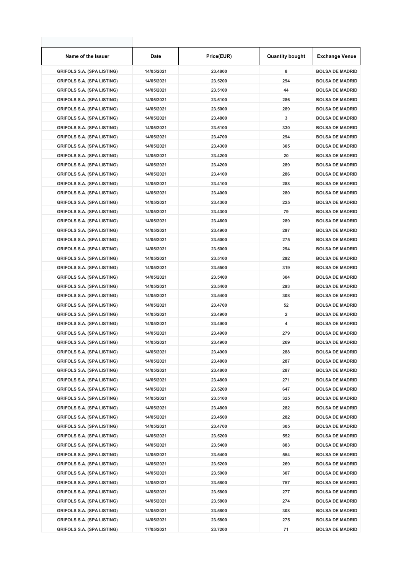| Name of the Issuer                | Date       | Price(EUR) | <b>Quantity bought</b> | <b>Exchange Venue</b>  |
|-----------------------------------|------------|------------|------------------------|------------------------|
| <b>GRIFOLS S.A. (SPA LISTING)</b> | 14/05/2021 | 23.4800    | 8                      | <b>BOLSA DE MADRID</b> |
| <b>GRIFOLS S.A. (SPA LISTING)</b> | 14/05/2021 | 23.5200    | 294                    | <b>BOLSA DE MADRID</b> |
| <b>GRIFOLS S.A. (SPA LISTING)</b> | 14/05/2021 | 23.5100    | 44                     | <b>BOLSA DE MADRID</b> |
| <b>GRIFOLS S.A. (SPA LISTING)</b> | 14/05/2021 | 23.5100    | 286                    | <b>BOLSA DE MADRID</b> |
| <b>GRIFOLS S.A. (SPA LISTING)</b> | 14/05/2021 | 23.5000    | 289                    | <b>BOLSA DE MADRID</b> |
| <b>GRIFOLS S.A. (SPA LISTING)</b> | 14/05/2021 | 23.4800    | 3                      | <b>BOLSA DE MADRID</b> |
| <b>GRIFOLS S.A. (SPA LISTING)</b> | 14/05/2021 | 23.5100    | 330                    | <b>BOLSA DE MADRID</b> |
| <b>GRIFOLS S.A. (SPA LISTING)</b> | 14/05/2021 | 23.4700    | 294                    | <b>BOLSA DE MADRID</b> |
| <b>GRIFOLS S.A. (SPA LISTING)</b> | 14/05/2021 | 23.4300    | 305                    | <b>BOLSA DE MADRID</b> |
| <b>GRIFOLS S.A. (SPA LISTING)</b> | 14/05/2021 | 23.4200    | 20                     | <b>BOLSA DE MADRID</b> |
| <b>GRIFOLS S.A. (SPA LISTING)</b> | 14/05/2021 | 23.4200    | 289                    | <b>BOLSA DE MADRID</b> |
| <b>GRIFOLS S.A. (SPA LISTING)</b> | 14/05/2021 | 23.4100    | 286                    | <b>BOLSA DE MADRID</b> |
| <b>GRIFOLS S.A. (SPA LISTING)</b> | 14/05/2021 | 23.4100    | 288                    | <b>BOLSA DE MADRID</b> |
| <b>GRIFOLS S.A. (SPA LISTING)</b> | 14/05/2021 | 23.4000    | 280                    | <b>BOLSA DE MADRID</b> |
| <b>GRIFOLS S.A. (SPA LISTING)</b> | 14/05/2021 | 23.4300    | 225                    | <b>BOLSA DE MADRID</b> |
| <b>GRIFOLS S.A. (SPA LISTING)</b> | 14/05/2021 | 23.4300    | 79                     | <b>BOLSA DE MADRID</b> |
| <b>GRIFOLS S.A. (SPA LISTING)</b> | 14/05/2021 | 23.4600    | 289                    | <b>BOLSA DE MADRID</b> |
| <b>GRIFOLS S.A. (SPA LISTING)</b> | 14/05/2021 | 23.4900    | 297                    | <b>BOLSA DE MADRID</b> |
| <b>GRIFOLS S.A. (SPA LISTING)</b> | 14/05/2021 | 23.5000    | 275                    | <b>BOLSA DE MADRID</b> |
| <b>GRIFOLS S.A. (SPA LISTING)</b> | 14/05/2021 | 23.5000    | 294                    | <b>BOLSA DE MADRID</b> |
| <b>GRIFOLS S.A. (SPA LISTING)</b> | 14/05/2021 | 23.5100    | 292                    | <b>BOLSA DE MADRID</b> |
| <b>GRIFOLS S.A. (SPA LISTING)</b> | 14/05/2021 | 23.5500    | 319                    | <b>BOLSA DE MADRID</b> |
| <b>GRIFOLS S.A. (SPA LISTING)</b> | 14/05/2021 | 23.5400    | 304                    | <b>BOLSA DE MADRID</b> |
| <b>GRIFOLS S.A. (SPA LISTING)</b> | 14/05/2021 | 23.5400    | 293                    | <b>BOLSA DE MADRID</b> |
| <b>GRIFOLS S.A. (SPA LISTING)</b> | 14/05/2021 | 23.5400    | 308                    | <b>BOLSA DE MADRID</b> |
| <b>GRIFOLS S.A. (SPA LISTING)</b> | 14/05/2021 | 23.4700    | 52                     | <b>BOLSA DE MADRID</b> |
| <b>GRIFOLS S.A. (SPA LISTING)</b> | 14/05/2021 | 23.4900    | 2                      | <b>BOLSA DE MADRID</b> |
| <b>GRIFOLS S.A. (SPA LISTING)</b> | 14/05/2021 | 23.4900    | 4                      | <b>BOLSA DE MADRID</b> |
| <b>GRIFOLS S.A. (SPA LISTING)</b> | 14/05/2021 | 23.4900    | 279                    | <b>BOLSA DE MADRID</b> |
| <b>GRIFOLS S.A. (SPA LISTING)</b> | 14/05/2021 | 23.4900    | 269                    | <b>BOLSA DE MADRID</b> |
| <b>GRIFOLS S.A. (SPA LISTING)</b> | 14/05/2021 | 23.4900    | 288                    | <b>BOLSA DE MADRID</b> |
| <b>GRIFOLS S.A. (SPA LISTING)</b> | 14/05/2021 | 23.4800    | 287                    | <b>BOLSA DE MADRID</b> |
| <b>GRIFOLS S.A. (SPA LISTING)</b> | 14/05/2021 | 23.4800    | 287                    | <b>BOLSA DE MADRID</b> |
| <b>GRIFOLS S.A. (SPA LISTING)</b> | 14/05/2021 | 23.4800    | 271                    | <b>BOLSA DE MADRID</b> |
| <b>GRIFOLS S.A. (SPA LISTING)</b> | 14/05/2021 | 23.5200    | 647                    | <b>BOLSA DE MADRID</b> |
| <b>GRIFOLS S.A. (SPA LISTING)</b> | 14/05/2021 | 23.5100    | 325                    | <b>BOLSA DE MADRID</b> |
| <b>GRIFOLS S.A. (SPA LISTING)</b> | 14/05/2021 | 23.4800    | 282                    | <b>BOLSA DE MADRID</b> |
| <b>GRIFOLS S.A. (SPA LISTING)</b> | 14/05/2021 | 23.4500    | 282                    | <b>BOLSA DE MADRID</b> |
| <b>GRIFOLS S.A. (SPA LISTING)</b> | 14/05/2021 | 23.4700    | 305                    | <b>BOLSA DE MADRID</b> |
| <b>GRIFOLS S.A. (SPA LISTING)</b> | 14/05/2021 | 23.5200    | 552                    | <b>BOLSA DE MADRID</b> |
| <b>GRIFOLS S.A. (SPA LISTING)</b> | 14/05/2021 | 23.5400    | 883                    | <b>BOLSA DE MADRID</b> |
| <b>GRIFOLS S.A. (SPA LISTING)</b> | 14/05/2021 | 23.5400    | 554                    | <b>BOLSA DE MADRID</b> |
| <b>GRIFOLS S.A. (SPA LISTING)</b> | 14/05/2021 | 23.5200    | 269                    | <b>BOLSA DE MADRID</b> |
| <b>GRIFOLS S.A. (SPA LISTING)</b> | 14/05/2021 | 23.5000    | 307                    | <b>BOLSA DE MADRID</b> |
| <b>GRIFOLS S.A. (SPA LISTING)</b> | 14/05/2021 | 23.5800    | 757                    | <b>BOLSA DE MADRID</b> |
| <b>GRIFOLS S.A. (SPA LISTING)</b> | 14/05/2021 | 23.5800    | 277                    | <b>BOLSA DE MADRID</b> |
| <b>GRIFOLS S.A. (SPA LISTING)</b> | 14/05/2021 | 23.5800    | 274                    | <b>BOLSA DE MADRID</b> |
| <b>GRIFOLS S.A. (SPA LISTING)</b> | 14/05/2021 | 23.5800    | 308                    | <b>BOLSA DE MADRID</b> |
| <b>GRIFOLS S.A. (SPA LISTING)</b> | 14/05/2021 | 23.5800    | 275                    | <b>BOLSA DE MADRID</b> |
| <b>GRIFOLS S.A. (SPA LISTING)</b> | 17/05/2021 | 23.7200    | 71                     | <b>BOLSA DE MADRID</b> |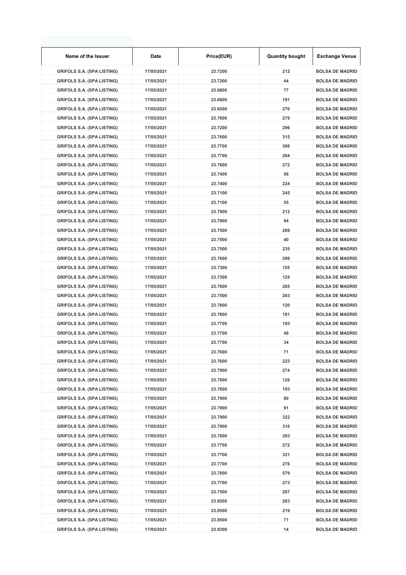| Name of the Issuer                | Date       | Price(EUR) | <b>Quantity bought</b> | <b>Exchange Venue</b>  |
|-----------------------------------|------------|------------|------------------------|------------------------|
| <b>GRIFOLS S.A. (SPA LISTING)</b> | 17/05/2021 | 23.7200    | 212                    | <b>BOLSA DE MADRID</b> |
| <b>GRIFOLS S.A. (SPA LISTING)</b> | 17/05/2021 | 23.7200    | 44                     | <b>BOLSA DE MADRID</b> |
| <b>GRIFOLS S.A. (SPA LISTING)</b> | 17/05/2021 | 23.6800    | 77                     | <b>BOLSA DE MADRID</b> |
| <b>GRIFOLS S.A. (SPA LISTING)</b> | 17/05/2021 | 23.6800    | 191                    | <b>BOLSA DE MADRID</b> |
| <b>GRIFOLS S.A. (SPA LISTING)</b> | 17/05/2021 | 23.6500    | 270                    | <b>BOLSA DE MADRID</b> |
| <b>GRIFOLS S.A. (SPA LISTING)</b> | 17/05/2021 | 23.7600    | 279                    | <b>BOLSA DE MADRID</b> |
| <b>GRIFOLS S.A. (SPA LISTING)</b> | 17/05/2021 | 23.7200    | 296                    | <b>BOLSA DE MADRID</b> |
| <b>GRIFOLS S.A. (SPA LISTING)</b> | 17/05/2021 | 23.7600    | 315                    | <b>BOLSA DE MADRID</b> |
| <b>GRIFOLS S.A. (SPA LISTING)</b> | 17/05/2021 | 23.7700    | 306                    | <b>BOLSA DE MADRID</b> |
| <b>GRIFOLS S.A. (SPA LISTING)</b> | 17/05/2021 | 23.7700    | 284                    | <b>BOLSA DE MADRID</b> |
| <b>GRIFOLS S.A. (SPA LISTING)</b> | 17/05/2021 | 23.7600    | 272                    | <b>BOLSA DE MADRID</b> |
| <b>GRIFOLS S.A. (SPA LISTING)</b> | 17/05/2021 | 23.7400    | 56                     | <b>BOLSA DE MADRID</b> |
| <b>GRIFOLS S.A. (SPA LISTING)</b> | 17/05/2021 | 23.7400    | 224                    | <b>BOLSA DE MADRID</b> |
| <b>GRIFOLS S.A. (SPA LISTING)</b> | 17/05/2021 | 23.7100    | 245                    | <b>BOLSA DE MADRID</b> |
| <b>GRIFOLS S.A. (SPA LISTING)</b> | 17/05/2021 | 23.7100    | 55                     | <b>BOLSA DE MADRID</b> |
| <b>GRIFOLS S.A. (SPA LISTING)</b> | 17/05/2021 | 23.7900    | 212                    | <b>BOLSA DE MADRID</b> |
| <b>GRIFOLS S.A. (SPA LISTING)</b> | 17/05/2021 | 23.7900    | 94                     | <b>BOLSA DE MADRID</b> |
| <b>GRIFOLS S.A. (SPA LISTING)</b> | 17/05/2021 | 23.7500    | 269                    | <b>BOLSA DE MADRID</b> |
| <b>GRIFOLS S.A. (SPA LISTING)</b> | 17/05/2021 | 23.7500    | 40                     | <b>BOLSA DE MADRID</b> |
| <b>GRIFOLS S.A. (SPA LISTING)</b> | 17/05/2021 | 23.7500    | 235                    | <b>BOLSA DE MADRID</b> |
| <b>GRIFOLS S.A. (SPA LISTING)</b> | 17/05/2021 | 23.7600    | 299                    | <b>BOLSA DE MADRID</b> |
| <b>GRIFOLS S.A. (SPA LISTING)</b> | 17/05/2021 | 23.7300    | 155                    | <b>BOLSA DE MADRID</b> |
| <b>GRIFOLS S.A. (SPA LISTING)</b> | 17/05/2021 | 23.7300    | 125                    | <b>BOLSA DE MADRID</b> |
| <b>GRIFOLS S.A. (SPA LISTING)</b> | 17/05/2021 | 23.7600    | 285                    | <b>BOLSA DE MADRID</b> |
| <b>GRIFOLS S.A. (SPA LISTING)</b> | 17/05/2021 | 23.7500    | 283                    | <b>BOLSA DE MADRID</b> |
| <b>GRIFOLS S.A. (SPA LISTING)</b> | 17/05/2021 | 23.7800    | 120                    | <b>BOLSA DE MADRID</b> |
| <b>GRIFOLS S.A. (SPA LISTING)</b> | 17/05/2021 | 23.7800    | 181                    | <b>BOLSA DE MADRID</b> |
| <b>GRIFOLS S.A. (SPA LISTING)</b> | 17/05/2021 | 23.7700    | 193                    | <b>BOLSA DE MADRID</b> |
| <b>GRIFOLS S.A. (SPA LISTING)</b> | 17/05/2021 | 23.7700    | 48                     | <b>BOLSA DE MADRID</b> |
| <b>GRIFOLS S.A. (SPA LISTING)</b> | 17/05/2021 | 23.7700    | 34                     | <b>BOLSA DE MADRID</b> |
| <b>GRIFOLS S.A. (SPA LISTING)</b> | 17/05/2021 | 23.7600    | 71                     | <b>BOLSA DE MADRID</b> |
| <b>GRIFOLS S.A. (SPA LISTING)</b> | 17/05/2021 | 23.7600    | 223                    | <b>BOLSA DE MADRID</b> |
| <b>GRIFOLS S.A. (SPA LISTING)</b> | 17/05/2021 | 23.7900    | 274                    | <b>BOLSA DE MADRID</b> |
| <b>GRIFOLS S.A. (SPA LISTING)</b> | 17/05/2021 | 23.7800    | 126                    | <b>BOLSA DE MADRID</b> |
| <b>GRIFOLS S.A. (SPA LISTING)</b> | 17/05/2021 | 23.7800    | 193                    | <b>BOLSA DE MADRID</b> |
| <b>GRIFOLS S.A. (SPA LISTING)</b> | 17/05/2021 | 23.7900    | 80                     | <b>BOLSA DE MADRID</b> |
| <b>GRIFOLS S.A. (SPA LISTING)</b> | 17/05/2021 | 23.7900    | 91                     | <b>BOLSA DE MADRID</b> |
| <b>GRIFOLS S.A. (SPA LISTING)</b> | 17/05/2021 | 23.7900    | 322                    | <b>BOLSA DE MADRID</b> |
| <b>GRIFOLS S.A. (SPA LISTING)</b> | 17/05/2021 | 23.7900    | 316                    | <b>BOLSA DE MADRID</b> |
| <b>GRIFOLS S.A. (SPA LISTING)</b> | 17/05/2021 | 23.7800    | 293                    | <b>BOLSA DE MADRID</b> |
| <b>GRIFOLS S.A. (SPA LISTING)</b> | 17/05/2021 | 23.7700    | 272                    | <b>BOLSA DE MADRID</b> |
| <b>GRIFOLS S.A. (SPA LISTING)</b> | 17/05/2021 | 23.7700    | 321                    | <b>BOLSA DE MADRID</b> |
| <b>GRIFOLS S.A. (SPA LISTING)</b> | 17/05/2021 | 23.7700    | 276                    | <b>BOLSA DE MADRID</b> |
| <b>GRIFOLS S.A. (SPA LISTING)</b> | 17/05/2021 | 23.7800    | 579                    | <b>BOLSA DE MADRID</b> |
| <b>GRIFOLS S.A. (SPA LISTING)</b> | 17/05/2021 | 23.7700    | 273                    | <b>BOLSA DE MADRID</b> |
| <b>GRIFOLS S.A. (SPA LISTING)</b> | 17/05/2021 | 23.7500    | 287                    | <b>BOLSA DE MADRID</b> |
| <b>GRIFOLS S.A. (SPA LISTING)</b> | 17/05/2021 | 23.8500    | 283                    | <b>BOLSA DE MADRID</b> |
| <b>GRIFOLS S.A. (SPA LISTING)</b> | 17/05/2021 | 23.8500    | 219                    | <b>BOLSA DE MADRID</b> |
| <b>GRIFOLS S.A. (SPA LISTING)</b> | 17/05/2021 | 23.8500    | 71                     | <b>BOLSA DE MADRID</b> |
| <b>GRIFOLS S.A. (SPA LISTING)</b> | 17/05/2021 | 23.9300    | 14                     | <b>BOLSA DE MADRID</b> |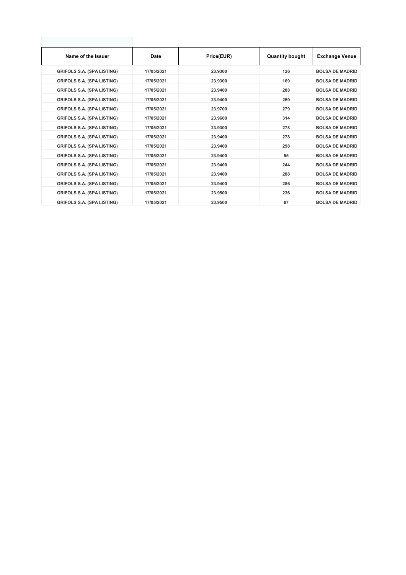| Name of the Issuer                | Date       | Price(EUR) | <b>Quantity bought</b> | <b>Exchange Venue</b>  |
|-----------------------------------|------------|------------|------------------------|------------------------|
| <b>GRIFOLS S.A. (SPA LISTING)</b> | 17/05/2021 | 23.9300    | 126                    | <b>BOLSA DE MADRID</b> |
| <b>GRIFOLS S.A. (SPA LISTING)</b> | 17/05/2021 | 23.9300    | 169                    | <b>BOLSA DE MADRID</b> |
| <b>GRIFOLS S.A. (SPA LISTING)</b> | 17/05/2021 | 23.9400    | 288                    | <b>BOLSA DE MADRID</b> |
| <b>GRIFOLS S.A. (SPA LISTING)</b> | 17/05/2021 | 23.9400    | 269                    | <b>BOLSA DE MADRID</b> |
| <b>GRIFOLS S.A. (SPA LISTING)</b> | 17/05/2021 | 23.9700    | 279                    | <b>BOLSA DE MADRID</b> |
| <b>GRIFOLS S.A. (SPA LISTING)</b> | 17/05/2021 | 23.9600    | 314                    | <b>BOLSA DE MADRID</b> |
| <b>GRIFOLS S.A. (SPA LISTING)</b> | 17/05/2021 | 23.9300    | 278                    | <b>BOLSA DE MADRID</b> |
| <b>GRIFOLS S.A. (SPA LISTING)</b> | 17/05/2021 | 23.9400    | 278                    | <b>BOLSA DE MADRID</b> |
| <b>GRIFOLS S.A. (SPA LISTING)</b> | 17/05/2021 | 23.9400    | 298                    | <b>BOLSA DE MADRID</b> |
| <b>GRIFOLS S.A. (SPA LISTING)</b> | 17/05/2021 | 23.9400    | 55                     | <b>BOLSA DE MADRID</b> |
| <b>GRIFOLS S.A. (SPA LISTING)</b> | 17/05/2021 | 23.9400    | 244                    | <b>BOLSA DE MADRID</b> |
| <b>GRIFOLS S.A. (SPA LISTING)</b> | 17/05/2021 | 23.9400    | 288                    | <b>BOLSA DE MADRID</b> |
| <b>GRIFOLS S.A. (SPA LISTING)</b> | 17/05/2021 | 23.9400    | 286                    | <b>BOLSA DE MADRID</b> |
| <b>GRIFOLS S.A. (SPA LISTING)</b> | 17/05/2021 | 23.9500    | 236                    | <b>BOLSA DE MADRID</b> |
| <b>GRIFOLS S.A. (SPA LISTING)</b> | 17/05/2021 | 23.9500    | 67                     | <b>BOLSA DE MADRID</b> |
|                                   |            |            |                        |                        |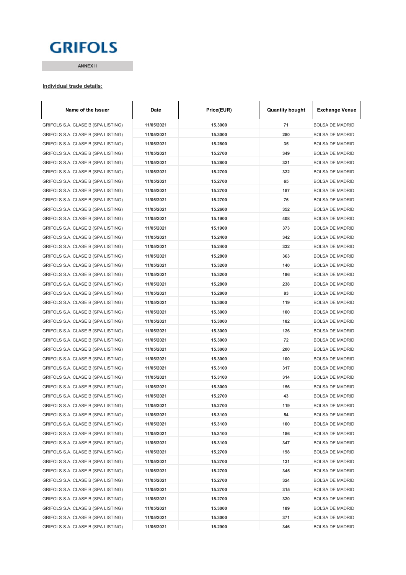# **GRIFOLS**

**ANNEX II**

#### **Individual trade details:**

| Name of the Issuer                 | <b>Date</b> | Price(EUR) | <b>Quantity bought</b> | <b>Exchange Venue</b>  |
|------------------------------------|-------------|------------|------------------------|------------------------|
| GRIFOLS S.A. CLASE B (SPA LISTING) | 11/05/2021  | 15.3000    | 71                     | <b>BOLSA DE MADRID</b> |
| GRIFOLS S.A. CLASE B (SPA LISTING) | 11/05/2021  | 15.3000    | 280                    | <b>BOLSA DE MADRID</b> |
| GRIFOLS S.A. CLASE B (SPA LISTING) | 11/05/2021  | 15.2800    | 35                     | <b>BOLSA DE MADRID</b> |
| GRIFOLS S.A. CLASE B (SPA LISTING) | 11/05/2021  | 15.2700    | 349                    | <b>BOLSA DE MADRID</b> |
| GRIFOLS S.A. CLASE B (SPA LISTING) | 11/05/2021  | 15.2800    | 321                    | <b>BOLSA DE MADRID</b> |
| GRIFOLS S.A. CLASE B (SPA LISTING) | 11/05/2021  | 15.2700    | 322                    | <b>BOLSA DE MADRID</b> |
| GRIFOLS S.A. CLASE B (SPA LISTING) | 11/05/2021  | 15.2700    | 65                     | <b>BOLSA DE MADRID</b> |
| GRIFOLS S.A. CLASE B (SPA LISTING) | 11/05/2021  | 15.2700    | 187                    | <b>BOLSA DE MADRID</b> |
| GRIFOLS S.A. CLASE B (SPA LISTING) | 11/05/2021  | 15.2700    | 76                     | <b>BOLSA DE MADRID</b> |
| GRIFOLS S.A. CLASE B (SPA LISTING) | 11/05/2021  | 15.2600    | 352                    | <b>BOLSA DE MADRID</b> |
| GRIFOLS S.A. CLASE B (SPA LISTING) | 11/05/2021  | 15.1900    | 408                    | <b>BOLSA DE MADRID</b> |
| GRIFOLS S.A. CLASE B (SPA LISTING) | 11/05/2021  | 15.1900    | 373                    | <b>BOLSA DE MADRID</b> |
| GRIFOLS S.A. CLASE B (SPA LISTING) | 11/05/2021  | 15.2400    | 342                    | <b>BOLSA DE MADRID</b> |
| GRIFOLS S.A. CLASE B (SPA LISTING) | 11/05/2021  | 15.2400    | 332                    | <b>BOLSA DE MADRID</b> |
| GRIFOLS S.A. CLASE B (SPA LISTING) | 11/05/2021  | 15.2800    | 363                    | <b>BOLSA DE MADRID</b> |
| GRIFOLS S.A. CLASE B (SPA LISTING) | 11/05/2021  | 15.3200    | 140                    | <b>BOLSA DE MADRID</b> |
| GRIFOLS S.A. CLASE B (SPA LISTING) | 11/05/2021  | 15.3200    | 196                    | <b>BOLSA DE MADRID</b> |
| GRIFOLS S.A. CLASE B (SPA LISTING) | 11/05/2021  | 15.2800    | 238                    | <b>BOLSA DE MADRID</b> |
| GRIFOLS S.A. CLASE B (SPA LISTING) | 11/05/2021  | 15.2800    | 83                     | <b>BOLSA DE MADRID</b> |
| GRIFOLS S.A. CLASE B (SPA LISTING) | 11/05/2021  | 15.3000    | 119                    | <b>BOLSA DE MADRID</b> |
| GRIFOLS S.A. CLASE B (SPA LISTING) | 11/05/2021  | 15.3000    | 100                    | <b>BOLSA DE MADRID</b> |
| GRIFOLS S.A. CLASE B (SPA LISTING) | 11/05/2021  | 15.3000    | 182                    | <b>BOLSA DE MADRID</b> |
| GRIFOLS S.A. CLASE B (SPA LISTING) | 11/05/2021  | 15.3000    | 126                    | <b>BOLSA DE MADRID</b> |
| GRIFOLS S.A. CLASE B (SPA LISTING) | 11/05/2021  | 15.3000    | 72                     | <b>BOLSA DE MADRID</b> |
| GRIFOLS S.A. CLASE B (SPA LISTING) | 11/05/2021  | 15.3000    | 200                    | <b>BOLSA DE MADRID</b> |
| GRIFOLS S.A. CLASE B (SPA LISTING) | 11/05/2021  | 15.3000    | 100                    | <b>BOLSA DE MADRID</b> |
| GRIFOLS S.A. CLASE B (SPA LISTING) | 11/05/2021  | 15.3100    | 317                    | <b>BOLSA DE MADRID</b> |
| GRIFOLS S.A. CLASE B (SPA LISTING) | 11/05/2021  | 15.3100    | 314                    | <b>BOLSA DE MADRID</b> |
| GRIFOLS S.A. CLASE B (SPA LISTING) | 11/05/2021  | 15.3000    | 156                    | <b>BOLSA DE MADRID</b> |
| GRIFOLS S.A. CLASE B (SPA LISTING) | 11/05/2021  | 15.2700    | 43                     | <b>BOLSA DE MADRID</b> |
| GRIFOLS S.A. CLASE B (SPA LISTING) | 11/05/2021  | 15.2700    | 119                    | <b>BOLSA DE MADRID</b> |
| GRIFOLS S.A. CLASE B (SPA LISTING) | 11/05/2021  | 15.3100    | 54                     | <b>BOLSA DE MADRID</b> |
| GRIFOLS S.A. CLASE B (SPA LISTING) | 11/05/2021  | 15.3100    | 100                    | <b>BOLSA DE MADRID</b> |
| GRIFOLS S.A. CLASE B (SPA LISTING) | 11/05/2021  | 15.3100    | 186                    | <b>BOLSA DE MADRID</b> |
| GRIFOLS S.A. CLASE B (SPA LISTING) | 11/05/2021  | 15.3100    | 347                    | <b>BOLSA DE MADRID</b> |
| GRIFOLS S.A. CLASE B (SPA LISTING) | 11/05/2021  | 15.2700    | 198                    | <b>BOLSA DE MADRID</b> |
| GRIFOLS S.A. CLASE B (SPA LISTING) | 11/05/2021  | 15.2700    | 131                    | <b>BOLSA DE MADRID</b> |
| GRIFOLS S.A. CLASE B (SPA LISTING) | 11/05/2021  | 15.2700    | 345                    | <b>BOLSA DE MADRID</b> |
| GRIFOLS S.A. CLASE B (SPA LISTING) | 11/05/2021  | 15.2700    | 324                    | <b>BOLSA DE MADRID</b> |
| GRIFOLS S.A. CLASE B (SPA LISTING) | 11/05/2021  | 15.2700    | 315                    | <b>BOLSA DE MADRID</b> |
| GRIFOLS S.A. CLASE B (SPA LISTING) | 11/05/2021  | 15.2700    | 320                    | <b>BOLSA DE MADRID</b> |
| GRIFOLS S.A. CLASE B (SPA LISTING) | 11/05/2021  | 15.3000    | 189                    | <b>BOLSA DE MADRID</b> |
| GRIFOLS S.A. CLASE B (SPA LISTING) | 11/05/2021  | 15.3000    | 371                    | <b>BOLSA DE MADRID</b> |
| GRIFOLS S.A. CLASE B (SPA LISTING) | 11/05/2021  | 15.2900    | 346                    | <b>BOLSA DE MADRID</b> |
|                                    |             |            |                        |                        |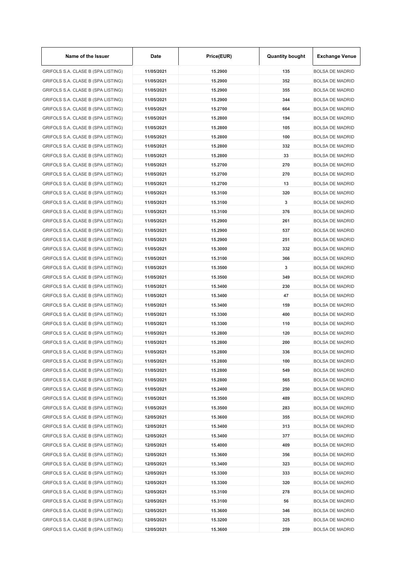| Name of the Issuer                 | Date       | Price(EUR) | <b>Quantity bought</b> | <b>Exchange Venue</b>  |
|------------------------------------|------------|------------|------------------------|------------------------|
| GRIFOLS S.A. CLASE B (SPA LISTING) | 11/05/2021 | 15.2900    | 135                    | <b>BOLSA DE MADRID</b> |
| GRIFOLS S.A. CLASE B (SPA LISTING) | 11/05/2021 | 15.2900    | 352                    | <b>BOLSA DE MADRID</b> |
| GRIFOLS S.A. CLASE B (SPA LISTING) | 11/05/2021 | 15.2900    | 355                    | <b>BOLSA DE MADRID</b> |
| GRIFOLS S.A. CLASE B (SPA LISTING) | 11/05/2021 | 15.2900    | 344                    | <b>BOLSA DE MADRID</b> |
| GRIFOLS S.A. CLASE B (SPA LISTING) | 11/05/2021 | 15.2700    | 664                    | <b>BOLSA DE MADRID</b> |
| GRIFOLS S.A. CLASE B (SPA LISTING) | 11/05/2021 | 15.2800    | 194                    | <b>BOLSA DE MADRID</b> |
| GRIFOLS S.A. CLASE B (SPA LISTING) | 11/05/2021 | 15.2800    | 105                    | <b>BOLSA DE MADRID</b> |
| GRIFOLS S.A. CLASE B (SPA LISTING) | 11/05/2021 | 15.2800    | 100                    | <b>BOLSA DE MADRID</b> |
| GRIFOLS S.A. CLASE B (SPA LISTING) | 11/05/2021 | 15.2800    | 332                    | <b>BOLSA DE MADRID</b> |
| GRIFOLS S.A. CLASE B (SPA LISTING) | 11/05/2021 | 15.2800    | 33                     | <b>BOLSA DE MADRID</b> |
| GRIFOLS S.A. CLASE B (SPA LISTING) | 11/05/2021 | 15.2700    | 270                    | <b>BOLSA DE MADRID</b> |
| GRIFOLS S.A. CLASE B (SPA LISTING) | 11/05/2021 | 15.2700    | 270                    | <b>BOLSA DE MADRID</b> |
| GRIFOLS S.A. CLASE B (SPA LISTING) | 11/05/2021 | 15.2700    | 13                     | <b>BOLSA DE MADRID</b> |
| GRIFOLS S.A. CLASE B (SPA LISTING) | 11/05/2021 | 15.3100    | 320                    | <b>BOLSA DE MADRID</b> |
| GRIFOLS S.A. CLASE B (SPA LISTING) | 11/05/2021 | 15.3100    | 3                      | <b>BOLSA DE MADRID</b> |
| GRIFOLS S.A. CLASE B (SPA LISTING) | 11/05/2021 | 15.3100    | 376                    | <b>BOLSA DE MADRID</b> |
| GRIFOLS S.A. CLASE B (SPA LISTING) | 11/05/2021 | 15.2900    | 261                    | <b>BOLSA DE MADRID</b> |
| GRIFOLS S.A. CLASE B (SPA LISTING) | 11/05/2021 | 15.2900    | 537                    | <b>BOLSA DE MADRID</b> |
| GRIFOLS S.A. CLASE B (SPA LISTING) | 11/05/2021 | 15.2900    | 251                    | <b>BOLSA DE MADRID</b> |
| GRIFOLS S.A. CLASE B (SPA LISTING) | 11/05/2021 | 15.3000    | 332                    | <b>BOLSA DE MADRID</b> |
| GRIFOLS S.A. CLASE B (SPA LISTING) | 11/05/2021 | 15.3100    | 366                    | <b>BOLSA DE MADRID</b> |
| GRIFOLS S.A. CLASE B (SPA LISTING) | 11/05/2021 | 15.3500    | 3                      | <b>BOLSA DE MADRID</b> |
| GRIFOLS S.A. CLASE B (SPA LISTING) | 11/05/2021 | 15.3500    | 349                    | <b>BOLSA DE MADRID</b> |
| GRIFOLS S.A. CLASE B (SPA LISTING) | 11/05/2021 | 15.3400    | 230                    | <b>BOLSA DE MADRID</b> |
| GRIFOLS S.A. CLASE B (SPA LISTING) | 11/05/2021 | 15.3400    | 47                     | <b>BOLSA DE MADRID</b> |
| GRIFOLS S.A. CLASE B (SPA LISTING) | 11/05/2021 | 15.3400    | 159                    | <b>BOLSA DE MADRID</b> |
| GRIFOLS S.A. CLASE B (SPA LISTING) | 11/05/2021 | 15.3300    | 400                    | <b>BOLSA DE MADRID</b> |
| GRIFOLS S.A. CLASE B (SPA LISTING) | 11/05/2021 | 15.3300    | 110                    | <b>BOLSA DE MADRID</b> |
|                                    |            |            |                        |                        |
| GRIFOLS S.A. CLASE B (SPA LISTING) | 11/05/2021 | 15.2800    | 120                    | <b>BOLSA DE MADRID</b> |
| GRIFOLS S.A. CLASE B (SPA LISTING) | 11/05/2021 | 15.2800    | 200                    | <b>BOLSA DE MADRID</b> |
| GRIFOLS S.A. CLASE B (SPA LISTING) | 11/05/2021 | 15.2800    | 336                    | <b>BOLSA DE MADRID</b> |
| GRIFOLS S.A. CLASE B (SPA LISTING) | 11/05/2021 | 15.2800    | 100                    | <b>BOLSA DE MADRID</b> |
| GRIFOLS S.A. CLASE B (SPA LISTING) | 11/05/2021 | 15.2800    | 549                    | <b>BOLSA DE MADRID</b> |
| GRIFOLS S.A. CLASE B (SPA LISTING) | 11/05/2021 | 15.2800    | 565                    | <b>BOLSA DE MADRID</b> |
| GRIFOLS S.A. CLASE B (SPA LISTING) | 11/05/2021 | 15.2400    | 250                    | <b>BOLSA DE MADRID</b> |
| GRIFOLS S.A. CLASE B (SPA LISTING) | 11/05/2021 | 15.3500    | 489                    | <b>BOLSA DE MADRID</b> |
| GRIFOLS S.A. CLASE B (SPA LISTING) | 11/05/2021 | 15.3500    | 283                    | <b>BOLSA DE MADRID</b> |
| GRIFOLS S.A. CLASE B (SPA LISTING) | 12/05/2021 | 15.3600    | 355                    | <b>BOLSA DE MADRID</b> |
| GRIFOLS S.A. CLASE B (SPA LISTING) | 12/05/2021 | 15.3400    | 313                    | <b>BOLSA DE MADRID</b> |
| GRIFOLS S.A. CLASE B (SPA LISTING) | 12/05/2021 | 15.3400    | 377                    | <b>BOLSA DE MADRID</b> |
| GRIFOLS S.A. CLASE B (SPA LISTING) | 12/05/2021 | 15.4000    | 409                    | <b>BOLSA DE MADRID</b> |
| GRIFOLS S.A. CLASE B (SPA LISTING) | 12/05/2021 | 15.3600    | 356                    | <b>BOLSA DE MADRID</b> |
| GRIFOLS S.A. CLASE B (SPA LISTING) | 12/05/2021 | 15.3400    | 323                    | <b>BOLSA DE MADRID</b> |
| GRIFOLS S.A. CLASE B (SPA LISTING) | 12/05/2021 | 15.3300    | 333                    | <b>BOLSA DE MADRID</b> |
| GRIFOLS S.A. CLASE B (SPA LISTING) | 12/05/2021 | 15.3300    | 320                    | <b>BOLSA DE MADRID</b> |
| GRIFOLS S.A. CLASE B (SPA LISTING) | 12/05/2021 | 15.3100    | 278                    | <b>BOLSA DE MADRID</b> |
| GRIFOLS S.A. CLASE B (SPA LISTING) | 12/05/2021 | 15.3100    | 56                     | <b>BOLSA DE MADRID</b> |
| GRIFOLS S.A. CLASE B (SPA LISTING) | 12/05/2021 | 15.3600    | 346                    | <b>BOLSA DE MADRID</b> |
| GRIFOLS S.A. CLASE B (SPA LISTING) | 12/05/2021 | 15.3200    | 325                    | <b>BOLSA DE MADRID</b> |
| GRIFOLS S.A. CLASE B (SPA LISTING) | 12/05/2021 | 15.3600    | 259                    | <b>BOLSA DE MADRID</b> |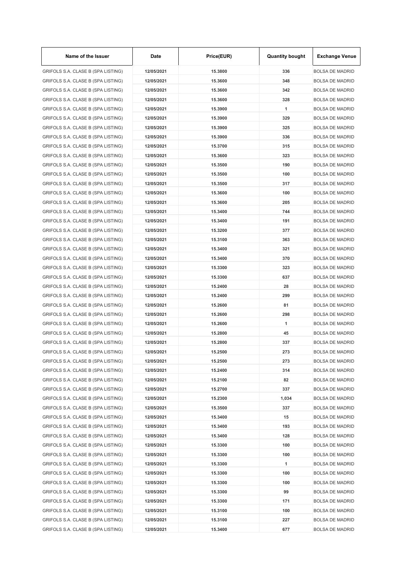| Name of the Issuer                 | Date       | Price(EUR) | <b>Quantity bought</b> | <b>Exchange Venue</b>  |
|------------------------------------|------------|------------|------------------------|------------------------|
| GRIFOLS S.A. CLASE B (SPA LISTING) | 12/05/2021 | 15,3800    | 336                    | <b>BOLSA DE MADRID</b> |
| GRIFOLS S.A. CLASE B (SPA LISTING) | 12/05/2021 | 15.3600    | 348                    | <b>BOLSA DE MADRID</b> |
| GRIFOLS S.A. CLASE B (SPA LISTING) | 12/05/2021 | 15.3600    | 342                    | <b>BOLSA DE MADRID</b> |
| GRIFOLS S.A. CLASE B (SPA LISTING) | 12/05/2021 | 15.3600    | 328                    | <b>BOLSA DE MADRID</b> |
| GRIFOLS S.A. CLASE B (SPA LISTING) | 12/05/2021 | 15.3900    | 1                      | <b>BOLSA DE MADRID</b> |
| GRIFOLS S.A. CLASE B (SPA LISTING) | 12/05/2021 | 15.3900    | 329                    | <b>BOLSA DE MADRID</b> |
| GRIFOLS S.A. CLASE B (SPA LISTING) | 12/05/2021 | 15.3900    | 325                    | <b>BOLSA DE MADRID</b> |
| GRIFOLS S.A. CLASE B (SPA LISTING) | 12/05/2021 | 15.3900    | 336                    | <b>BOLSA DE MADRID</b> |
| GRIFOLS S.A. CLASE B (SPA LISTING) | 12/05/2021 | 15.3700    | 315                    | <b>BOLSA DE MADRID</b> |
| GRIFOLS S.A. CLASE B (SPA LISTING) | 12/05/2021 | 15.3600    | 323                    | <b>BOLSA DE MADRID</b> |
| GRIFOLS S.A. CLASE B (SPA LISTING) | 12/05/2021 | 15.3500    | 190                    | <b>BOLSA DE MADRID</b> |
| GRIFOLS S.A. CLASE B (SPA LISTING) | 12/05/2021 | 15.3500    | 100                    | <b>BOLSA DE MADRID</b> |
| GRIFOLS S.A. CLASE B (SPA LISTING) | 12/05/2021 | 15.3500    | 317                    | <b>BOLSA DE MADRID</b> |
| GRIFOLS S.A. CLASE B (SPA LISTING) | 12/05/2021 | 15.3600    | 100                    | <b>BOLSA DE MADRID</b> |
| GRIFOLS S.A. CLASE B (SPA LISTING) | 12/05/2021 | 15.3600    | 205                    | <b>BOLSA DE MADRID</b> |
| GRIFOLS S.A. CLASE B (SPA LISTING) | 12/05/2021 | 15.3400    | 744                    | <b>BOLSA DE MADRID</b> |
| GRIFOLS S.A. CLASE B (SPA LISTING) | 12/05/2021 | 15.3400    | 191                    | <b>BOLSA DE MADRID</b> |
| GRIFOLS S.A. CLASE B (SPA LISTING) | 12/05/2021 | 15.3200    | 377                    | <b>BOLSA DE MADRID</b> |
| GRIFOLS S.A. CLASE B (SPA LISTING) | 12/05/2021 | 15.3100    | 363                    | <b>BOLSA DE MADRID</b> |
| GRIFOLS S.A. CLASE B (SPA LISTING) | 12/05/2021 | 15.3400    | 321                    | <b>BOLSA DE MADRID</b> |
| GRIFOLS S.A. CLASE B (SPA LISTING) | 12/05/2021 | 15.3400    | 370                    | <b>BOLSA DE MADRID</b> |
| GRIFOLS S.A. CLASE B (SPA LISTING) | 12/05/2021 | 15.3300    | 323                    | <b>BOLSA DE MADRID</b> |
| GRIFOLS S.A. CLASE B (SPA LISTING) | 12/05/2021 | 15.3300    | 637                    | <b>BOLSA DE MADRID</b> |
| GRIFOLS S.A. CLASE B (SPA LISTING) | 12/05/2021 | 15.2400    | 28                     | <b>BOLSA DE MADRID</b> |
|                                    |            |            | 299                    |                        |
| GRIFOLS S.A. CLASE B (SPA LISTING) | 12/05/2021 | 15.2400    |                        | <b>BOLSA DE MADRID</b> |
| GRIFOLS S.A. CLASE B (SPA LISTING) | 12/05/2021 | 15.2600    | 81                     | <b>BOLSA DE MADRID</b> |
| GRIFOLS S.A. CLASE B (SPA LISTING) | 12/05/2021 | 15.2600    | 298                    | <b>BOLSA DE MADRID</b> |
| GRIFOLS S.A. CLASE B (SPA LISTING) | 12/05/2021 | 15.2600    | 1                      | <b>BOLSA DE MADRID</b> |
| GRIFOLS S.A. CLASE B (SPA LISTING) | 12/05/2021 | 15.2800    | 45                     | <b>BOLSA DE MADRID</b> |
| GRIFOLS S.A. CLASE B (SPA LISTING) | 12/05/2021 | 15.2800    | 337                    | <b>BOLSA DE MADRID</b> |
| GRIFOLS S.A. CLASE B (SPA LISTING) | 12/05/2021 | 15.2500    | 273                    | <b>BOLSA DE MADRID</b> |
| GRIFOLS S.A. CLASE B (SPA LISTING) | 12/05/2021 | 15.2500    | 273                    | <b>BOLSA DE MADRID</b> |
| GRIFOLS S.A. CLASE B (SPA LISTING) | 12/05/2021 | 15.2400    | 314                    | <b>BOLSA DE MADRID</b> |
| GRIFOLS S.A. CLASE B (SPA LISTING) | 12/05/2021 | 15.2100    | 82                     | <b>BOLSA DE MADRID</b> |
| GRIFOLS S.A. CLASE B (SPA LISTING) | 12/05/2021 | 15.2700    | 337                    | <b>BOLSA DE MADRID</b> |
| GRIFOLS S.A. CLASE B (SPA LISTING) | 12/05/2021 | 15.2300    | 1,034                  | <b>BOLSA DE MADRID</b> |
| GRIFOLS S.A. CLASE B (SPA LISTING) | 12/05/2021 | 15.3500    | 337                    | <b>BOLSA DE MADRID</b> |
| GRIFOLS S.A. CLASE B (SPA LISTING) | 12/05/2021 | 15.3400    | 15                     | <b>BOLSA DE MADRID</b> |
| GRIFOLS S.A. CLASE B (SPA LISTING) | 12/05/2021 | 15.3400    | 193                    | <b>BOLSA DE MADRID</b> |
| GRIFOLS S.A. CLASE B (SPA LISTING) | 12/05/2021 | 15.3400    | 128                    | <b>BOLSA DE MADRID</b> |
| GRIFOLS S.A. CLASE B (SPA LISTING) | 12/05/2021 | 15.3300    | 100                    | <b>BOLSA DE MADRID</b> |
| GRIFOLS S.A. CLASE B (SPA LISTING) | 12/05/2021 | 15.3300    | 100                    | <b>BOLSA DE MADRID</b> |
| GRIFOLS S.A. CLASE B (SPA LISTING) | 12/05/2021 | 15.3300    | 1                      | <b>BOLSA DE MADRID</b> |
| GRIFOLS S.A. CLASE B (SPA LISTING) | 12/05/2021 | 15.3300    | 100                    | <b>BOLSA DE MADRID</b> |
| GRIFOLS S.A. CLASE B (SPA LISTING) | 12/05/2021 | 15.3300    | 100                    | <b>BOLSA DE MADRID</b> |
| GRIFOLS S.A. CLASE B (SPA LISTING) | 12/05/2021 | 15.3300    | 99                     | <b>BOLSA DE MADRID</b> |
| GRIFOLS S.A. CLASE B (SPA LISTING) | 12/05/2021 | 15.3300    | 171                    | <b>BOLSA DE MADRID</b> |
| GRIFOLS S.A. CLASE B (SPA LISTING) | 12/05/2021 | 15.3100    | 100                    | <b>BOLSA DE MADRID</b> |
| GRIFOLS S.A. CLASE B (SPA LISTING) | 12/05/2021 | 15.3100    | 227                    | <b>BOLSA DE MADRID</b> |
| GRIFOLS S.A. CLASE B (SPA LISTING) | 12/05/2021 | 15.3400    | 677                    | <b>BOLSA DE MADRID</b> |

 $\mathbf{r}$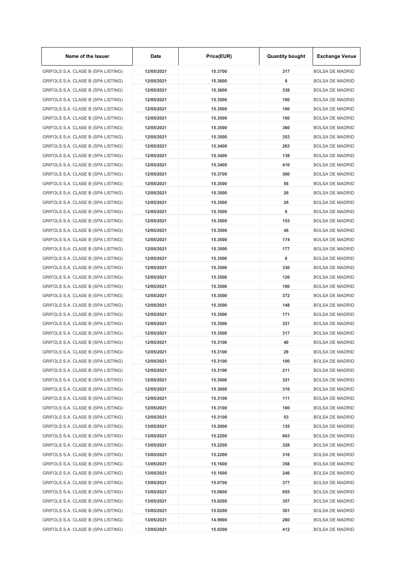| Name of the Issuer                 | Date       | Price(EUR) | <b>Quantity bought</b> | <b>Exchange Venue</b>  |
|------------------------------------|------------|------------|------------------------|------------------------|
| GRIFOLS S.A. CLASE B (SPA LISTING) | 12/05/2021 | 15.3700    | 317                    | <b>BOLSA DE MADRID</b> |
| GRIFOLS S.A. CLASE B (SPA LISTING) | 12/05/2021 | 15.3600    | 8                      | <b>BOLSA DE MADRID</b> |
| GRIFOLS S.A. CLASE B (SPA LISTING) | 12/05/2021 | 15,3600    | 338                    | <b>BOLSA DE MADRID</b> |
| GRIFOLS S.A. CLASE B (SPA LISTING) | 12/05/2021 | 15.3500    | 100                    | <b>BOLSA DE MADRID</b> |
| GRIFOLS S.A. CLASE B (SPA LISTING) | 12/05/2021 | 15.3500    | 100                    | <b>BOLSA DE MADRID</b> |
| GRIFOLS S.A. CLASE B (SPA LISTING) | 12/05/2021 | 15.3500    | 100                    | <b>BOLSA DE MADRID</b> |
| GRIFOLS S.A. CLASE B (SPA LISTING) | 12/05/2021 | 15.3500    | 360                    | <b>BOLSA DE MADRID</b> |
| GRIFOLS S.A. CLASE B (SPA LISTING) | 12/05/2021 | 15.3500    | 353                    | <b>BOLSA DE MADRID</b> |
| GRIFOLS S.A. CLASE B (SPA LISTING) | 12/05/2021 | 15.3400    | 263                    | <b>BOLSA DE MADRID</b> |
| GRIFOLS S.A. CLASE B (SPA LISTING) | 12/05/2021 | 15.3400    | 138                    | <b>BOLSA DE MADRID</b> |
| GRIFOLS S.A. CLASE B (SPA LISTING) | 12/05/2021 | 15.3400    | 410                    | <b>BOLSA DE MADRID</b> |
| GRIFOLS S.A. CLASE B (SPA LISTING) | 12/05/2021 | 15.3700    | 360                    | <b>BOLSA DE MADRID</b> |
| GRIFOLS S.A. CLASE B (SPA LISTING) | 12/05/2021 | 15.3500    | 56                     | <b>BOLSA DE MADRID</b> |
| GRIFOLS S.A. CLASE B (SPA LISTING) | 12/05/2021 | 15.3500    | 26                     | <b>BOLSA DE MADRID</b> |
| GRIFOLS S.A. CLASE B (SPA LISTING) | 12/05/2021 | 15.3500    | 26                     | <b>BOLSA DE MADRID</b> |
| GRIFOLS S.A. CLASE B (SPA LISTING) | 12/05/2021 | 15.3500    | 6                      | <b>BOLSA DE MADRID</b> |
| GRIFOLS S.A. CLASE B (SPA LISTING) | 12/05/2021 | 15.3500    | 153                    | <b>BOLSA DE MADRID</b> |
| GRIFOLS S.A. CLASE B (SPA LISTING) | 12/05/2021 | 15.3500    | 46                     | <b>BOLSA DE MADRID</b> |
| GRIFOLS S.A. CLASE B (SPA LISTING) | 12/05/2021 | 15.3500    | 174                    | <b>BOLSA DE MADRID</b> |
| GRIFOLS S.A. CLASE B (SPA LISTING) | 12/05/2021 | 15.3500    | 177                    | <b>BOLSA DE MADRID</b> |
| GRIFOLS S.A. CLASE B (SPA LISTING) | 12/05/2021 | 15.3500    | 6                      | <b>BOLSA DE MADRID</b> |
| GRIFOLS S.A. CLASE B (SPA LISTING) | 12/05/2021 | 15.3500    | 330                    | <b>BOLSA DE MADRID</b> |
| GRIFOLS S.A. CLASE B (SPA LISTING) | 12/05/2021 | 15.3500    | 126                    | <b>BOLSA DE MADRID</b> |
| GRIFOLS S.A. CLASE B (SPA LISTING) | 12/05/2021 | 15.3500    | 100                    | <b>BOLSA DE MADRID</b> |
| GRIFOLS S.A. CLASE B (SPA LISTING) | 12/05/2021 | 15.3500    | 372                    | <b>BOLSA DE MADRID</b> |
| GRIFOLS S.A. CLASE B (SPA LISTING) | 12/05/2021 | 15.3500    | 148                    | <b>BOLSA DE MADRID</b> |
| GRIFOLS S.A. CLASE B (SPA LISTING) | 12/05/2021 | 15.3500    | 171                    | <b>BOLSA DE MADRID</b> |
|                                    | 12/05/2021 | 15.3500    | 321                    | <b>BOLSA DE MADRID</b> |
| GRIFOLS S.A. CLASE B (SPA LISTING) |            |            |                        |                        |
| GRIFOLS S.A. CLASE B (SPA LISTING) | 12/05/2021 | 15.3500    | 317                    | <b>BOLSA DE MADRID</b> |
| GRIFOLS S.A. CLASE B (SPA LISTING) | 12/05/2021 | 15.3100    | 40                     | <b>BOLSA DE MADRID</b> |
| GRIFOLS S.A. CLASE B (SPA LISTING) | 12/05/2021 | 15.3100    | 29                     | <b>BOLSA DE MADRID</b> |
| GRIFOLS S.A. CLASE B (SPA LISTING) | 12/05/2021 | 15.3100    | 100                    | <b>BOLSA DE MADRID</b> |
| GRIFOLS S.A. CLASE B (SPA LISTING) | 12/05/2021 | 15.3100    | 211                    | <b>BOLSA DE MADRID</b> |
| GRIFOLS S.A. CLASE B (SPA LISTING) | 12/05/2021 | 15.3000    | 321                    | <b>BOLSA DE MADRID</b> |
| GRIFOLS S.A. CLASE B (SPA LISTING) | 12/05/2021 | 15.3000    | 316                    | <b>BOLSA DE MADRID</b> |
| GRIFOLS S.A. CLASE B (SPA LISTING) | 12/05/2021 | 15.3100    | 111                    | <b>BOLSA DE MADRID</b> |
| GRIFOLS S.A. CLASE B (SPA LISTING) | 12/05/2021 | 15.3100    | 100                    | <b>BOLSA DE MADRID</b> |
| GRIFOLS S.A. CLASE B (SPA LISTING) | 12/05/2021 | 15.3100    | 53                     | <b>BOLSA DE MADRID</b> |
| GRIFOLS S.A. CLASE B (SPA LISTING) | 13/05/2021 | 15.2000    | 135                    | <b>BOLSA DE MADRID</b> |
| GRIFOLS S.A. CLASE B (SPA LISTING) | 13/05/2021 | 15.2200    | 663                    | <b>BOLSA DE MADRID</b> |
| GRIFOLS S.A. CLASE B (SPA LISTING) | 13/05/2021 | 15.2200    | 328                    | <b>BOLSA DE MADRID</b> |
| GRIFOLS S.A. CLASE B (SPA LISTING) | 13/05/2021 | 15.2200    | 316                    | <b>BOLSA DE MADRID</b> |
| GRIFOLS S.A. CLASE B (SPA LISTING) | 13/05/2021 | 15.1600    | 358                    | <b>BOLSA DE MADRID</b> |
| GRIFOLS S.A. CLASE B (SPA LISTING) | 13/05/2021 | 15.1600    | 246                    | <b>BOLSA DE MADRID</b> |
| GRIFOLS S.A. CLASE B (SPA LISTING) | 13/05/2021 | 15.0700    | 377                    | <b>BOLSA DE MADRID</b> |
| GRIFOLS S.A. CLASE B (SPA LISTING) | 13/05/2021 | 15.0800    | 655                    | <b>BOLSA DE MADRID</b> |
| GRIFOLS S.A. CLASE B (SPA LISTING) | 13/05/2021 | 15.0200    | 357                    | <b>BOLSA DE MADRID</b> |
| GRIFOLS S.A. CLASE B (SPA LISTING) | 13/05/2021 | 15.0200    | 361                    | <b>BOLSA DE MADRID</b> |
| GRIFOLS S.A. CLASE B (SPA LISTING) | 13/05/2021 | 14.9900    | 260                    | <b>BOLSA DE MADRID</b> |
| GRIFOLS S.A. CLASE B (SPA LISTING) | 13/05/2021 | 15.0200    | 412                    | <b>BOLSA DE MADRID</b> |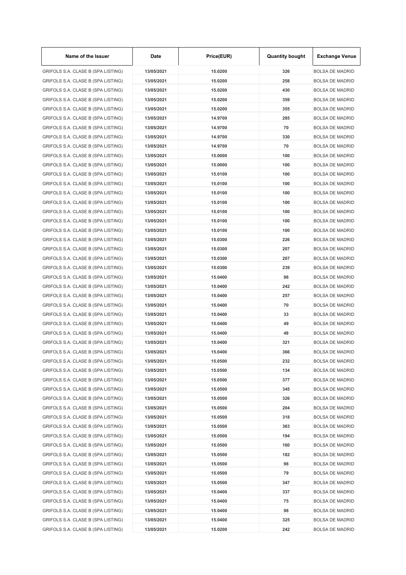| Name of the Issuer                 | Date       | Price(EUR) | <b>Quantity bought</b> | <b>Exchange Venue</b>  |
|------------------------------------|------------|------------|------------------------|------------------------|
| GRIFOLS S.A. CLASE B (SPA LISTING) | 13/05/2021 | 15.0200    | 326                    | <b>BOLSA DE MADRID</b> |
| GRIFOLS S.A. CLASE B (SPA LISTING) | 13/05/2021 | 15.0200    | 258                    | <b>BOLSA DE MADRID</b> |
| GRIFOLS S.A. CLASE B (SPA LISTING) | 13/05/2021 | 15.0200    | 430                    | <b>BOLSA DE MADRID</b> |
| GRIFOLS S.A. CLASE B (SPA LISTING) | 13/05/2021 | 15.0200    | 359                    | <b>BOLSA DE MADRID</b> |
| GRIFOLS S.A. CLASE B (SPA LISTING) | 13/05/2021 | 15.0200    | 355                    | <b>BOLSA DE MADRID</b> |
| GRIFOLS S.A. CLASE B (SPA LISTING) | 13/05/2021 | 14.9700    | 285                    | <b>BOLSA DE MADRID</b> |
| GRIFOLS S.A. CLASE B (SPA LISTING) | 13/05/2021 | 14.9700    | 70                     | <b>BOLSA DE MADRID</b> |
| GRIFOLS S.A. CLASE B (SPA LISTING) | 13/05/2021 | 14.9700    | 330                    | <b>BOLSA DE MADRID</b> |
| GRIFOLS S.A. CLASE B (SPA LISTING) | 13/05/2021 | 14.9700    | 70                     | <b>BOLSA DE MADRID</b> |
| GRIFOLS S.A. CLASE B (SPA LISTING) | 13/05/2021 | 15.0000    | 100                    | <b>BOLSA DE MADRID</b> |
| GRIFOLS S.A. CLASE B (SPA LISTING) | 13/05/2021 | 15.0000    | 100                    | <b>BOLSA DE MADRID</b> |
| GRIFOLS S.A. CLASE B (SPA LISTING) | 13/05/2021 | 15.0100    | 100                    | <b>BOLSA DE MADRID</b> |
| GRIFOLS S.A. CLASE B (SPA LISTING) | 13/05/2021 | 15.0100    | 100                    | <b>BOLSA DE MADRID</b> |
| GRIFOLS S.A. CLASE B (SPA LISTING) | 13/05/2021 | 15.0100    | 100                    | <b>BOLSA DE MADRID</b> |
| GRIFOLS S.A. CLASE B (SPA LISTING) | 13/05/2021 | 15.0100    | 100                    | <b>BOLSA DE MADRID</b> |
| GRIFOLS S.A. CLASE B (SPA LISTING) | 13/05/2021 | 15.0100    | 100                    | <b>BOLSA DE MADRID</b> |
| GRIFOLS S.A. CLASE B (SPA LISTING) | 13/05/2021 | 15.0100    | 100                    | <b>BOLSA DE MADRID</b> |
| GRIFOLS S.A. CLASE B (SPA LISTING) | 13/05/2021 | 15.0100    | 100                    | <b>BOLSA DE MADRID</b> |
| GRIFOLS S.A. CLASE B (SPA LISTING) | 13/05/2021 | 15.0300    | 226                    | <b>BOLSA DE MADRID</b> |
|                                    |            |            |                        |                        |
| GRIFOLS S.A. CLASE B (SPA LISTING) | 13/05/2021 | 15.0300    | 207                    | <b>BOLSA DE MADRID</b> |
| GRIFOLS S.A. CLASE B (SPA LISTING) | 13/05/2021 | 15.0300    | 207                    | <b>BOLSA DE MADRID</b> |
| GRIFOLS S.A. CLASE B (SPA LISTING) | 13/05/2021 | 15.0300    | 239                    | <b>BOLSA DE MADRID</b> |
| GRIFOLS S.A. CLASE B (SPA LISTING) | 13/05/2021 | 15.0400    | 98                     | <b>BOLSA DE MADRID</b> |
| GRIFOLS S.A. CLASE B (SPA LISTING) | 13/05/2021 | 15.0400    | 242                    | <b>BOLSA DE MADRID</b> |
| GRIFOLS S.A. CLASE B (SPA LISTING) | 13/05/2021 | 15.0400    | 257                    | <b>BOLSA DE MADRID</b> |
| GRIFOLS S.A. CLASE B (SPA LISTING) | 13/05/2021 | 15.0400    | 70                     | <b>BOLSA DE MADRID</b> |
| GRIFOLS S.A. CLASE B (SPA LISTING) | 13/05/2021 | 15.0400    | 33                     | <b>BOLSA DE MADRID</b> |
| GRIFOLS S.A. CLASE B (SPA LISTING) | 13/05/2021 | 15.0400    | 49                     | <b>BOLSA DE MADRID</b> |
| GRIFOLS S.A. CLASE B (SPA LISTING) | 13/05/2021 | 15.0400    | 49                     | <b>BOLSA DE MADRID</b> |
| GRIFOLS S.A. CLASE B (SPA LISTING) | 13/05/2021 | 15.0400    | 321                    | <b>BOLSA DE MADRID</b> |
| GRIFOLS S.A. CLASE B (SPA LISTING) | 13/05/2021 | 15.0400    | 366                    | <b>BOLSA DE MADRID</b> |
| GRIFOLS S.A. CLASE B (SPA LISTING) | 13/05/2021 | 15.0500    | 232                    | <b>BOLSA DE MADRID</b> |
| GRIFOLS S.A. CLASE B (SPA LISTING) | 13/05/2021 | 15.0500    | 134                    | <b>BOLSA DE MADRID</b> |
| GRIFOLS S.A. CLASE B (SPA LISTING) | 13/05/2021 | 15.0500    | 377                    | <b>BOLSA DE MADRID</b> |
| GRIFOLS S.A. CLASE B (SPA LISTING) | 13/05/2021 | 15.0500    | 345                    | <b>BOLSA DE MADRID</b> |
| GRIFOLS S.A. CLASE B (SPA LISTING) | 13/05/2021 | 15.0500    | 326                    | <b>BOLSA DE MADRID</b> |
| GRIFOLS S.A. CLASE B (SPA LISTING) | 13/05/2021 | 15.0500    | 204                    | <b>BOLSA DE MADRID</b> |
| GRIFOLS S.A. CLASE B (SPA LISTING) | 13/05/2021 | 15.0500    | 318                    | <b>BOLSA DE MADRID</b> |
| GRIFOLS S.A. CLASE B (SPA LISTING) | 13/05/2021 | 15.0500    | 363                    | <b>BOLSA DE MADRID</b> |
| GRIFOLS S.A. CLASE B (SPA LISTING) | 13/05/2021 | 15.0500    | 194                    | <b>BOLSA DE MADRID</b> |
| GRIFOLS S.A. CLASE B (SPA LISTING) | 13/05/2021 | 15.0500    | 160                    | <b>BOLSA DE MADRID</b> |
| GRIFOLS S.A. CLASE B (SPA LISTING) | 13/05/2021 | 15.0500    | 182                    | <b>BOLSA DE MADRID</b> |
| GRIFOLS S.A. CLASE B (SPA LISTING) | 13/05/2021 | 15.0500    | 98                     | <b>BOLSA DE MADRID</b> |
| GRIFOLS S.A. CLASE B (SPA LISTING) | 13/05/2021 | 15.0500    | 79                     | <b>BOLSA DE MADRID</b> |
| GRIFOLS S.A. CLASE B (SPA LISTING) | 13/05/2021 | 15.0500    | 347                    | <b>BOLSA DE MADRID</b> |
| GRIFOLS S.A. CLASE B (SPA LISTING) | 13/05/2021 | 15.0400    | 337                    | <b>BOLSA DE MADRID</b> |
| GRIFOLS S.A. CLASE B (SPA LISTING) | 13/05/2021 | 15.0400    | 75                     | <b>BOLSA DE MADRID</b> |
| GRIFOLS S.A. CLASE B (SPA LISTING) | 13/05/2021 | 15.0400    | 98                     | <b>BOLSA DE MADRID</b> |
| GRIFOLS S.A. CLASE B (SPA LISTING) | 13/05/2021 | 15.0400    | 325                    | <b>BOLSA DE MADRID</b> |
| GRIFOLS S.A. CLASE B (SPA LISTING) | 13/05/2021 | 15.0200    | 242                    | <b>BOLSA DE MADRID</b> |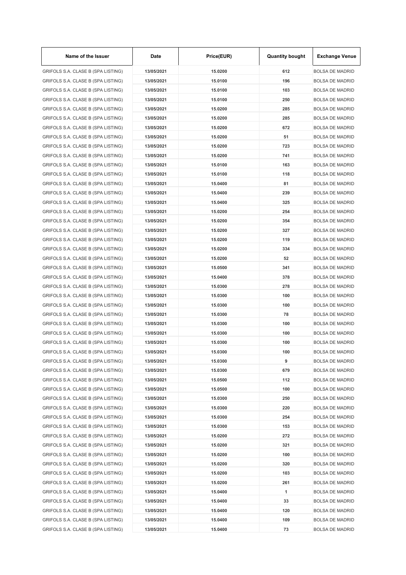| Name of the Issuer                 | Date       | Price(EUR) | <b>Quantity bought</b> | <b>Exchange Venue</b>  |
|------------------------------------|------------|------------|------------------------|------------------------|
| GRIFOLS S.A. CLASE B (SPA LISTING) | 13/05/2021 | 15.0200    | 612                    | <b>BOLSA DE MADRID</b> |
| GRIFOLS S.A. CLASE B (SPA LISTING) | 13/05/2021 | 15.0100    | 196                    | <b>BOLSA DE MADRID</b> |
| GRIFOLS S.A. CLASE B (SPA LISTING) | 13/05/2021 | 15.0100    | 103                    | <b>BOLSA DE MADRID</b> |
| GRIFOLS S.A. CLASE B (SPA LISTING) | 13/05/2021 | 15.0100    | 250                    | <b>BOLSA DE MADRID</b> |
| GRIFOLS S.A. CLASE B (SPA LISTING) | 13/05/2021 | 15.0200    | 285                    | <b>BOLSA DE MADRID</b> |
| GRIFOLS S.A. CLASE B (SPA LISTING) | 13/05/2021 | 15.0200    | 285                    | <b>BOLSA DE MADRID</b> |
| GRIFOLS S.A. CLASE B (SPA LISTING) | 13/05/2021 | 15.0200    | 672                    | <b>BOLSA DE MADRID</b> |
| GRIFOLS S.A. CLASE B (SPA LISTING) | 13/05/2021 | 15.0200    | 51                     | <b>BOLSA DE MADRID</b> |
| GRIFOLS S.A. CLASE B (SPA LISTING) | 13/05/2021 | 15.0200    | 723                    | <b>BOLSA DE MADRID</b> |
| GRIFOLS S.A. CLASE B (SPA LISTING) | 13/05/2021 | 15.0200    | 741                    | <b>BOLSA DE MADRID</b> |
| GRIFOLS S.A. CLASE B (SPA LISTING) | 13/05/2021 | 15.0100    | 163                    | <b>BOLSA DE MADRID</b> |
| GRIFOLS S.A. CLASE B (SPA LISTING) | 13/05/2021 | 15.0100    | 118                    | <b>BOLSA DE MADRID</b> |
| GRIFOLS S.A. CLASE B (SPA LISTING) | 13/05/2021 | 15.0400    | 81                     | <b>BOLSA DE MADRID</b> |
| GRIFOLS S.A. CLASE B (SPA LISTING) | 13/05/2021 | 15.0400    | 239                    | <b>BOLSA DE MADRID</b> |
| GRIFOLS S.A. CLASE B (SPA LISTING) | 13/05/2021 | 15.0400    | 325                    | <b>BOLSA DE MADRID</b> |
| GRIFOLS S.A. CLASE B (SPA LISTING) | 13/05/2021 | 15.0200    | 254                    | <b>BOLSA DE MADRID</b> |
| GRIFOLS S.A. CLASE B (SPA LISTING) | 13/05/2021 | 15.0200    | 354                    | <b>BOLSA DE MADRID</b> |
| GRIFOLS S.A. CLASE B (SPA LISTING) | 13/05/2021 | 15.0200    | 327                    | <b>BOLSA DE MADRID</b> |
| GRIFOLS S.A. CLASE B (SPA LISTING) | 13/05/2021 | 15.0200    | 119                    | <b>BOLSA DE MADRID</b> |
| GRIFOLS S.A. CLASE B (SPA LISTING) | 13/05/2021 | 15.0200    | 334                    | <b>BOLSA DE MADRID</b> |
|                                    |            |            | 52                     |                        |
| GRIFOLS S.A. CLASE B (SPA LISTING) | 13/05/2021 | 15.0200    |                        | <b>BOLSA DE MADRID</b> |
| GRIFOLS S.A. CLASE B (SPA LISTING) | 13/05/2021 | 15.0500    | 341                    | <b>BOLSA DE MADRID</b> |
| GRIFOLS S.A. CLASE B (SPA LISTING) | 13/05/2021 | 15.0400    | 378                    | <b>BOLSA DE MADRID</b> |
| GRIFOLS S.A. CLASE B (SPA LISTING) | 13/05/2021 | 15.0300    | 278                    | <b>BOLSA DE MADRID</b> |
| GRIFOLS S.A. CLASE B (SPA LISTING) | 13/05/2021 | 15.0300    | 100                    | <b>BOLSA DE MADRID</b> |
| GRIFOLS S.A. CLASE B (SPA LISTING) | 13/05/2021 | 15.0300    | 100                    | <b>BOLSA DE MADRID</b> |
| GRIFOLS S.A. CLASE B (SPA LISTING) | 13/05/2021 | 15.0300    | 78                     | <b>BOLSA DE MADRID</b> |
| GRIFOLS S.A. CLASE B (SPA LISTING) | 13/05/2021 | 15.0300    | 100                    | <b>BOLSA DE MADRID</b> |
| GRIFOLS S.A. CLASE B (SPA LISTING) | 13/05/2021 | 15.0300    | 100                    | <b>BOLSA DE MADRID</b> |
| GRIFOLS S.A. CLASE B (SPA LISTING) | 13/05/2021 | 15.0300    | 100                    | <b>BOLSA DE MADRID</b> |
| GRIFOLS S.A. CLASE B (SPA LISTING) | 13/05/2021 | 15.0300    | 100                    | <b>BOLSA DE MADRID</b> |
| GRIFOLS S.A. CLASE B (SPA LISTING) | 13/05/2021 | 15.0300    | 9                      | <b>BOLSA DE MADRID</b> |
| GRIFOLS S.A. CLASE B (SPA LISTING) | 13/05/2021 | 15.0300    | 679                    | <b>BOLSA DE MADRID</b> |
| GRIFOLS S.A. CLASE B (SPA LISTING) | 13/05/2021 | 15.0500    | 112                    | <b>BOLSA DE MADRID</b> |
| GRIFOLS S.A. CLASE B (SPA LISTING) | 13/05/2021 | 15.0500    | 100                    | <b>BOLSA DE MADRID</b> |
| GRIFOLS S.A. CLASE B (SPA LISTING) | 13/05/2021 | 15.0300    | 250                    | <b>BOLSA DE MADRID</b> |
| GRIFOLS S.A. CLASE B (SPA LISTING) | 13/05/2021 | 15.0300    | 220                    | <b>BOLSA DE MADRID</b> |
| GRIFOLS S.A. CLASE B (SPA LISTING) | 13/05/2021 | 15.0300    | 254                    | <b>BOLSA DE MADRID</b> |
| GRIFOLS S.A. CLASE B (SPA LISTING) | 13/05/2021 | 15.0300    | 153                    | <b>BOLSA DE MADRID</b> |
| GRIFOLS S.A. CLASE B (SPA LISTING) | 13/05/2021 | 15.0200    | 272                    | <b>BOLSA DE MADRID</b> |
| GRIFOLS S.A. CLASE B (SPA LISTING) | 13/05/2021 | 15.0200    | 321                    | <b>BOLSA DE MADRID</b> |
| GRIFOLS S.A. CLASE B (SPA LISTING) | 13/05/2021 | 15.0200    | 100                    | <b>BOLSA DE MADRID</b> |
| GRIFOLS S.A. CLASE B (SPA LISTING) | 13/05/2021 | 15.0200    | 320                    | <b>BOLSA DE MADRID</b> |
| GRIFOLS S.A. CLASE B (SPA LISTING) | 13/05/2021 | 15.0200    | 103                    | <b>BOLSA DE MADRID</b> |
| GRIFOLS S.A. CLASE B (SPA LISTING) | 13/05/2021 | 15.0200    | 261                    | <b>BOLSA DE MADRID</b> |
| GRIFOLS S.A. CLASE B (SPA LISTING) | 13/05/2021 | 15.0400    | 1                      | <b>BOLSA DE MADRID</b> |
| GRIFOLS S.A. CLASE B (SPA LISTING) | 13/05/2021 | 15.0400    | 33                     | <b>BOLSA DE MADRID</b> |
| GRIFOLS S.A. CLASE B (SPA LISTING) | 13/05/2021 | 15.0400    | 120                    | <b>BOLSA DE MADRID</b> |
| GRIFOLS S.A. CLASE B (SPA LISTING) | 13/05/2021 | 15.0400    | 109                    | <b>BOLSA DE MADRID</b> |
| GRIFOLS S.A. CLASE B (SPA LISTING) | 13/05/2021 | 15.0400    | 73                     | <b>BOLSA DE MADRID</b> |

 $\mathbf{r}$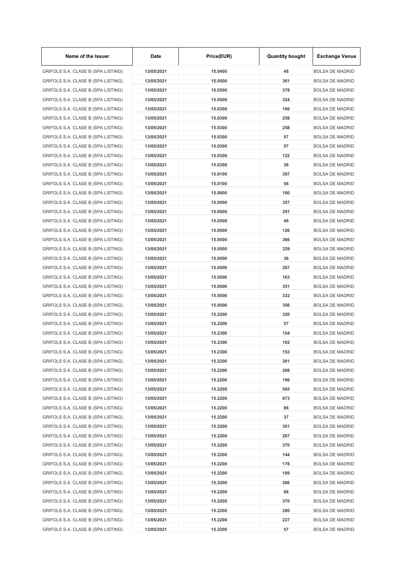| Name of the Issuer                 | Date       | Price(EUR) | <b>Quantity bought</b> | <b>Exchange Venue</b>                            |
|------------------------------------|------------|------------|------------------------|--------------------------------------------------|
| GRIFOLS S.A. CLASE B (SPA LISTING) | 13/05/2021 | 15.0400    | 48                     | <b>BOLSA DE MADRID</b>                           |
| GRIFOLS S.A. CLASE B (SPA LISTING) | 13/05/2021 | 15.0500    | 361                    | <b>BOLSA DE MADRID</b>                           |
| GRIFOLS S.A. CLASE B (SPA LISTING) | 13/05/2021 | 15.0500    | 378                    | <b>BOLSA DE MADRID</b>                           |
| GRIFOLS S.A. CLASE B (SPA LISTING) | 13/05/2021 | 15.0500    | 324                    | <b>BOLSA DE MADRID</b>                           |
| GRIFOLS S.A. CLASE B (SPA LISTING) | 13/05/2021 | 15.0300    | 106                    | <b>BOLSA DE MADRID</b>                           |
| GRIFOLS S.A. CLASE B (SPA LISTING) | 13/05/2021 | 15.0300    | 258                    | <b>BOLSA DE MADRID</b>                           |
| GRIFOLS S.A. CLASE B (SPA LISTING) | 13/05/2021 | 15.0300    | 258                    | <b>BOLSA DE MADRID</b>                           |
| GRIFOLS S.A. CLASE B (SPA LISTING) | 13/05/2021 | 15.0300    | 57                     | <b>BOLSA DE MADRID</b>                           |
| GRIFOLS S.A. CLASE B (SPA LISTING) | 13/05/2021 | 15.0300    | 57                     | <b>BOLSA DE MADRID</b>                           |
| GRIFOLS S.A. CLASE B (SPA LISTING) | 13/05/2021 | 15.0300    | 122                    | <b>BOLSA DE MADRID</b>                           |
| GRIFOLS S.A. CLASE B (SPA LISTING) | 13/05/2021 | 15.0300    | 38                     | <b>BOLSA DE MADRID</b>                           |
| GRIFOLS S.A. CLASE B (SPA LISTING) | 13/05/2021 | 15.0100    | 307                    | <b>BOLSA DE MADRID</b>                           |
| GRIFOLS S.A. CLASE B (SPA LISTING) | 13/05/2021 | 15.0100    | 56                     | <b>BOLSA DE MADRID</b>                           |
| GRIFOLS S.A. CLASE B (SPA LISTING) | 13/05/2021 | 15.0000    | 100                    | <b>BOLSA DE MADRID</b>                           |
| GRIFOLS S.A. CLASE B (SPA LISTING) | 13/05/2021 | 15.0500    | 357                    | <b>BOLSA DE MADRID</b>                           |
| GRIFOLS S.A. CLASE B (SPA LISTING) | 13/05/2021 | 15.0500    | 291                    | <b>BOLSA DE MADRID</b>                           |
| GRIFOLS S.A. CLASE B (SPA LISTING) | 13/05/2021 | 15.0500    | 49                     | <b>BOLSA DE MADRID</b>                           |
| GRIFOLS S.A. CLASE B (SPA LISTING) | 13/05/2021 | 15.0500    | 126                    | <b>BOLSA DE MADRID</b>                           |
| GRIFOLS S.A. CLASE B (SPA LISTING) | 13/05/2021 | 15.0500    | 366                    | <b>BOLSA DE MADRID</b>                           |
| GRIFOLS S.A. CLASE B (SPA LISTING) | 13/05/2021 | 15.0500    | 329                    | <b>BOLSA DE MADRID</b>                           |
| GRIFOLS S.A. CLASE B (SPA LISTING) | 13/05/2021 | 15.0500    | 36                     | <b>BOLSA DE MADRID</b>                           |
| GRIFOLS S.A. CLASE B (SPA LISTING) | 13/05/2021 | 15.0500    | 287                    | <b>BOLSA DE MADRID</b>                           |
| GRIFOLS S.A. CLASE B (SPA LISTING) | 13/05/2021 | 15.0500    | 163                    | <b>BOLSA DE MADRID</b>                           |
| GRIFOLS S.A. CLASE B (SPA LISTING) | 13/05/2021 | 15.0500    | 351                    | <b>BOLSA DE MADRID</b>                           |
| GRIFOLS S.A. CLASE B (SPA LISTING) | 13/05/2021 | 15.0500    | 332                    | <b>BOLSA DE MADRID</b>                           |
| GRIFOLS S.A. CLASE B (SPA LISTING) | 13/05/2021 | 15.0500    | 356                    | <b>BOLSA DE MADRID</b>                           |
|                                    |            |            |                        |                                                  |
| GRIFOLS S.A. CLASE B (SPA LISTING) | 13/05/2021 | 15.2200    | 320                    | <b>BOLSA DE MADRID</b><br><b>BOLSA DE MADRID</b> |
| GRIFOLS S.A. CLASE B (SPA LISTING) | 13/05/2021 | 15.2200    | 57                     |                                                  |
| GRIFOLS S.A. CLASE B (SPA LISTING) | 13/05/2021 | 15.2300    | 154                    | <b>BOLSA DE MADRID</b>                           |
| GRIFOLS S.A. CLASE B (SPA LISTING) | 13/05/2021 | 15.2300    | 102                    | <b>BOLSA DE MADRID</b>                           |
| GRIFOLS S.A. CLASE B (SPA LISTING) | 13/05/2021 | 15.2300    | 153                    | <b>BOLSA DE MADRID</b>                           |
| GRIFOLS S.A. CLASE B (SPA LISTING) | 13/05/2021 | 15.2200    | 301                    | <b>BOLSA DE MADRID</b>                           |
| GRIFOLS S.A. CLASE B (SPA LISTING) | 13/05/2021 | 15.2200    | 266                    | <b>BOLSA DE MADRID</b>                           |
| GRIFOLS S.A. CLASE B (SPA LISTING) | 13/05/2021 | 15.2200    | 196                    | <b>BOLSA DE MADRID</b>                           |
| GRIFOLS S.A. CLASE B (SPA LISTING) | 13/05/2021 | 15.2200    | 565                    | <b>BOLSA DE MADRID</b>                           |
| GRIFOLS S.A. CLASE B (SPA LISTING) | 13/05/2021 | 15.2200    | 673                    | <b>BOLSA DE MADRID</b>                           |
| GRIFOLS S.A. CLASE B (SPA LISTING) | 13/05/2021 | 15.2200    | 86                     | <b>BOLSA DE MADRID</b>                           |
| GRIFOLS S.A. CLASE B (SPA LISTING) | 13/05/2021 | 15.2200    | 37                     | <b>BOLSA DE MADRID</b>                           |
| GRIFOLS S.A. CLASE B (SPA LISTING) | 13/05/2021 | 15.2200    | 301                    | <b>BOLSA DE MADRID</b>                           |
| GRIFOLS S.A. CLASE B (SPA LISTING) | 13/05/2021 | 15.2200    | 267                    | <b>BOLSA DE MADRID</b>                           |
| GRIFOLS S.A. CLASE B (SPA LISTING) | 13/05/2021 | 15.2200    | 370                    | <b>BOLSA DE MADRID</b>                           |
| GRIFOLS S.A. CLASE B (SPA LISTING) | 13/05/2021 | 15.2200    | 144                    | <b>BOLSA DE MADRID</b>                           |
| GRIFOLS S.A. CLASE B (SPA LISTING) | 13/05/2021 | 15.2200    | 178                    | <b>BOLSA DE MADRID</b>                           |
| GRIFOLS S.A. CLASE B (SPA LISTING) | 13/05/2021 | 15.2200    | 109                    | <b>BOLSA DE MADRID</b>                           |
| GRIFOLS S.A. CLASE B (SPA LISTING) | 13/05/2021 | 15.2200    | 266                    | <b>BOLSA DE MADRID</b>                           |
| GRIFOLS S.A. CLASE B (SPA LISTING) | 13/05/2021 | 15.2200    | 88                     | <b>BOLSA DE MADRID</b>                           |
| GRIFOLS S.A. CLASE B (SPA LISTING) | 13/05/2021 | 15.2200    | 370                    | <b>BOLSA DE MADRID</b>                           |
| GRIFOLS S.A. CLASE B (SPA LISTING) | 13/05/2021 | 15.2200    | 280                    | <b>BOLSA DE MADRID</b>                           |
| GRIFOLS S.A. CLASE B (SPA LISTING) | 13/05/2021 | 15.2200    | 227                    | <b>BOLSA DE MADRID</b>                           |
| GRIFOLS S.A. CLASE B (SPA LISTING) | 13/05/2021 | 15.2200    | 57                     | <b>BOLSA DE MADRID</b>                           |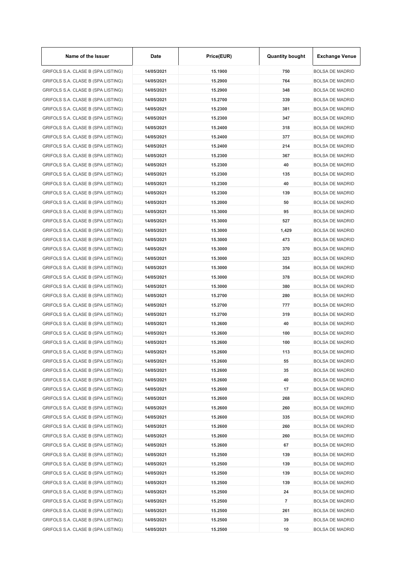| Name of the Issuer                 | Date       | Price(EUR) | <b>Quantity bought</b> | <b>Exchange Venue</b>  |
|------------------------------------|------------|------------|------------------------|------------------------|
| GRIFOLS S.A. CLASE B (SPA LISTING) | 14/05/2021 | 15.1900    | 750                    | <b>BOLSA DE MADRID</b> |
| GRIFOLS S.A. CLASE B (SPA LISTING) | 14/05/2021 | 15.2900    | 764                    | <b>BOLSA DE MADRID</b> |
| GRIFOLS S.A. CLASE B (SPA LISTING) | 14/05/2021 | 15.2900    | 348                    | <b>BOLSA DE MADRID</b> |
| GRIFOLS S.A. CLASE B (SPA LISTING) | 14/05/2021 | 15.2700    | 339                    | <b>BOLSA DE MADRID</b> |
| GRIFOLS S.A. CLASE B (SPA LISTING) | 14/05/2021 | 15.2300    | 381                    | <b>BOLSA DE MADRID</b> |
| GRIFOLS S.A. CLASE B (SPA LISTING) | 14/05/2021 | 15.2300    | 347                    | <b>BOLSA DE MADRID</b> |
| GRIFOLS S.A. CLASE B (SPA LISTING) | 14/05/2021 | 15.2400    | 318                    | <b>BOLSA DE MADRID</b> |
| GRIFOLS S.A. CLASE B (SPA LISTING) | 14/05/2021 | 15.2400    | 377                    | <b>BOLSA DE MADRID</b> |
| GRIFOLS S.A. CLASE B (SPA LISTING) | 14/05/2021 | 15.2400    | 214                    | <b>BOLSA DE MADRID</b> |
| GRIFOLS S.A. CLASE B (SPA LISTING) | 14/05/2021 | 15.2300    | 367                    | <b>BOLSA DE MADRID</b> |
| GRIFOLS S.A. CLASE B (SPA LISTING) | 14/05/2021 | 15.2300    | 40                     | <b>BOLSA DE MADRID</b> |
| GRIFOLS S.A. CLASE B (SPA LISTING) | 14/05/2021 | 15.2300    | 135                    | <b>BOLSA DE MADRID</b> |
| GRIFOLS S.A. CLASE B (SPA LISTING) | 14/05/2021 | 15.2300    | 40                     | <b>BOLSA DE MADRID</b> |
| GRIFOLS S.A. CLASE B (SPA LISTING) | 14/05/2021 | 15.2300    | 139                    | <b>BOLSA DE MADRID</b> |
| GRIFOLS S.A. CLASE B (SPA LISTING) | 14/05/2021 | 15.2000    | 50                     | <b>BOLSA DE MADRID</b> |
| GRIFOLS S.A. CLASE B (SPA LISTING) | 14/05/2021 | 15.3000    | 95                     | <b>BOLSA DE MADRID</b> |
| GRIFOLS S.A. CLASE B (SPA LISTING) | 14/05/2021 | 15.3000    | 527                    | <b>BOLSA DE MADRID</b> |
| GRIFOLS S.A. CLASE B (SPA LISTING) | 14/05/2021 | 15.3000    | 1,429                  | <b>BOLSA DE MADRID</b> |
| GRIFOLS S.A. CLASE B (SPA LISTING) | 14/05/2021 | 15.3000    | 473                    | <b>BOLSA DE MADRID</b> |
| GRIFOLS S.A. CLASE B (SPA LISTING) | 14/05/2021 | 15.3000    | 370                    | <b>BOLSA DE MADRID</b> |
| GRIFOLS S.A. CLASE B (SPA LISTING) | 14/05/2021 | 15.3000    | 323                    | <b>BOLSA DE MADRID</b> |
| GRIFOLS S.A. CLASE B (SPA LISTING) | 14/05/2021 | 15.3000    | 354                    | <b>BOLSA DE MADRID</b> |
| GRIFOLS S.A. CLASE B (SPA LISTING) | 14/05/2021 | 15.3000    | 378                    | <b>BOLSA DE MADRID</b> |
| GRIFOLS S.A. CLASE B (SPA LISTING) | 14/05/2021 | 15.3000    | 380                    | <b>BOLSA DE MADRID</b> |
| GRIFOLS S.A. CLASE B (SPA LISTING) | 14/05/2021 | 15.2700    | 280                    | <b>BOLSA DE MADRID</b> |
| GRIFOLS S.A. CLASE B (SPA LISTING) | 14/05/2021 | 15.2700    | 777                    | <b>BOLSA DE MADRID</b> |
| GRIFOLS S.A. CLASE B (SPA LISTING) | 14/05/2021 | 15.2700    | 319                    | <b>BOLSA DE MADRID</b> |
| GRIFOLS S.A. CLASE B (SPA LISTING) | 14/05/2021 | 15.2600    | 40                     | <b>BOLSA DE MADRID</b> |
| GRIFOLS S.A. CLASE B (SPA LISTING) | 14/05/2021 | 15.2600    | 100                    | <b>BOLSA DE MADRID</b> |
| GRIFOLS S.A. CLASE B (SPA LISTING) | 14/05/2021 | 15.2600    | 100                    | <b>BOLSA DE MADRID</b> |
|                                    |            |            |                        |                        |
| GRIFOLS S.A. CLASE B (SPA LISTING) | 14/05/2021 | 15.2600    | 113                    | <b>BOLSA DE MADRID</b> |
| GRIFOLS S.A. CLASE B (SPA LISTING) | 14/05/2021 | 15.2600    | 55                     | <b>BOLSA DE MADRID</b> |
| GRIFOLS S.A. CLASE B (SPA LISTING) | 14/05/2021 | 15.2600    | 35                     | <b>BOLSA DE MADRID</b> |
| GRIFOLS S.A. CLASE B (SPA LISTING) | 14/05/2021 | 15.2600    | 40                     | <b>BOLSA DE MADRID</b> |
| GRIFOLS S.A. CLASE B (SPA LISTING) | 14/05/2021 | 15.2600    | 17                     | <b>BOLSA DE MADRID</b> |
| GRIFOLS S.A. CLASE B (SPA LISTING) | 14/05/2021 | 15.2600    | 268                    | <b>BOLSA DE MADRID</b> |
| GRIFOLS S.A. CLASE B (SPA LISTING) | 14/05/2021 | 15.2600    | 260                    | <b>BOLSA DE MADRID</b> |
| GRIFOLS S.A. CLASE B (SPA LISTING) | 14/05/2021 | 15.2600    | 335                    | <b>BOLSA DE MADRID</b> |
| GRIFOLS S.A. CLASE B (SPA LISTING) | 14/05/2021 | 15.2600    | 260                    | <b>BOLSA DE MADRID</b> |
| GRIFOLS S.A. CLASE B (SPA LISTING) | 14/05/2021 | 15.2600    | 260                    | <b>BOLSA DE MADRID</b> |
| GRIFOLS S.A. CLASE B (SPA LISTING) | 14/05/2021 | 15.2600    | 67                     | <b>BOLSA DE MADRID</b> |
| GRIFOLS S.A. CLASE B (SPA LISTING) | 14/05/2021 | 15.2500    | 139                    | <b>BOLSA DE MADRID</b> |
| GRIFOLS S.A. CLASE B (SPA LISTING) | 14/05/2021 | 15.2500    | 139                    | <b>BOLSA DE MADRID</b> |
| GRIFOLS S.A. CLASE B (SPA LISTING) | 14/05/2021 | 15.2500    | 139                    | <b>BOLSA DE MADRID</b> |
| GRIFOLS S.A. CLASE B (SPA LISTING) | 14/05/2021 | 15.2500    | 139                    | <b>BOLSA DE MADRID</b> |
| GRIFOLS S.A. CLASE B (SPA LISTING) | 14/05/2021 | 15.2500    | 24                     | <b>BOLSA DE MADRID</b> |
| GRIFOLS S.A. CLASE B (SPA LISTING) | 14/05/2021 | 15.2500    | $\overline{7}$         | <b>BOLSA DE MADRID</b> |
| GRIFOLS S.A. CLASE B (SPA LISTING) | 14/05/2021 | 15.2500    | 261                    | <b>BOLSA DE MADRID</b> |
| GRIFOLS S.A. CLASE B (SPA LISTING) | 14/05/2021 | 15.2500    | 39                     | <b>BOLSA DE MADRID</b> |
| GRIFOLS S.A. CLASE B (SPA LISTING) | 14/05/2021 | 15.2500    | 10                     | <b>BOLSA DE MADRID</b> |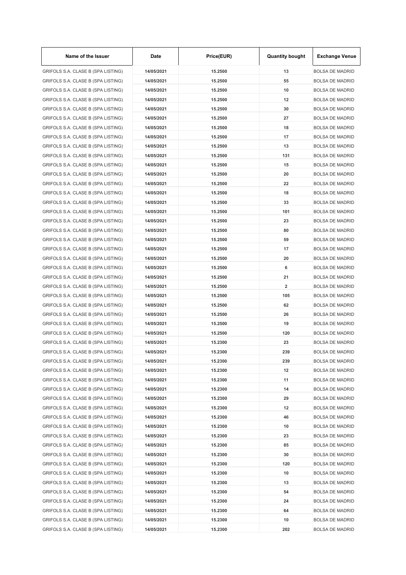| Name of the Issuer                 | Date       | Price(EUR) | <b>Quantity bought</b> | <b>Exchange Venue</b>  |
|------------------------------------|------------|------------|------------------------|------------------------|
| GRIFOLS S.A. CLASE B (SPA LISTING) | 14/05/2021 | 15.2500    | 13                     | <b>BOLSA DE MADRID</b> |
| GRIFOLS S.A. CLASE B (SPA LISTING) | 14/05/2021 | 15.2500    | 55                     | <b>BOLSA DE MADRID</b> |
| GRIFOLS S.A. CLASE B (SPA LISTING) | 14/05/2021 | 15.2500    | 10                     | <b>BOLSA DE MADRID</b> |
| GRIFOLS S.A. CLASE B (SPA LISTING) | 14/05/2021 | 15.2500    | 12                     | <b>BOLSA DE MADRID</b> |
| GRIFOLS S.A. CLASE B (SPA LISTING) | 14/05/2021 | 15.2500    | 30                     | <b>BOLSA DE MADRID</b> |
| GRIFOLS S.A. CLASE B (SPA LISTING) | 14/05/2021 | 15.2500    | 27                     | <b>BOLSA DE MADRID</b> |
| GRIFOLS S.A. CLASE B (SPA LISTING) | 14/05/2021 | 15.2500    | 18                     | <b>BOLSA DE MADRID</b> |
| GRIFOLS S.A. CLASE B (SPA LISTING) | 14/05/2021 | 15.2500    | 17                     | <b>BOLSA DE MADRID</b> |
| GRIFOLS S.A. CLASE B (SPA LISTING) | 14/05/2021 | 15.2500    | 13                     | <b>BOLSA DE MADRID</b> |
| GRIFOLS S.A. CLASE B (SPA LISTING) | 14/05/2021 | 15.2500    | 131                    | <b>BOLSA DE MADRID</b> |
| GRIFOLS S.A. CLASE B (SPA LISTING) | 14/05/2021 | 15.2500    | 15                     | <b>BOLSA DE MADRID</b> |
| GRIFOLS S.A. CLASE B (SPA LISTING) | 14/05/2021 | 15.2500    | 20                     | <b>BOLSA DE MADRID</b> |
| GRIFOLS S.A. CLASE B (SPA LISTING) | 14/05/2021 | 15.2500    | 22                     | <b>BOLSA DE MADRID</b> |
| GRIFOLS S.A. CLASE B (SPA LISTING) | 14/05/2021 | 15.2500    | 18                     | <b>BOLSA DE MADRID</b> |
| GRIFOLS S.A. CLASE B (SPA LISTING) | 14/05/2021 | 15.2500    | 33                     | <b>BOLSA DE MADRID</b> |
| GRIFOLS S.A. CLASE B (SPA LISTING) | 14/05/2021 | 15.2500    | 101                    | <b>BOLSA DE MADRID</b> |
| GRIFOLS S.A. CLASE B (SPA LISTING) | 14/05/2021 | 15.2500    | 23                     | <b>BOLSA DE MADRID</b> |
| GRIFOLS S.A. CLASE B (SPA LISTING) | 14/05/2021 | 15.2500    | 80                     | <b>BOLSA DE MADRID</b> |
| GRIFOLS S.A. CLASE B (SPA LISTING) | 14/05/2021 | 15.2500    | 59                     | <b>BOLSA DE MADRID</b> |
|                                    | 14/05/2021 | 15.2500    | 17                     | <b>BOLSA DE MADRID</b> |
| GRIFOLS S.A. CLASE B (SPA LISTING) |            |            |                        |                        |
| GRIFOLS S.A. CLASE B (SPA LISTING) | 14/05/2021 | 15.2500    | 20                     | <b>BOLSA DE MADRID</b> |
| GRIFOLS S.A. CLASE B (SPA LISTING) | 14/05/2021 | 15.2500    | 6                      | <b>BOLSA DE MADRID</b> |
| GRIFOLS S.A. CLASE B (SPA LISTING) | 14/05/2021 | 15.2500    | 21                     | <b>BOLSA DE MADRID</b> |
| GRIFOLS S.A. CLASE B (SPA LISTING) | 14/05/2021 | 15.2500    | 2                      | <b>BOLSA DE MADRID</b> |
| GRIFOLS S.A. CLASE B (SPA LISTING) | 14/05/2021 | 15.2500    | 105                    | <b>BOLSA DE MADRID</b> |
| GRIFOLS S.A. CLASE B (SPA LISTING) | 14/05/2021 | 15.2500    | 62                     | <b>BOLSA DE MADRID</b> |
| GRIFOLS S.A. CLASE B (SPA LISTING) | 14/05/2021 | 15.2500    | 26                     | <b>BOLSA DE MADRID</b> |
| GRIFOLS S.A. CLASE B (SPA LISTING) | 14/05/2021 | 15.2500    | 19                     | <b>BOLSA DE MADRID</b> |
| GRIFOLS S.A. CLASE B (SPA LISTING) | 14/05/2021 | 15.2500    | 120                    | <b>BOLSA DE MADRID</b> |
| GRIFOLS S.A. CLASE B (SPA LISTING) | 14/05/2021 | 15.2300    | 23                     | <b>BOLSA DE MADRID</b> |
| GRIFOLS S.A. CLASE B (SPA LISTING) | 14/05/2021 | 15.2300    | 239                    | <b>BOLSA DE MADRID</b> |
| GRIFOLS S.A. CLASE B (SPA LISTING) | 14/05/2021 | 15.2300    | 239                    | <b>BOLSA DE MADRID</b> |
| GRIFOLS S.A. CLASE B (SPA LISTING) | 14/05/2021 | 15.2300    | 12                     | <b>BOLSA DE MADRID</b> |
| GRIFOLS S.A. CLASE B (SPA LISTING) | 14/05/2021 | 15.2300    | 11                     | <b>BOLSA DE MADRID</b> |
| GRIFOLS S.A. CLASE B (SPA LISTING) | 14/05/2021 | 15.2300    | 14                     | <b>BOLSA DE MADRID</b> |
| GRIFOLS S.A. CLASE B (SPA LISTING) | 14/05/2021 | 15.2300    | 29                     | <b>BOLSA DE MADRID</b> |
| GRIFOLS S.A. CLASE B (SPA LISTING) | 14/05/2021 | 15.2300    | 12                     | <b>BOLSA DE MADRID</b> |
| GRIFOLS S.A. CLASE B (SPA LISTING) | 14/05/2021 | 15.2300    | 46                     | <b>BOLSA DE MADRID</b> |
| GRIFOLS S.A. CLASE B (SPA LISTING) | 14/05/2021 | 15.2300    | 10                     | <b>BOLSA DE MADRID</b> |
| GRIFOLS S.A. CLASE B (SPA LISTING) | 14/05/2021 | 15.2300    | 23                     | <b>BOLSA DE MADRID</b> |
| GRIFOLS S.A. CLASE B (SPA LISTING) | 14/05/2021 | 15.2300    | 85                     | <b>BOLSA DE MADRID</b> |
| GRIFOLS S.A. CLASE B (SPA LISTING) | 14/05/2021 | 15.2300    | 30                     | <b>BOLSA DE MADRID</b> |
| GRIFOLS S.A. CLASE B (SPA LISTING) | 14/05/2021 | 15.2300    | 120                    | <b>BOLSA DE MADRID</b> |
| GRIFOLS S.A. CLASE B (SPA LISTING) | 14/05/2021 | 15.2300    | 10                     | <b>BOLSA DE MADRID</b> |
| GRIFOLS S.A. CLASE B (SPA LISTING) | 14/05/2021 | 15.2300    | 13                     | <b>BOLSA DE MADRID</b> |
| GRIFOLS S.A. CLASE B (SPA LISTING) | 14/05/2021 | 15.2300    | 54                     | <b>BOLSA DE MADRID</b> |
| GRIFOLS S.A. CLASE B (SPA LISTING) | 14/05/2021 | 15.2300    | 24                     | <b>BOLSA DE MADRID</b> |
| GRIFOLS S.A. CLASE B (SPA LISTING) | 14/05/2021 | 15.2300    | 64                     | <b>BOLSA DE MADRID</b> |
| GRIFOLS S.A. CLASE B (SPA LISTING) | 14/05/2021 | 15.2300    | 10                     | <b>BOLSA DE MADRID</b> |
| GRIFOLS S.A. CLASE B (SPA LISTING) | 14/05/2021 | 15.2300    | 202                    | <b>BOLSA DE MADRID</b> |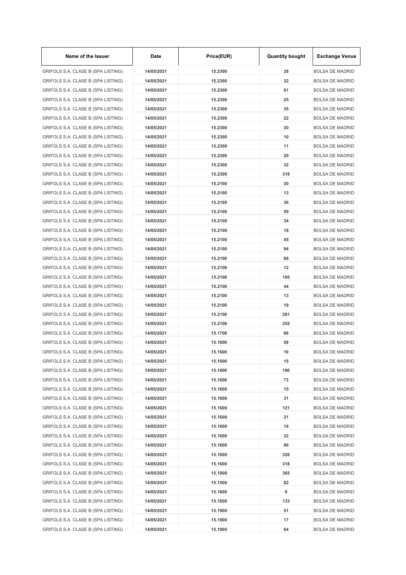| Name of the Issuer                 | Date       | Price(EUR) | <b>Quantity bought</b> | <b>Exchange Venue</b>  |  |
|------------------------------------|------------|------------|------------------------|------------------------|--|
| GRIFOLS S.A. CLASE B (SPA LISTING) | 14/05/2021 | 15.2300    | 28                     | <b>BOLSA DE MADRID</b> |  |
| GRIFOLS S.A. CLASE B (SPA LISTING) | 14/05/2021 | 15.2300    | 32                     | <b>BOLSA DE MADRID</b> |  |
| GRIFOLS S.A. CLASE B (SPA LISTING) | 14/05/2021 | 15.2300    | 81                     | <b>BOLSA DE MADRID</b> |  |
| GRIFOLS S.A. CLASE B (SPA LISTING) | 14/05/2021 | 15.2300    | 25                     | <b>BOLSA DE MADRID</b> |  |
| GRIFOLS S.A. CLASE B (SPA LISTING) | 14/05/2021 | 15.2300    | 35                     | <b>BOLSA DE MADRID</b> |  |
| GRIFOLS S.A. CLASE B (SPA LISTING) | 14/05/2021 | 15.2300    | 22                     | <b>BOLSA DE MADRID</b> |  |
| GRIFOLS S.A. CLASE B (SPA LISTING) | 14/05/2021 | 15.2300    | 30                     | <b>BOLSA DE MADRID</b> |  |
| GRIFOLS S.A. CLASE B (SPA LISTING) | 14/05/2021 | 15.2300    | 10                     | <b>BOLSA DE MADRID</b> |  |
| GRIFOLS S.A. CLASE B (SPA LISTING) | 14/05/2021 | 15.2300    | 11                     | <b>BOLSA DE MADRID</b> |  |
| GRIFOLS S.A. CLASE B (SPA LISTING) | 14/05/2021 | 15.2300    | 20                     | BOLSA DE MADRID        |  |
| GRIFOLS S.A. CLASE B (SPA LISTING) | 14/05/2021 | 15.2300    | 32                     | <b>BOLSA DE MADRID</b> |  |
| GRIFOLS S.A. CLASE B (SPA LISTING) | 14/05/2021 | 15.2300    | 318                    | BOLSA DE MADRID        |  |
| GRIFOLS S.A. CLASE B (SPA LISTING) | 14/05/2021 | 15.2100    | 30                     | <b>BOLSA DE MADRID</b> |  |
| GRIFOLS S.A. CLASE B (SPA LISTING) | 14/05/2021 | 15.2100    | 13                     | <b>BOLSA DE MADRID</b> |  |
| GRIFOLS S.A. CLASE B (SPA LISTING) | 14/05/2021 | 15.2100    | 36                     | <b>BOLSA DE MADRID</b> |  |
| GRIFOLS S.A. CLASE B (SPA LISTING) | 14/05/2021 | 15.2100    | 59                     | <b>BOLSA DE MADRID</b> |  |
| GRIFOLS S.A. CLASE B (SPA LISTING) | 14/05/2021 | 15.2100    | 34                     | BOLSA DE MADRID        |  |
| GRIFOLS S.A. CLASE B (SPA LISTING) | 14/05/2021 | 15.2100    | 18                     | <b>BOLSA DE MADRID</b> |  |
| GRIFOLS S.A. CLASE B (SPA LISTING) | 14/05/2021 | 15.2100    | 45                     | <b>BOLSA DE MADRID</b> |  |
| GRIFOLS S.A. CLASE B (SPA LISTING) |            | 15.2100    | 94                     | <b>BOLSA DE MADRID</b> |  |
|                                    | 14/05/2021 |            |                        |                        |  |
| GRIFOLS S.A. CLASE B (SPA LISTING) | 14/05/2021 | 15.2100    | 68                     | <b>BOLSA DE MADRID</b> |  |
| GRIFOLS S.A. CLASE B (SPA LISTING) | 14/05/2021 | 15.2100    | 12                     | BOLSA DE MADRID        |  |
| GRIFOLS S.A. CLASE B (SPA LISTING) | 14/05/2021 | 15.2100    | 195                    | <b>BOLSA DE MADRID</b> |  |
| GRIFOLS S.A. CLASE B (SPA LISTING) | 14/05/2021 | 15.2100    | 44                     | BOLSA DE MADRID        |  |
| GRIFOLS S.A. CLASE B (SPA LISTING) | 14/05/2021 | 15.2100    | 13                     | <b>BOLSA DE MADRID</b> |  |
| GRIFOLS S.A. CLASE B (SPA LISTING) | 14/05/2021 | 15.2100    | 19                     | BOLSA DE MADRID        |  |
| GRIFOLS S.A. CLASE B (SPA LISTING) | 14/05/2021 | 15.2100    | 281                    | <b>BOLSA DE MADRID</b> |  |
| GRIFOLS S.A. CLASE B (SPA LISTING) | 14/05/2021 | 15.2100    | 352                    | BOLSA DE MADRID        |  |
| GRIFOLS S.A. CLASE B (SPA LISTING) | 14/05/2021 | 15.1700    | 69                     | BOLSA DE MADRID        |  |
| GRIFOLS S.A. CLASE B (SPA LISTING) | 14/05/2021 | 15.1600    | 59                     | BOLSA DE MADRID        |  |
| GRIFOLS S.A. CLASE B (SPA LISTING) | 14/05/2021 | 15.1600    | 10                     | BOLSA DE MADRID        |  |
| GRIFOLS S.A. CLASE B (SPA LISTING) | 14/05/2021 | 15.1600    | 15                     | BOLSA DE MADRID        |  |
| GRIFOLS S.A. CLASE B (SPA LISTING) | 14/05/2021 | 15.1600    | 190                    | BOLSA DE MADRID        |  |
| GRIFOLS S.A. CLASE B (SPA LISTING) | 14/05/2021 | 15.1600    | 73                     | <b>BOLSA DE MADRID</b> |  |
| GRIFOLS S.A. CLASE B (SPA LISTING) | 14/05/2021 | 15.1600    | 15                     | <b>BOLSA DE MADRID</b> |  |
| GRIFOLS S.A. CLASE B (SPA LISTING) | 14/05/2021 | 15.1600    | 31                     | BOLSA DE MADRID        |  |
| GRIFOLS S.A. CLASE B (SPA LISTING) | 14/05/2021 | 15.1600    | 121                    | BOLSA DE MADRID        |  |
| GRIFOLS S.A. CLASE B (SPA LISTING) | 14/05/2021 | 15.1600    | 21                     | BOLSA DE MADRID        |  |
| GRIFOLS S.A. CLASE B (SPA LISTING) | 14/05/2021 | 15.1600    | 18                     | <b>BOLSA DE MADRID</b> |  |
| GRIFOLS S.A. CLASE B (SPA LISTING) | 14/05/2021 | 15.1600    | 32                     | <b>BOLSA DE MADRID</b> |  |
| GRIFOLS S.A. CLASE B (SPA LISTING) | 14/05/2021 | 15.1600    | 86                     | <b>BOLSA DE MADRID</b> |  |
| GRIFOLS S.A. CLASE B (SPA LISTING) | 14/05/2021 | 15.1600    | 326                    | <b>BOLSA DE MADRID</b> |  |
| GRIFOLS S.A. CLASE B (SPA LISTING) | 14/05/2021 | 15.1600    | 318                    | <b>BOLSA DE MADRID</b> |  |
| GRIFOLS S.A. CLASE B (SPA LISTING) | 14/05/2021 | 15.1800    | 365                    | <b>BOLSA DE MADRID</b> |  |
| GRIFOLS S.A. CLASE B (SPA LISTING) | 14/05/2021 | 15.1500    | 82                     | BOLSA DE MADRID        |  |
| GRIFOLS S.A. CLASE B (SPA LISTING) | 14/05/2021 | 15.1800    | 6                      | <b>BOLSA DE MADRID</b> |  |
| GRIFOLS S.A. CLASE B (SPA LISTING) | 14/05/2021 | 15.1800    | 133                    | BOLSA DE MADRID        |  |
| GRIFOLS S.A. CLASE B (SPA LISTING) | 14/05/2021 | 15.1900    | 51                     | <b>BOLSA DE MADRID</b> |  |
| GRIFOLS S.A. CLASE B (SPA LISTING) | 14/05/2021 | 15.1900    | 17                     | <b>BOLSA DE MADRID</b> |  |
| GRIFOLS S.A. CLASE B (SPA LISTING) | 14/05/2021 | 15.1900    | 64                     | BOLSA DE MADRID        |  |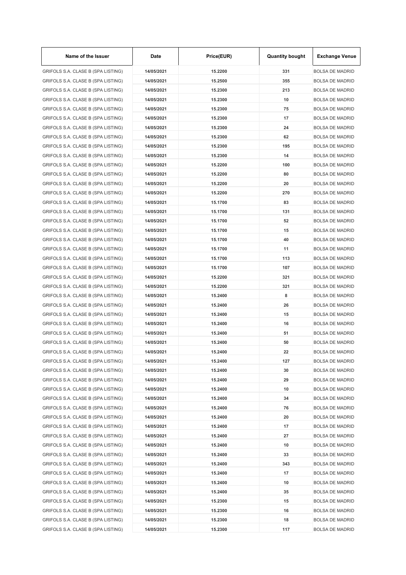| Name of the Issuer                 | Date       | Price(EUR) | <b>Quantity bought</b> | <b>Exchange Venue</b>                            |
|------------------------------------|------------|------------|------------------------|--------------------------------------------------|
| GRIFOLS S.A. CLASE B (SPA LISTING) | 14/05/2021 | 15.2200    | 331                    | <b>BOLSA DE MADRID</b>                           |
| GRIFOLS S.A. CLASE B (SPA LISTING) | 14/05/2021 | 15.2500    | 355                    | <b>BOLSA DE MADRID</b>                           |
| GRIFOLS S.A. CLASE B (SPA LISTING) | 14/05/2021 | 15.2300    | 213                    | <b>BOLSA DE MADRID</b>                           |
| GRIFOLS S.A. CLASE B (SPA LISTING) | 14/05/2021 | 15.2300    | 10                     | <b>BOLSA DE MADRID</b>                           |
| GRIFOLS S.A. CLASE B (SPA LISTING) | 14/05/2021 | 15.2300    | 75                     | <b>BOLSA DE MADRID</b>                           |
| GRIFOLS S.A. CLASE B (SPA LISTING) | 14/05/2021 | 15.2300    | 17                     | <b>BOLSA DE MADRID</b>                           |
| GRIFOLS S.A. CLASE B (SPA LISTING) | 14/05/2021 | 15.2300    | 24                     | <b>BOLSA DE MADRID</b>                           |
| GRIFOLS S.A. CLASE B (SPA LISTING) | 14/05/2021 | 15.2300    | 62                     | <b>BOLSA DE MADRID</b>                           |
| GRIFOLS S.A. CLASE B (SPA LISTING) | 14/05/2021 | 15.2300    | 195                    | <b>BOLSA DE MADRID</b>                           |
| GRIFOLS S.A. CLASE B (SPA LISTING) | 14/05/2021 | 15.2300    | 14                     | <b>BOLSA DE MADRID</b>                           |
| GRIFOLS S.A. CLASE B (SPA LISTING) | 14/05/2021 | 15.2200    | 100                    | <b>BOLSA DE MADRID</b>                           |
| GRIFOLS S.A. CLASE B (SPA LISTING) | 14/05/2021 | 15.2200    | 80                     | <b>BOLSA DE MADRID</b>                           |
| GRIFOLS S.A. CLASE B (SPA LISTING) | 14/05/2021 | 15.2200    | 20                     | <b>BOLSA DE MADRID</b>                           |
| GRIFOLS S.A. CLASE B (SPA LISTING) | 14/05/2021 | 15.2200    | 270                    | <b>BOLSA DE MADRID</b>                           |
| GRIFOLS S.A. CLASE B (SPA LISTING) | 14/05/2021 | 15.1700    | 83                     | <b>BOLSA DE MADRID</b>                           |
| GRIFOLS S.A. CLASE B (SPA LISTING) | 14/05/2021 | 15.1700    | 131                    | <b>BOLSA DE MADRID</b>                           |
| GRIFOLS S.A. CLASE B (SPA LISTING) | 14/05/2021 | 15.1700    | 52                     | <b>BOLSA DE MADRID</b>                           |
| GRIFOLS S.A. CLASE B (SPA LISTING) | 14/05/2021 | 15.1700    | 15                     | <b>BOLSA DE MADRID</b>                           |
| GRIFOLS S.A. CLASE B (SPA LISTING) | 14/05/2021 | 15.1700    | 40                     | <b>BOLSA DE MADRID</b>                           |
| GRIFOLS S.A. CLASE B (SPA LISTING) | 14/05/2021 | 15.1700    | 11                     | <b>BOLSA DE MADRID</b>                           |
| GRIFOLS S.A. CLASE B (SPA LISTING) | 14/05/2021 | 15.1700    | 113                    | <b>BOLSA DE MADRID</b>                           |
| GRIFOLS S.A. CLASE B (SPA LISTING) | 14/05/2021 | 15.1700    | 107                    | <b>BOLSA DE MADRID</b>                           |
| GRIFOLS S.A. CLASE B (SPA LISTING) | 14/05/2021 | 15.2200    | 321                    | <b>BOLSA DE MADRID</b>                           |
| GRIFOLS S.A. CLASE B (SPA LISTING) | 14/05/2021 | 15.2200    | 321                    | <b>BOLSA DE MADRID</b>                           |
| GRIFOLS S.A. CLASE B (SPA LISTING) | 14/05/2021 | 15.2400    | 8                      | <b>BOLSA DE MADRID</b>                           |
| GRIFOLS S.A. CLASE B (SPA LISTING) | 14/05/2021 | 15.2400    | 26                     | <b>BOLSA DE MADRID</b>                           |
|                                    |            | 15.2400    |                        |                                                  |
| GRIFOLS S.A. CLASE B (SPA LISTING) | 14/05/2021 | 15.2400    | 15                     | <b>BOLSA DE MADRID</b><br><b>BOLSA DE MADRID</b> |
| GRIFOLS S.A. CLASE B (SPA LISTING) | 14/05/2021 |            | 16                     |                                                  |
| GRIFOLS S.A. CLASE B (SPA LISTING) | 14/05/2021 | 15.2400    | 51                     | <b>BOLSA DE MADRID</b>                           |
| GRIFOLS S.A. CLASE B (SPA LISTING) | 14/05/2021 | 15.2400    | 50                     | <b>BOLSA DE MADRID</b>                           |
| GRIFOLS S.A. CLASE B (SPA LISTING) | 14/05/2021 | 15.2400    | 22                     | <b>BOLSA DE MADRID</b>                           |
| GRIFOLS S.A. CLASE B (SPA LISTING) | 14/05/2021 | 15.2400    | 127                    | <b>BOLSA DE MADRID</b>                           |
| GRIFOLS S.A. CLASE B (SPA LISTING) | 14/05/2021 | 15.2400    | 30                     | <b>BOLSA DE MADRID</b>                           |
| GRIFOLS S.A. CLASE B (SPA LISTING) | 14/05/2021 | 15.2400    | 29                     | <b>BOLSA DE MADRID</b>                           |
| GRIFOLS S.A. CLASE B (SPA LISTING) | 14/05/2021 | 15.2400    | 10                     | <b>BOLSA DE MADRID</b>                           |
| GRIFOLS S.A. CLASE B (SPA LISTING) | 14/05/2021 | 15.2400    | 34                     | <b>BOLSA DE MADRID</b>                           |
| GRIFOLS S.A. CLASE B (SPA LISTING) | 14/05/2021 | 15.2400    | 76                     | <b>BOLSA DE MADRID</b>                           |
| GRIFOLS S.A. CLASE B (SPA LISTING) | 14/05/2021 | 15.2400    | 20                     | <b>BOLSA DE MADRID</b>                           |
| GRIFOLS S.A. CLASE B (SPA LISTING) | 14/05/2021 | 15.2400    | 17                     | <b>BOLSA DE MADRID</b>                           |
| GRIFOLS S.A. CLASE B (SPA LISTING) | 14/05/2021 | 15.2400    | 27                     | <b>BOLSA DE MADRID</b>                           |
| GRIFOLS S.A. CLASE B (SPA LISTING) | 14/05/2021 | 15.2400    | 10                     | <b>BOLSA DE MADRID</b>                           |
| GRIFOLS S.A. CLASE B (SPA LISTING) | 14/05/2021 | 15.2400    | 33                     | <b>BOLSA DE MADRID</b>                           |
| GRIFOLS S.A. CLASE B (SPA LISTING) | 14/05/2021 | 15.2400    | 343                    | <b>BOLSA DE MADRID</b>                           |
| GRIFOLS S.A. CLASE B (SPA LISTING) | 14/05/2021 | 15.2400    | 17                     | <b>BOLSA DE MADRID</b>                           |
| GRIFOLS S.A. CLASE B (SPA LISTING) | 14/05/2021 | 15.2400    | 10                     | <b>BOLSA DE MADRID</b>                           |
| GRIFOLS S.A. CLASE B (SPA LISTING) | 14/05/2021 | 15.2400    | 35                     | <b>BOLSA DE MADRID</b>                           |
| GRIFOLS S.A. CLASE B (SPA LISTING) | 14/05/2021 | 15.2300    | 15                     | <b>BOLSA DE MADRID</b>                           |
| GRIFOLS S.A. CLASE B (SPA LISTING) | 14/05/2021 | 15.2300    | 16                     | <b>BOLSA DE MADRID</b>                           |
| GRIFOLS S.A. CLASE B (SPA LISTING) | 14/05/2021 | 15.2300    | 18                     | <b>BOLSA DE MADRID</b>                           |
| GRIFOLS S.A. CLASE B (SPA LISTING) | 14/05/2021 | 15.2300    | 117                    | <b>BOLSA DE MADRID</b>                           |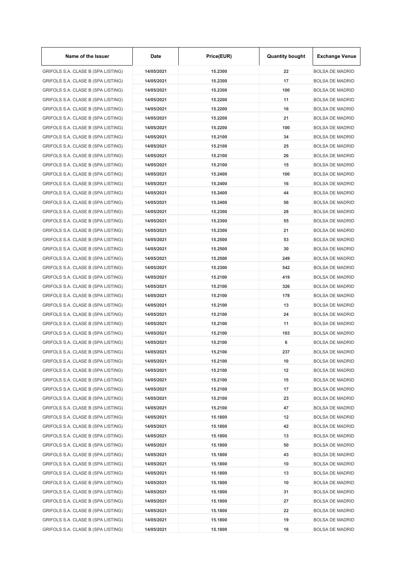| Name of the Issuer                 | Date       | Price(EUR) | <b>Quantity bought</b> | <b>Exchange Venue</b>  |
|------------------------------------|------------|------------|------------------------|------------------------|
| GRIFOLS S.A. CLASE B (SPA LISTING) | 14/05/2021 | 15.2300    | 22                     | <b>BOLSA DE MADRID</b> |
| GRIFOLS S.A. CLASE B (SPA LISTING) | 14/05/2021 | 15.2300    | 17                     | <b>BOLSA DE MADRID</b> |
| GRIFOLS S.A. CLASE B (SPA LISTING) | 14/05/2021 | 15.2300    | 100                    | <b>BOLSA DE MADRID</b> |
| GRIFOLS S.A. CLASE B (SPA LISTING) | 14/05/2021 | 15.2200    | 11                     | <b>BOLSA DE MADRID</b> |
| GRIFOLS S.A. CLASE B (SPA LISTING) | 14/05/2021 | 15.2200    | 16                     | <b>BOLSA DE MADRID</b> |
| GRIFOLS S.A. CLASE B (SPA LISTING) | 14/05/2021 | 15.2200    | 21                     | <b>BOLSA DE MADRID</b> |
| GRIFOLS S.A. CLASE B (SPA LISTING) | 14/05/2021 | 15.2200    | 100                    | <b>BOLSA DE MADRID</b> |
| GRIFOLS S.A. CLASE B (SPA LISTING) | 14/05/2021 | 15.2100    | 34                     | <b>BOLSA DE MADRID</b> |
| GRIFOLS S.A. CLASE B (SPA LISTING) | 14/05/2021 | 15.2100    | 25                     | <b>BOLSA DE MADRID</b> |
| GRIFOLS S.A. CLASE B (SPA LISTING) | 14/05/2021 | 15.2100    | 26                     | <b>BOLSA DE MADRID</b> |
| GRIFOLS S.A. CLASE B (SPA LISTING) | 14/05/2021 | 15.2100    | 15                     | <b>BOLSA DE MADRID</b> |
| GRIFOLS S.A. CLASE B (SPA LISTING) | 14/05/2021 | 15.2400    | 100                    | <b>BOLSA DE MADRID</b> |
| GRIFOLS S.A. CLASE B (SPA LISTING) | 14/05/2021 | 15.2400    | 16                     | <b>BOLSA DE MADRID</b> |
| GRIFOLS S.A. CLASE B (SPA LISTING) | 14/05/2021 | 15.2400    | 44                     | <b>BOLSA DE MADRID</b> |
| GRIFOLS S.A. CLASE B (SPA LISTING) | 14/05/2021 | 15.2400    | 56                     | <b>BOLSA DE MADRID</b> |
| GRIFOLS S.A. CLASE B (SPA LISTING) | 14/05/2021 | 15.2300    | 28                     | <b>BOLSA DE MADRID</b> |
| GRIFOLS S.A. CLASE B (SPA LISTING) | 14/05/2021 | 15.2300    | 55                     | <b>BOLSA DE MADRID</b> |
| GRIFOLS S.A. CLASE B (SPA LISTING) | 14/05/2021 | 15.2300    | 21                     | <b>BOLSA DE MADRID</b> |
| GRIFOLS S.A. CLASE B (SPA LISTING) | 14/05/2021 | 15.2500    | 53                     | <b>BOLSA DE MADRID</b> |
| GRIFOLS S.A. CLASE B (SPA LISTING) | 14/05/2021 | 15.2500    | 30                     | <b>BOLSA DE MADRID</b> |
| GRIFOLS S.A. CLASE B (SPA LISTING) | 14/05/2021 | 15.2500    | 249                    | <b>BOLSA DE MADRID</b> |
| GRIFOLS S.A. CLASE B (SPA LISTING) | 14/05/2021 | 15.2300    | 542                    | <b>BOLSA DE MADRID</b> |
| GRIFOLS S.A. CLASE B (SPA LISTING) | 14/05/2021 | 15.2100    | 419                    | <b>BOLSA DE MADRID</b> |
| GRIFOLS S.A. CLASE B (SPA LISTING) | 14/05/2021 | 15.2100    | 326                    | <b>BOLSA DE MADRID</b> |
| GRIFOLS S.A. CLASE B (SPA LISTING) | 14/05/2021 | 15.2100    | 178                    | <b>BOLSA DE MADRID</b> |
|                                    | 14/05/2021 | 15.2100    | 13                     | <b>BOLSA DE MADRID</b> |
| GRIFOLS S.A. CLASE B (SPA LISTING) |            |            |                        |                        |
| GRIFOLS S.A. CLASE B (SPA LISTING) | 14/05/2021 | 15.2100    | 24                     | <b>BOLSA DE MADRID</b> |
| GRIFOLS S.A. CLASE B (SPA LISTING) | 14/05/2021 | 15.2100    | 11                     | <b>BOLSA DE MADRID</b> |
| GRIFOLS S.A. CLASE B (SPA LISTING) | 14/05/2021 | 15.2100    | 103                    | <b>BOLSA DE MADRID</b> |
| GRIFOLS S.A. CLASE B (SPA LISTING) | 14/05/2021 | 15.2100    | 6                      | <b>BOLSA DE MADRID</b> |
| GRIFOLS S.A. CLASE B (SPA LISTING) | 14/05/2021 | 15.2100    | 237                    | <b>BOLSA DE MADRID</b> |
| GRIFOLS S.A. CLASE B (SPA LISTING) | 14/05/2021 | 15.2100    | 10                     | <b>BOLSA DE MADRID</b> |
| GRIFOLS S.A. CLASE B (SPA LISTING) | 14/05/2021 | 15.2100    | 12                     | <b>BOLSA DE MADRID</b> |
| GRIFOLS S.A. CLASE B (SPA LISTING) | 14/05/2021 | 15.2100    | 15                     | <b>BOLSA DE MADRID</b> |
| GRIFOLS S.A. CLASE B (SPA LISTING) | 14/05/2021 | 15.2100    | 17                     | <b>BOLSA DE MADRID</b> |
| GRIFOLS S.A. CLASE B (SPA LISTING) | 14/05/2021 | 15.2100    | 23                     | <b>BOLSA DE MADRID</b> |
| GRIFOLS S.A. CLASE B (SPA LISTING) | 14/05/2021 | 15.2100    | 47                     | <b>BOLSA DE MADRID</b> |
| GRIFOLS S.A. CLASE B (SPA LISTING) | 14/05/2021 | 15.1800    | 12                     | <b>BOLSA DE MADRID</b> |
| GRIFOLS S.A. CLASE B (SPA LISTING) | 14/05/2021 | 15.1800    | 42                     | <b>BOLSA DE MADRID</b> |
| GRIFOLS S.A. CLASE B (SPA LISTING) | 14/05/2021 | 15.1800    | 13                     | <b>BOLSA DE MADRID</b> |
| GRIFOLS S.A. CLASE B (SPA LISTING) | 14/05/2021 | 15.1800    | 50                     | <b>BOLSA DE MADRID</b> |
| GRIFOLS S.A. CLASE B (SPA LISTING) | 14/05/2021 | 15.1800    | 43                     | <b>BOLSA DE MADRID</b> |
| GRIFOLS S.A. CLASE B (SPA LISTING) | 14/05/2021 | 15.1800    | 10                     | <b>BOLSA DE MADRID</b> |
| GRIFOLS S.A. CLASE B (SPA LISTING) | 14/05/2021 | 15.1800    | 13                     | <b>BOLSA DE MADRID</b> |
| GRIFOLS S.A. CLASE B (SPA LISTING) | 14/05/2021 | 15.1800    | 10                     | <b>BOLSA DE MADRID</b> |
| GRIFOLS S.A. CLASE B (SPA LISTING) | 14/05/2021 | 15.1800    | 31                     | <b>BOLSA DE MADRID</b> |
| GRIFOLS S.A. CLASE B (SPA LISTING) | 14/05/2021 | 15.1800    | 27                     | <b>BOLSA DE MADRID</b> |
| GRIFOLS S.A. CLASE B (SPA LISTING) | 14/05/2021 | 15.1800    | 22                     | <b>BOLSA DE MADRID</b> |
| GRIFOLS S.A. CLASE B (SPA LISTING) | 14/05/2021 | 15.1800    | 19                     | <b>BOLSA DE MADRID</b> |
| GRIFOLS S.A. CLASE B (SPA LISTING) | 14/05/2021 | 15.1800    | 16                     | <b>BOLSA DE MADRID</b> |

 $\mathbf{r}$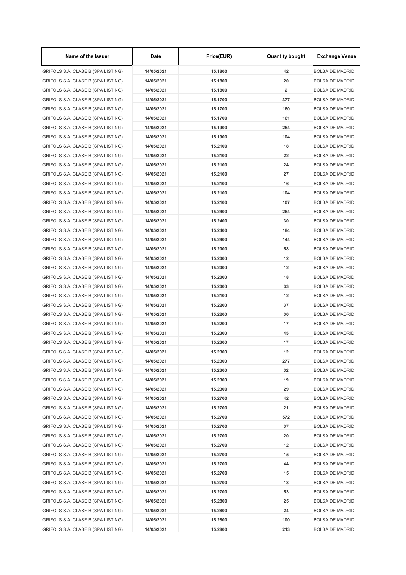| Name of the Issuer                 | Date       | Price(EUR) | <b>Quantity bought</b>  | <b>Exchange Venue</b>  |
|------------------------------------|------------|------------|-------------------------|------------------------|
| GRIFOLS S.A. CLASE B (SPA LISTING) | 14/05/2021 | 15.1800    | 42                      | <b>BOLSA DE MADRID</b> |
| GRIFOLS S.A. CLASE B (SPA LISTING) | 14/05/2021 | 15.1800    | 20                      | <b>BOLSA DE MADRID</b> |
| GRIFOLS S.A. CLASE B (SPA LISTING) | 14/05/2021 | 15.1800    | $\overline{\mathbf{2}}$ | <b>BOLSA DE MADRID</b> |
| GRIFOLS S.A. CLASE B (SPA LISTING) | 14/05/2021 | 15.1700    | 377                     | <b>BOLSA DE MADRID</b> |
| GRIFOLS S.A. CLASE B (SPA LISTING) | 14/05/2021 | 15.1700    | 160                     | <b>BOLSA DE MADRID</b> |
| GRIFOLS S.A. CLASE B (SPA LISTING) | 14/05/2021 | 15.1700    | 161                     | <b>BOLSA DE MADRID</b> |
| GRIFOLS S.A. CLASE B (SPA LISTING) | 14/05/2021 | 15.1900    | 254                     | <b>BOLSA DE MADRID</b> |
| GRIFOLS S.A. CLASE B (SPA LISTING) | 14/05/2021 | 15.1900    | 104                     | <b>BOLSA DE MADRID</b> |
| GRIFOLS S.A. CLASE B (SPA LISTING) | 14/05/2021 | 15.2100    | 18                      | <b>BOLSA DE MADRID</b> |
| GRIFOLS S.A. CLASE B (SPA LISTING) | 14/05/2021 | 15.2100    | 22                      | <b>BOLSA DE MADRID</b> |
| GRIFOLS S.A. CLASE B (SPA LISTING) | 14/05/2021 | 15.2100    | 24                      | <b>BOLSA DE MADRID</b> |
| GRIFOLS S.A. CLASE B (SPA LISTING) | 14/05/2021 | 15.2100    | 27                      | <b>BOLSA DE MADRID</b> |
| GRIFOLS S.A. CLASE B (SPA LISTING) | 14/05/2021 | 15.2100    | 16                      | <b>BOLSA DE MADRID</b> |
| GRIFOLS S.A. CLASE B (SPA LISTING) | 14/05/2021 | 15.2100    | 104                     | <b>BOLSA DE MADRID</b> |
| GRIFOLS S.A. CLASE B (SPA LISTING) | 14/05/2021 | 15.2100    | 107                     | <b>BOLSA DE MADRID</b> |
| GRIFOLS S.A. CLASE B (SPA LISTING) | 14/05/2021 | 15.2400    | 264                     | <b>BOLSA DE MADRID</b> |
| GRIFOLS S.A. CLASE B (SPA LISTING) | 14/05/2021 | 15.2400    | 30                      | <b>BOLSA DE MADRID</b> |
| GRIFOLS S.A. CLASE B (SPA LISTING) | 14/05/2021 | 15.2400    | 184                     | <b>BOLSA DE MADRID</b> |
| GRIFOLS S.A. CLASE B (SPA LISTING) | 14/05/2021 | 15.2400    | 144                     | <b>BOLSA DE MADRID</b> |
| GRIFOLS S.A. CLASE B (SPA LISTING) | 14/05/2021 | 15.2000    | 58                      | <b>BOLSA DE MADRID</b> |
| GRIFOLS S.A. CLASE B (SPA LISTING) | 14/05/2021 | 15.2000    | 12                      | <b>BOLSA DE MADRID</b> |
| GRIFOLS S.A. CLASE B (SPA LISTING) | 14/05/2021 | 15.2000    | 12                      | <b>BOLSA DE MADRID</b> |
| GRIFOLS S.A. CLASE B (SPA LISTING) | 14/05/2021 | 15.2000    | 18                      | <b>BOLSA DE MADRID</b> |
| GRIFOLS S.A. CLASE B (SPA LISTING) | 14/05/2021 | 15.2000    | 33                      | <b>BOLSA DE MADRID</b> |
| GRIFOLS S.A. CLASE B (SPA LISTING) | 14/05/2021 | 15.2100    | 12                      | <b>BOLSA DE MADRID</b> |
| GRIFOLS S.A. CLASE B (SPA LISTING) | 14/05/2021 | 15.2200    | 37                      | <b>BOLSA DE MADRID</b> |
| GRIFOLS S.A. CLASE B (SPA LISTING) | 14/05/2021 | 15.2200    | 30                      | <b>BOLSA DE MADRID</b> |
| GRIFOLS S.A. CLASE B (SPA LISTING) | 14/05/2021 | 15.2200    | 17                      | <b>BOLSA DE MADRID</b> |
|                                    |            |            |                         |                        |
| GRIFOLS S.A. CLASE B (SPA LISTING) | 14/05/2021 | 15.2300    | 45                      | <b>BOLSA DE MADRID</b> |
| GRIFOLS S.A. CLASE B (SPA LISTING) | 14/05/2021 | 15.2300    | 17                      | <b>BOLSA DE MADRID</b> |
| GRIFOLS S.A. CLASE B (SPA LISTING) | 14/05/2021 | 15.2300    | 12                      | <b>BOLSA DE MADRID</b> |
| GRIFOLS S.A. CLASE B (SPA LISTING) | 14/05/2021 | 15.2300    | 277                     | <b>BOLSA DE MADRID</b> |
| GRIFOLS S.A. CLASE B (SPA LISTING) | 14/05/2021 | 15.2300    | 32                      | <b>BOLSA DE MADRID</b> |
| GRIFOLS S.A. CLASE B (SPA LISTING) | 14/05/2021 | 15.2300    | 19                      | <b>BOLSA DE MADRID</b> |
| GRIFOLS S.A. CLASE B (SPA LISTING) | 14/05/2021 | 15.2300    | 29                      | <b>BOLSA DE MADRID</b> |
| GRIFOLS S.A. CLASE B (SPA LISTING) | 14/05/2021 | 15.2700    | 42                      | <b>BOLSA DE MADRID</b> |
| GRIFOLS S.A. CLASE B (SPA LISTING) | 14/05/2021 | 15.2700    | 21                      | <b>BOLSA DE MADRID</b> |
| GRIFOLS S.A. CLASE B (SPA LISTING) | 14/05/2021 | 15.2700    | 572                     | <b>BOLSA DE MADRID</b> |
| GRIFOLS S.A. CLASE B (SPA LISTING) | 14/05/2021 | 15.2700    | 37                      | <b>BOLSA DE MADRID</b> |
| GRIFOLS S.A. CLASE B (SPA LISTING) | 14/05/2021 | 15.2700    | 20                      | <b>BOLSA DE MADRID</b> |
| GRIFOLS S.A. CLASE B (SPA LISTING) | 14/05/2021 | 15.2700    | 12                      | <b>BOLSA DE MADRID</b> |
| GRIFOLS S.A. CLASE B (SPA LISTING) | 14/05/2021 | 15.2700    | 15                      | <b>BOLSA DE MADRID</b> |
| GRIFOLS S.A. CLASE B (SPA LISTING) | 14/05/2021 | 15.2700    | 44                      | <b>BOLSA DE MADRID</b> |
| GRIFOLS S.A. CLASE B (SPA LISTING) | 14/05/2021 | 15.2700    | 15                      | <b>BOLSA DE MADRID</b> |
| GRIFOLS S.A. CLASE B (SPA LISTING) | 14/05/2021 | 15.2700    | 18                      | <b>BOLSA DE MADRID</b> |
| GRIFOLS S.A. CLASE B (SPA LISTING) | 14/05/2021 | 15.2700    | 53                      | <b>BOLSA DE MADRID</b> |
| GRIFOLS S.A. CLASE B (SPA LISTING) | 14/05/2021 | 15.2800    | 25                      | <b>BOLSA DE MADRID</b> |
| GRIFOLS S.A. CLASE B (SPA LISTING) | 14/05/2021 | 15.2800    | 24                      | <b>BOLSA DE MADRID</b> |
| GRIFOLS S.A. CLASE B (SPA LISTING) | 14/05/2021 | 15.2800    | 100                     | <b>BOLSA DE MADRID</b> |
| GRIFOLS S.A. CLASE B (SPA LISTING) | 14/05/2021 | 15.2800    | 213                     | <b>BOLSA DE MADRID</b> |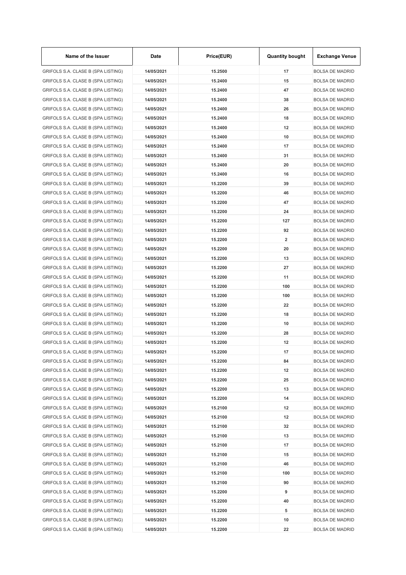| Name of the Issuer                 | Date       | Price(EUR) | <b>Quantity bought</b> | <b>Exchange Venue</b>  |
|------------------------------------|------------|------------|------------------------|------------------------|
| GRIFOLS S.A. CLASE B (SPA LISTING) | 14/05/2021 | 15.2500    | 17                     | <b>BOLSA DE MADRID</b> |
| GRIFOLS S.A. CLASE B (SPA LISTING) | 14/05/2021 | 15.2400    | 15                     | <b>BOLSA DE MADRID</b> |
| GRIFOLS S.A. CLASE B (SPA LISTING) | 14/05/2021 | 15.2400    | 47                     | <b>BOLSA DE MADRID</b> |
| GRIFOLS S.A. CLASE B (SPA LISTING) | 14/05/2021 | 15.2400    | 38                     | <b>BOLSA DE MADRID</b> |
| GRIFOLS S.A. CLASE B (SPA LISTING) | 14/05/2021 | 15.2400    | 26                     | <b>BOLSA DE MADRID</b> |
| GRIFOLS S.A. CLASE B (SPA LISTING) | 14/05/2021 | 15.2400    | 18                     | <b>BOLSA DE MADRID</b> |
| GRIFOLS S.A. CLASE B (SPA LISTING) | 14/05/2021 | 15.2400    | 12                     | <b>BOLSA DE MADRID</b> |
| GRIFOLS S.A. CLASE B (SPA LISTING) | 14/05/2021 | 15.2400    | 10                     | <b>BOLSA DE MADRID</b> |
| GRIFOLS S.A. CLASE B (SPA LISTING) | 14/05/2021 | 15.2400    | 17                     | <b>BOLSA DE MADRID</b> |
| GRIFOLS S.A. CLASE B (SPA LISTING) | 14/05/2021 | 15.2400    | 31                     | <b>BOLSA DE MADRID</b> |
| GRIFOLS S.A. CLASE B (SPA LISTING) | 14/05/2021 | 15.2400    | 20                     | <b>BOLSA DE MADRID</b> |
| GRIFOLS S.A. CLASE B (SPA LISTING) | 14/05/2021 | 15.2400    | 16                     | <b>BOLSA DE MADRID</b> |
| GRIFOLS S.A. CLASE B (SPA LISTING) | 14/05/2021 | 15.2200    | 39                     | <b>BOLSA DE MADRID</b> |
| GRIFOLS S.A. CLASE B (SPA LISTING) | 14/05/2021 | 15.2200    | 46                     | <b>BOLSA DE MADRID</b> |
| GRIFOLS S.A. CLASE B (SPA LISTING) | 14/05/2021 | 15.2200    | 47                     | <b>BOLSA DE MADRID</b> |
| GRIFOLS S.A. CLASE B (SPA LISTING) | 14/05/2021 | 15.2200    | 24                     | <b>BOLSA DE MADRID</b> |
| GRIFOLS S.A. CLASE B (SPA LISTING) | 14/05/2021 | 15.2200    | 127                    | <b>BOLSA DE MADRID</b> |
| GRIFOLS S.A. CLASE B (SPA LISTING) | 14/05/2021 | 15.2200    | 92                     | <b>BOLSA DE MADRID</b> |
| GRIFOLS S.A. CLASE B (SPA LISTING) | 14/05/2021 | 15.2200    | 2                      | <b>BOLSA DE MADRID</b> |
| GRIFOLS S.A. CLASE B (SPA LISTING) | 14/05/2021 | 15.2200    | 20                     | <b>BOLSA DE MADRID</b> |
| GRIFOLS S.A. CLASE B (SPA LISTING) | 14/05/2021 | 15.2200    | 13                     | <b>BOLSA DE MADRID</b> |
| GRIFOLS S.A. CLASE B (SPA LISTING) | 14/05/2021 | 15.2200    | 27                     | <b>BOLSA DE MADRID</b> |
| GRIFOLS S.A. CLASE B (SPA LISTING) | 14/05/2021 | 15.2200    | 11                     | <b>BOLSA DE MADRID</b> |
|                                    | 14/05/2021 | 15.2200    | 100                    | <b>BOLSA DE MADRID</b> |
| GRIFOLS S.A. CLASE B (SPA LISTING) |            |            |                        |                        |
| GRIFOLS S.A. CLASE B (SPA LISTING) | 14/05/2021 | 15.2200    | 100                    | <b>BOLSA DE MADRID</b> |
| GRIFOLS S.A. CLASE B (SPA LISTING) | 14/05/2021 | 15.2200    | 22                     | <b>BOLSA DE MADRID</b> |
| GRIFOLS S.A. CLASE B (SPA LISTING) | 14/05/2021 | 15.2200    | 18                     | <b>BOLSA DE MADRID</b> |
| GRIFOLS S.A. CLASE B (SPA LISTING) | 14/05/2021 | 15.2200    | 10                     | <b>BOLSA DE MADRID</b> |
| GRIFOLS S.A. CLASE B (SPA LISTING) | 14/05/2021 | 15.2200    | 28                     | <b>BOLSA DE MADRID</b> |
| GRIFOLS S.A. CLASE B (SPA LISTING) | 14/05/2021 | 15.2200    | 12                     | <b>BOLSA DE MADRID</b> |
| GRIFOLS S.A. CLASE B (SPA LISTING) | 14/05/2021 | 15.2200    | 17                     | <b>BOLSA DE MADRID</b> |
| GRIFOLS S.A. CLASE B (SPA LISTING) | 14/05/2021 | 15.2200    | 84                     | <b>BOLSA DE MADRID</b> |
| GRIFOLS S.A. CLASE B (SPA LISTING) | 14/05/2021 | 15.2200    | 12                     | <b>BOLSA DE MADRID</b> |
| GRIFOLS S.A. CLASE B (SPA LISTING) | 14/05/2021 | 15.2200    | 25                     | <b>BOLSA DE MADRID</b> |
| GRIFOLS S.A. CLASE B (SPA LISTING) | 14/05/2021 | 15.2200    | 13                     | <b>BOLSA DE MADRID</b> |
| GRIFOLS S.A. CLASE B (SPA LISTING) | 14/05/2021 | 15.2200    | 14                     | <b>BOLSA DE MADRID</b> |
| GRIFOLS S.A. CLASE B (SPA LISTING) | 14/05/2021 | 15.2100    | 12                     | <b>BOLSA DE MADRID</b> |
| GRIFOLS S.A. CLASE B (SPA LISTING) | 14/05/2021 | 15.2100    | 12                     | <b>BOLSA DE MADRID</b> |
| GRIFOLS S.A. CLASE B (SPA LISTING) | 14/05/2021 | 15.2100    | 32                     | <b>BOLSA DE MADRID</b> |
| GRIFOLS S.A. CLASE B (SPA LISTING) | 14/05/2021 | 15.2100    | 13                     | <b>BOLSA DE MADRID</b> |
| GRIFOLS S.A. CLASE B (SPA LISTING) | 14/05/2021 | 15.2100    | 17                     | <b>BOLSA DE MADRID</b> |
| GRIFOLS S.A. CLASE B (SPA LISTING) | 14/05/2021 | 15.2100    | 15                     | <b>BOLSA DE MADRID</b> |
| GRIFOLS S.A. CLASE B (SPA LISTING) | 14/05/2021 | 15.2100    | 46                     | <b>BOLSA DE MADRID</b> |
| GRIFOLS S.A. CLASE B (SPA LISTING) | 14/05/2021 | 15.2100    | 100                    | <b>BOLSA DE MADRID</b> |
| GRIFOLS S.A. CLASE B (SPA LISTING) | 14/05/2021 | 15.2100    | 90                     | <b>BOLSA DE MADRID</b> |
| GRIFOLS S.A. CLASE B (SPA LISTING) | 14/05/2021 | 15.2200    | 9                      | <b>BOLSA DE MADRID</b> |
| GRIFOLS S.A. CLASE B (SPA LISTING) | 14/05/2021 | 15.2200    | 40                     | <b>BOLSA DE MADRID</b> |
| GRIFOLS S.A. CLASE B (SPA LISTING) | 14/05/2021 | 15.2200    | 5                      | <b>BOLSA DE MADRID</b> |
| GRIFOLS S.A. CLASE B (SPA LISTING) | 14/05/2021 | 15.2200    | 10                     | <b>BOLSA DE MADRID</b> |
| GRIFOLS S.A. CLASE B (SPA LISTING) | 14/05/2021 | 15.2200    | 22                     | <b>BOLSA DE MADRID</b> |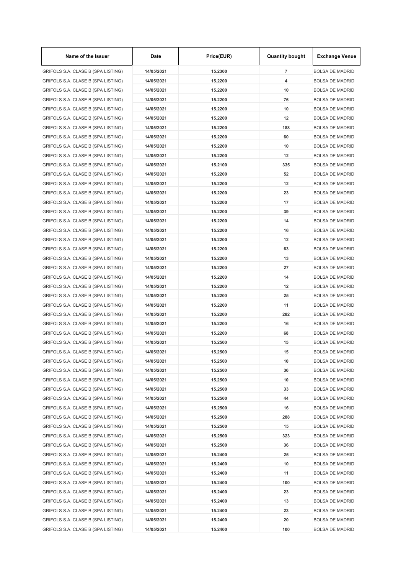| Name of the Issuer                 | Date       | Price(EUR) | <b>Quantity bought</b> | <b>Exchange Venue</b>  |
|------------------------------------|------------|------------|------------------------|------------------------|
| GRIFOLS S.A. CLASE B (SPA LISTING) | 14/05/2021 | 15.2300    | $\overline{7}$         | <b>BOLSA DE MADRID</b> |
| GRIFOLS S.A. CLASE B (SPA LISTING) | 14/05/2021 | 15.2200    | 4                      | <b>BOLSA DE MADRID</b> |
| GRIFOLS S.A. CLASE B (SPA LISTING) | 14/05/2021 | 15.2200    | 10                     | <b>BOLSA DE MADRID</b> |
| GRIFOLS S.A. CLASE B (SPA LISTING) | 14/05/2021 | 15.2200    | 76                     | <b>BOLSA DE MADRID</b> |
| GRIFOLS S.A. CLASE B (SPA LISTING) | 14/05/2021 | 15.2200    | 10                     | <b>BOLSA DE MADRID</b> |
| GRIFOLS S.A. CLASE B (SPA LISTING) | 14/05/2021 | 15.2200    | 12                     | <b>BOLSA DE MADRID</b> |
| GRIFOLS S.A. CLASE B (SPA LISTING) | 14/05/2021 | 15.2200    | 188                    | <b>BOLSA DE MADRID</b> |
| GRIFOLS S.A. CLASE B (SPA LISTING) | 14/05/2021 | 15.2200    | 60                     | <b>BOLSA DE MADRID</b> |
| GRIFOLS S.A. CLASE B (SPA LISTING) | 14/05/2021 | 15.2200    | 10                     | <b>BOLSA DE MADRID</b> |
| GRIFOLS S.A. CLASE B (SPA LISTING) | 14/05/2021 | 15.2200    | 12                     | <b>BOLSA DE MADRID</b> |
| GRIFOLS S.A. CLASE B (SPA LISTING) | 14/05/2021 | 15.2100    | 335                    | <b>BOLSA DE MADRID</b> |
| GRIFOLS S.A. CLASE B (SPA LISTING) | 14/05/2021 | 15.2200    | 52                     | <b>BOLSA DE MADRID</b> |
| GRIFOLS S.A. CLASE B (SPA LISTING) | 14/05/2021 | 15.2200    | 12                     | <b>BOLSA DE MADRID</b> |
| GRIFOLS S.A. CLASE B (SPA LISTING) | 14/05/2021 | 15.2200    | 23                     | <b>BOLSA DE MADRID</b> |
| GRIFOLS S.A. CLASE B (SPA LISTING) | 14/05/2021 | 15.2200    | 17                     | <b>BOLSA DE MADRID</b> |
| GRIFOLS S.A. CLASE B (SPA LISTING) | 14/05/2021 | 15.2200    | 39                     | <b>BOLSA DE MADRID</b> |
| GRIFOLS S.A. CLASE B (SPA LISTING) | 14/05/2021 | 15.2200    | 14                     | <b>BOLSA DE MADRID</b> |
| GRIFOLS S.A. CLASE B (SPA LISTING) | 14/05/2021 | 15.2200    | 16                     | <b>BOLSA DE MADRID</b> |
| GRIFOLS S.A. CLASE B (SPA LISTING) | 14/05/2021 | 15.2200    | 12                     | <b>BOLSA DE MADRID</b> |
| GRIFOLS S.A. CLASE B (SPA LISTING) | 14/05/2021 | 15.2200    | 63                     | <b>BOLSA DE MADRID</b> |
| GRIFOLS S.A. CLASE B (SPA LISTING) | 14/05/2021 | 15.2200    | 13                     | <b>BOLSA DE MADRID</b> |
| GRIFOLS S.A. CLASE B (SPA LISTING) | 14/05/2021 | 15.2200    | 27                     | <b>BOLSA DE MADRID</b> |
|                                    |            |            |                        |                        |
| GRIFOLS S.A. CLASE B (SPA LISTING) | 14/05/2021 | 15.2200    | 14                     | <b>BOLSA DE MADRID</b> |
| GRIFOLS S.A. CLASE B (SPA LISTING) | 14/05/2021 | 15.2200    | 12                     | <b>BOLSA DE MADRID</b> |
| GRIFOLS S.A. CLASE B (SPA LISTING) | 14/05/2021 | 15.2200    | 25                     | <b>BOLSA DE MADRID</b> |
| GRIFOLS S.A. CLASE B (SPA LISTING) | 14/05/2021 | 15.2200    | 11                     | <b>BOLSA DE MADRID</b> |
| GRIFOLS S.A. CLASE B (SPA LISTING) | 14/05/2021 | 15.2200    | 282                    | <b>BOLSA DE MADRID</b> |
| GRIFOLS S.A. CLASE B (SPA LISTING) | 14/05/2021 | 15.2200    | 16                     | <b>BOLSA DE MADRID</b> |
| GRIFOLS S.A. CLASE B (SPA LISTING) | 14/05/2021 | 15.2200    | 68                     | <b>BOLSA DE MADRID</b> |
| GRIFOLS S.A. CLASE B (SPA LISTING) | 14/05/2021 | 15.2500    | 15                     | <b>BOLSA DE MADRID</b> |
| GRIFOLS S.A. CLASE B (SPA LISTING) | 14/05/2021 | 15.2500    | 15                     | <b>BOLSA DE MADRID</b> |
| GRIFOLS S.A. CLASE B (SPA LISTING) | 14/05/2021 | 15.2500    | 10                     | <b>BOLSA DE MADRID</b> |
| GRIFOLS S.A. CLASE B (SPA LISTING) | 14/05/2021 | 15.2500    | 36                     | <b>BOLSA DE MADRID</b> |
| GRIFOLS S.A. CLASE B (SPA LISTING) | 14/05/2021 | 15.2500    | 10                     | <b>BOLSA DE MADRID</b> |
| GRIFOLS S.A. CLASE B (SPA LISTING) | 14/05/2021 | 15.2500    | 33                     | <b>BOLSA DE MADRID</b> |
| GRIFOLS S.A. CLASE B (SPA LISTING) | 14/05/2021 | 15.2500    | 44                     | <b>BOLSA DE MADRID</b> |
| GRIFOLS S.A. CLASE B (SPA LISTING) | 14/05/2021 | 15.2500    | 16                     | <b>BOLSA DE MADRID</b> |
| GRIFOLS S.A. CLASE B (SPA LISTING) | 14/05/2021 | 15.2500    | 288                    | <b>BOLSA DE MADRID</b> |
| GRIFOLS S.A. CLASE B (SPA LISTING) | 14/05/2021 | 15.2500    | 15                     | <b>BOLSA DE MADRID</b> |
| GRIFOLS S.A. CLASE B (SPA LISTING) | 14/05/2021 | 15.2500    | 323                    | <b>BOLSA DE MADRID</b> |
| GRIFOLS S.A. CLASE B (SPA LISTING) | 14/05/2021 | 15.2500    | 36                     | <b>BOLSA DE MADRID</b> |
| GRIFOLS S.A. CLASE B (SPA LISTING) | 14/05/2021 | 15.2400    | 25                     | <b>BOLSA DE MADRID</b> |
| GRIFOLS S.A. CLASE B (SPA LISTING) | 14/05/2021 | 15.2400    | 10                     | <b>BOLSA DE MADRID</b> |
| GRIFOLS S.A. CLASE B (SPA LISTING) | 14/05/2021 | 15.2400    | 11                     | <b>BOLSA DE MADRID</b> |
| GRIFOLS S.A. CLASE B (SPA LISTING) | 14/05/2021 | 15.2400    | 100                    | <b>BOLSA DE MADRID</b> |
| GRIFOLS S.A. CLASE B (SPA LISTING) | 14/05/2021 | 15.2400    | 23                     | <b>BOLSA DE MADRID</b> |
| GRIFOLS S.A. CLASE B (SPA LISTING) | 14/05/2021 | 15.2400    | 13                     | <b>BOLSA DE MADRID</b> |
| GRIFOLS S.A. CLASE B (SPA LISTING) | 14/05/2021 | 15.2400    | 23                     | <b>BOLSA DE MADRID</b> |
| GRIFOLS S.A. CLASE B (SPA LISTING) | 14/05/2021 | 15.2400    | 20                     | <b>BOLSA DE MADRID</b> |
| GRIFOLS S.A. CLASE B (SPA LISTING) | 14/05/2021 | 15.2400    | 100                    | <b>BOLSA DE MADRID</b> |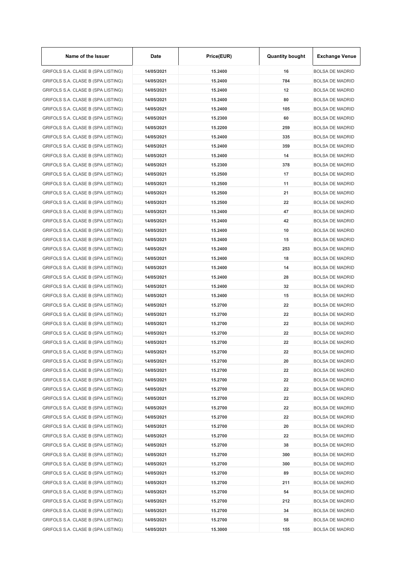| Name of the Issuer                 | Date       | Price(EUR) | <b>Quantity bought</b> | <b>Exchange Venue</b>  |
|------------------------------------|------------|------------|------------------------|------------------------|
| GRIFOLS S.A. CLASE B (SPA LISTING) | 14/05/2021 | 15.2400    | 16                     | <b>BOLSA DE MADRID</b> |
| GRIFOLS S.A. CLASE B (SPA LISTING) | 14/05/2021 | 15.2400    | 784                    | <b>BOLSA DE MADRID</b> |
| GRIFOLS S.A. CLASE B (SPA LISTING) | 14/05/2021 | 15.2400    | 12                     | <b>BOLSA DE MADRID</b> |
| GRIFOLS S.A. CLASE B (SPA LISTING) | 14/05/2021 | 15.2400    | 80                     | <b>BOLSA DE MADRID</b> |
| GRIFOLS S.A. CLASE B (SPA LISTING) | 14/05/2021 | 15.2400    | 105                    | <b>BOLSA DE MADRID</b> |
| GRIFOLS S.A. CLASE B (SPA LISTING) | 14/05/2021 | 15.2300    | 60                     | <b>BOLSA DE MADRID</b> |
| GRIFOLS S.A. CLASE B (SPA LISTING) | 14/05/2021 | 15.2200    | 259                    | <b>BOLSA DE MADRID</b> |
| GRIFOLS S.A. CLASE B (SPA LISTING) | 14/05/2021 | 15.2400    | 335                    | <b>BOLSA DE MADRID</b> |
| GRIFOLS S.A. CLASE B (SPA LISTING) | 14/05/2021 | 15.2400    | 359                    | <b>BOLSA DE MADRID</b> |
| GRIFOLS S.A. CLASE B (SPA LISTING) | 14/05/2021 | 15.2400    | 14                     | <b>BOLSA DE MADRID</b> |
| GRIFOLS S.A. CLASE B (SPA LISTING) | 14/05/2021 | 15.2300    | 378                    | <b>BOLSA DE MADRID</b> |
| GRIFOLS S.A. CLASE B (SPA LISTING) | 14/05/2021 | 15.2500    | 17                     | <b>BOLSA DE MADRID</b> |
| GRIFOLS S.A. CLASE B (SPA LISTING) | 14/05/2021 | 15.2500    | 11                     | <b>BOLSA DE MADRID</b> |
| GRIFOLS S.A. CLASE B (SPA LISTING) | 14/05/2021 | 15.2500    | 21                     | <b>BOLSA DE MADRID</b> |
| GRIFOLS S.A. CLASE B (SPA LISTING) | 14/05/2021 | 15.2500    | 22                     | <b>BOLSA DE MADRID</b> |
| GRIFOLS S.A. CLASE B (SPA LISTING) | 14/05/2021 | 15.2400    | 47                     | <b>BOLSA DE MADRID</b> |
| GRIFOLS S.A. CLASE B (SPA LISTING) | 14/05/2021 | 15.2400    | 42                     | <b>BOLSA DE MADRID</b> |
| GRIFOLS S.A. CLASE B (SPA LISTING) | 14/05/2021 | 15.2400    | 10                     | <b>BOLSA DE MADRID</b> |
| GRIFOLS S.A. CLASE B (SPA LISTING) | 14/05/2021 | 15.2400    | 15                     | <b>BOLSA DE MADRID</b> |
| GRIFOLS S.A. CLASE B (SPA LISTING) | 14/05/2021 | 15.2400    | 253                    | <b>BOLSA DE MADRID</b> |
| GRIFOLS S.A. CLASE B (SPA LISTING) | 14/05/2021 | 15.2400    | 18                     | <b>BOLSA DE MADRID</b> |
| GRIFOLS S.A. CLASE B (SPA LISTING) | 14/05/2021 | 15.2400    | 14                     | <b>BOLSA DE MADRID</b> |
| GRIFOLS S.A. CLASE B (SPA LISTING) | 14/05/2021 | 15.2400    | 28                     | <b>BOLSA DE MADRID</b> |
| GRIFOLS S.A. CLASE B (SPA LISTING) | 14/05/2021 | 15.2400    | 32                     | <b>BOLSA DE MADRID</b> |
| GRIFOLS S.A. CLASE B (SPA LISTING) | 14/05/2021 | 15.2400    | 15                     | <b>BOLSA DE MADRID</b> |
| GRIFOLS S.A. CLASE B (SPA LISTING) | 14/05/2021 | 15.2700    | 22                     | <b>BOLSA DE MADRID</b> |
| GRIFOLS S.A. CLASE B (SPA LISTING) | 14/05/2021 | 15.2700    | 22                     | <b>BOLSA DE MADRID</b> |
| GRIFOLS S.A. CLASE B (SPA LISTING) | 14/05/2021 | 15.2700    | 22                     | <b>BOLSA DE MADRID</b> |
| GRIFOLS S.A. CLASE B (SPA LISTING) | 14/05/2021 | 15.2700    | 22                     | <b>BOLSA DE MADRID</b> |
| GRIFOLS S.A. CLASE B (SPA LISTING) | 14/05/2021 | 15.2700    | 22                     | <b>BOLSA DE MADRID</b> |
|                                    |            |            | 22                     |                        |
| GRIFOLS S.A. CLASE B (SPA LISTING) | 14/05/2021 | 15.2700    |                        | <b>BOLSA DE MADRID</b> |
| GRIFOLS S.A. CLASE B (SPA LISTING) | 14/05/2021 | 15.2700    | 20                     | <b>BOLSA DE MADRID</b> |
| GRIFOLS S.A. CLASE B (SPA LISTING) | 14/05/2021 | 15.2700    | 22                     | <b>BOLSA DE MADRID</b> |
| GRIFOLS S.A. CLASE B (SPA LISTING) | 14/05/2021 | 15.2700    | 22                     | <b>BOLSA DE MADRID</b> |
| GRIFOLS S.A. CLASE B (SPA LISTING) | 14/05/2021 | 15.2700    | 22                     | <b>BOLSA DE MADRID</b> |
| GRIFOLS S.A. CLASE B (SPA LISTING) | 14/05/2021 | 15.2700    | 22                     | <b>BOLSA DE MADRID</b> |
| GRIFOLS S.A. CLASE B (SPA LISTING) | 14/05/2021 | 15.2700    | 22                     | <b>BOLSA DE MADRID</b> |
| GRIFOLS S.A. CLASE B (SPA LISTING) | 14/05/2021 | 15.2700    | 22                     | <b>BOLSA DE MADRID</b> |
| GRIFOLS S.A. CLASE B (SPA LISTING) | 14/05/2021 | 15.2700    | 20                     | <b>BOLSA DE MADRID</b> |
| GRIFOLS S.A. CLASE B (SPA LISTING) | 14/05/2021 | 15.2700    | 22                     | <b>BOLSA DE MADRID</b> |
| GRIFOLS S.A. CLASE B (SPA LISTING) | 14/05/2021 | 15.2700    | 38                     | <b>BOLSA DE MADRID</b> |
| GRIFOLS S.A. CLASE B (SPA LISTING) | 14/05/2021 | 15.2700    | 300                    | <b>BOLSA DE MADRID</b> |
| GRIFOLS S.A. CLASE B (SPA LISTING) | 14/05/2021 | 15.2700    | 300                    | <b>BOLSA DE MADRID</b> |
| GRIFOLS S.A. CLASE B (SPA LISTING) | 14/05/2021 | 15.2700    | 89                     | <b>BOLSA DE MADRID</b> |
| GRIFOLS S.A. CLASE B (SPA LISTING) | 14/05/2021 | 15.2700    | 211                    | <b>BOLSA DE MADRID</b> |
| GRIFOLS S.A. CLASE B (SPA LISTING) | 14/05/2021 | 15.2700    | 54                     | <b>BOLSA DE MADRID</b> |
| GRIFOLS S.A. CLASE B (SPA LISTING) | 14/05/2021 | 15.2700    | 212                    | <b>BOLSA DE MADRID</b> |
| GRIFOLS S.A. CLASE B (SPA LISTING) | 14/05/2021 | 15.2700    | 34                     | <b>BOLSA DE MADRID</b> |
| GRIFOLS S.A. CLASE B (SPA LISTING) | 14/05/2021 | 15.2700    | 58                     | <b>BOLSA DE MADRID</b> |
| GRIFOLS S.A. CLASE B (SPA LISTING) | 14/05/2021 | 15.3000    | 155                    | <b>BOLSA DE MADRID</b> |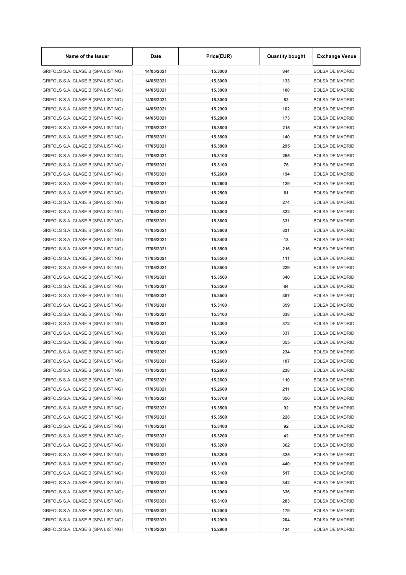| Name of the Issuer                 | Date       | Price(EUR) | <b>Quantity bought</b> | <b>Exchange Venue</b>  |
|------------------------------------|------------|------------|------------------------|------------------------|
| GRIFOLS S.A. CLASE B (SPA LISTING) | 14/05/2021 | 15,3000    | 844                    | <b>BOLSA DE MADRID</b> |
| GRIFOLS S.A. CLASE B (SPA LISTING) | 14/05/2021 | 15.3000    | 133                    | <b>BOLSA DE MADRID</b> |
| GRIFOLS S.A. CLASE B (SPA LISTING) | 14/05/2021 | 15,3000    | 100                    | <b>BOLSA DE MADRID</b> |
| GRIFOLS S.A. CLASE B (SPA LISTING) | 14/05/2021 | 15,3000    | 82                     | <b>BOLSA DE MADRID</b> |
| GRIFOLS S.A. CLASE B (SPA LISTING) | 14/05/2021 | 15.2900    | 102                    | <b>BOLSA DE MADRID</b> |
| GRIFOLS S.A. CLASE B (SPA LISTING) | 14/05/2021 | 15.2800    | 173                    | <b>BOLSA DE MADRID</b> |
| GRIFOLS S.A. CLASE B (SPA LISTING) | 17/05/2021 | 15.3800    | 215                    | <b>BOLSA DE MADRID</b> |
| GRIFOLS S.A. CLASE B (SPA LISTING) | 17/05/2021 | 15.3800    | 140                    | <b>BOLSA DE MADRID</b> |
| GRIFOLS S.A. CLASE B (SPA LISTING) | 17/05/2021 | 15,3800    | 295                    | <b>BOLSA DE MADRID</b> |
| GRIFOLS S.A. CLASE B (SPA LISTING) | 17/05/2021 | 15.3100    | 265                    | <b>BOLSA DE MADRID</b> |
| GRIFOLS S.A. CLASE B (SPA LISTING) | 17/05/2021 | 15.3100    | 76                     | <b>BOLSA DE MADRID</b> |
| GRIFOLS S.A. CLASE B (SPA LISTING) | 17/05/2021 | 15.2600    | 194                    | <b>BOLSA DE MADRID</b> |
| GRIFOLS S.A. CLASE B (SPA LISTING) | 17/05/2021 | 15.2600    | 129                    | <b>BOLSA DE MADRID</b> |
| GRIFOLS S.A. CLASE B (SPA LISTING) | 17/05/2021 | 15.2500    | 61                     | <b>BOLSA DE MADRID</b> |
| GRIFOLS S.A. CLASE B (SPA LISTING) | 17/05/2021 | 15.2500    | 274                    | <b>BOLSA DE MADRID</b> |
| GRIFOLS S.A. CLASE B (SPA LISTING) | 17/05/2021 | 15.3000    | 322                    | <b>BOLSA DE MADRID</b> |
| GRIFOLS S.A. CLASE B (SPA LISTING) | 17/05/2021 | 15.3600    | 331                    | <b>BOLSA DE MADRID</b> |
| GRIFOLS S.A. CLASE B (SPA LISTING) | 17/05/2021 | 15.3600    | 331                    | <b>BOLSA DE MADRID</b> |
| GRIFOLS S.A. CLASE B (SPA LISTING) | 17/05/2021 | 15.3400    | 13                     | <b>BOLSA DE MADRID</b> |
|                                    |            | 15.3500    | 216                    | <b>BOLSA DE MADRID</b> |
| GRIFOLS S.A. CLASE B (SPA LISTING) | 17/05/2021 |            |                        |                        |
| GRIFOLS S.A. CLASE B (SPA LISTING) | 17/05/2021 | 15.3500    | 111                    | <b>BOLSA DE MADRID</b> |
| GRIFOLS S.A. CLASE B (SPA LISTING) | 17/05/2021 | 15.3500    | 229                    | <b>BOLSA DE MADRID</b> |
| GRIFOLS S.A. CLASE B (SPA LISTING) | 17/05/2021 | 15.3500    | 340                    | <b>BOLSA DE MADRID</b> |
| GRIFOLS S.A. CLASE B (SPA LISTING) | 17/05/2021 | 15.3500    | 84                     | <b>BOLSA DE MADRID</b> |
| GRIFOLS S.A. CLASE B (SPA LISTING) | 17/05/2021 | 15.3500    | 387                    | <b>BOLSA DE MADRID</b> |
| GRIFOLS S.A. CLASE B (SPA LISTING) | 17/05/2021 | 15.3100    | 359                    | <b>BOLSA DE MADRID</b> |
| GRIFOLS S.A. CLASE B (SPA LISTING) | 17/05/2021 | 15.3100    | 338                    | <b>BOLSA DE MADRID</b> |
| GRIFOLS S.A. CLASE B (SPA LISTING) | 17/05/2021 | 15.3300    | 372                    | <b>BOLSA DE MADRID</b> |
| GRIFOLS S.A. CLASE B (SPA LISTING) | 17/05/2021 | 15.3300    | 337                    | <b>BOLSA DE MADRID</b> |
| GRIFOLS S.A. CLASE B (SPA LISTING) | 17/05/2021 | 15.3000    | 355                    | <b>BOLSA DE MADRID</b> |
| GRIFOLS S.A. CLASE B (SPA LISTING) | 17/05/2021 | 15.2600    | 234                    | <b>BOLSA DE MADRID</b> |
| GRIFOLS S.A. CLASE B (SPA LISTING) | 17/05/2021 | 15.2600    | 107                    | <b>BOLSA DE MADRID</b> |
| GRIFOLS S.A. CLASE B (SPA LISTING) | 17/05/2021 | 15.2600    | 238                    | <b>BOLSA DE MADRID</b> |
| GRIFOLS S.A. CLASE B (SPA LISTING) | 17/05/2021 | 15.2600    | 110                    | <b>BOLSA DE MADRID</b> |
| GRIFOLS S.A. CLASE B (SPA LISTING) | 17/05/2021 | 15.2600    | 211                    | <b>BOLSA DE MADRID</b> |
| GRIFOLS S.A. CLASE B (SPA LISTING) | 17/05/2021 | 15.3700    | 356                    | <b>BOLSA DE MADRID</b> |
| GRIFOLS S.A. CLASE B (SPA LISTING) | 17/05/2021 | 15.3500    | 92                     | <b>BOLSA DE MADRID</b> |
| GRIFOLS S.A. CLASE B (SPA LISTING) | 17/05/2021 | 15.3500    | 228                    | <b>BOLSA DE MADRID</b> |
| GRIFOLS S.A. CLASE B (SPA LISTING) | 17/05/2021 | 15.3400    | 92                     | <b>BOLSA DE MADRID</b> |
| GRIFOLS S.A. CLASE B (SPA LISTING) | 17/05/2021 | 15.3200    | 42                     | <b>BOLSA DE MADRID</b> |
| GRIFOLS S.A. CLASE B (SPA LISTING) | 17/05/2021 | 15.3200    | 362                    | <b>BOLSA DE MADRID</b> |
| GRIFOLS S.A. CLASE B (SPA LISTING) | 17/05/2021 | 15.3200    | 325                    | <b>BOLSA DE MADRID</b> |
| GRIFOLS S.A. CLASE B (SPA LISTING) | 17/05/2021 | 15.3100    | 440                    | <b>BOLSA DE MADRID</b> |
| GRIFOLS S.A. CLASE B (SPA LISTING) | 17/05/2021 | 15.3100    | 517                    | <b>BOLSA DE MADRID</b> |
| GRIFOLS S.A. CLASE B (SPA LISTING) | 17/05/2021 | 15.2900    | 342                    | <b>BOLSA DE MADRID</b> |
| GRIFOLS S.A. CLASE B (SPA LISTING) | 17/05/2021 | 15.2900    | 336                    | <b>BOLSA DE MADRID</b> |
| GRIFOLS S.A. CLASE B (SPA LISTING) | 17/05/2021 | 15.3100    | 283                    | <b>BOLSA DE MADRID</b> |
| GRIFOLS S.A. CLASE B (SPA LISTING) | 17/05/2021 | 15.2900    | 179                    | <b>BOLSA DE MADRID</b> |
| GRIFOLS S.A. CLASE B (SPA LISTING) | 17/05/2021 | 15.2900    | 204                    | <b>BOLSA DE MADRID</b> |
| GRIFOLS S.A. CLASE B (SPA LISTING) | 17/05/2021 | 15.2900    | 134                    | <b>BOLSA DE MADRID</b> |